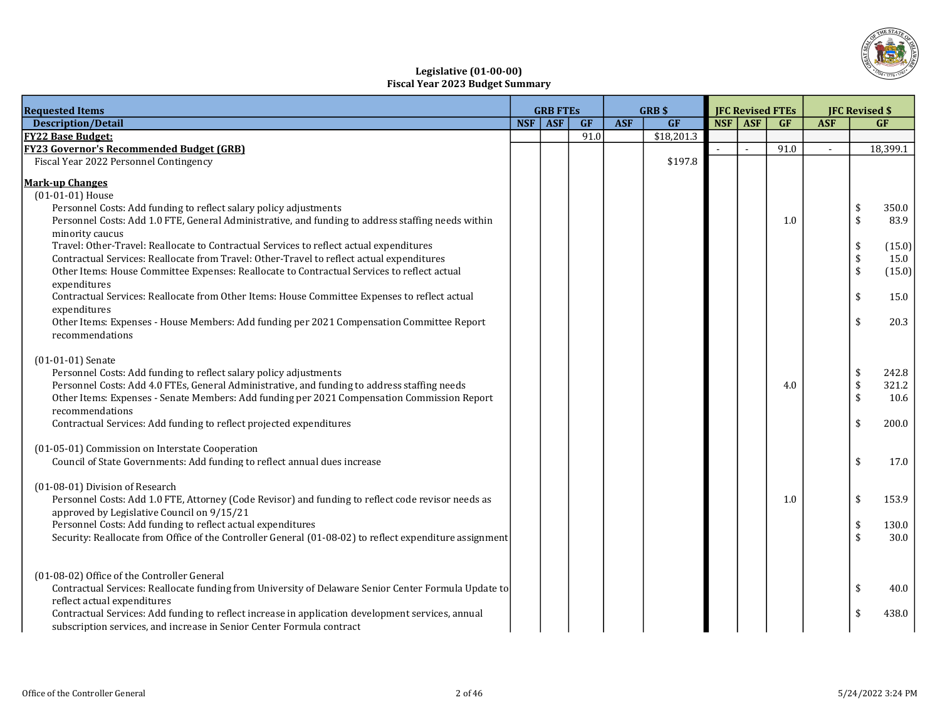

# Legislative (01-00-00) Fiscal Year 2023 Budget Summary

| <b>Requested Items</b>                                                                                  | <b>GRB FTES</b> |      |            | GRB\$      | <b>JFC Revised FTEs</b> |         |      | <b>JFC Revised \$</b> |                    |          |
|---------------------------------------------------------------------------------------------------------|-----------------|------|------------|------------|-------------------------|---------|------|-----------------------|--------------------|----------|
| <b>Description/Detail</b>                                                                               | NSF ASF         | GF   | <b>ASF</b> | GF         |                         | NSF ASF | GF   | <b>ASF</b>            |                    | GF       |
| <b>FY22 Base Budget:</b>                                                                                |                 | 91.0 |            | \$18,201.3 |                         |         |      |                       |                    |          |
| <b>FY23 Governor's Recommended Budget (GRB)</b>                                                         |                 |      |            |            |                         | $\sim$  | 91.0 | $\sim$                |                    | 18,399.1 |
| Fiscal Year 2022 Personnel Contingency                                                                  |                 |      |            | \$197.8    |                         |         |      |                       |                    |          |
| <b>Mark-up Changes</b>                                                                                  |                 |      |            |            |                         |         |      |                       |                    |          |
| (01-01-01) House                                                                                        |                 |      |            |            |                         |         |      |                       |                    |          |
| Personnel Costs: Add funding to reflect salary policy adjustments                                       |                 |      |            |            |                         |         |      |                       | \$                 | 350.0    |
| Personnel Costs: Add 1.0 FTE, General Administrative, and funding to address staffing needs within      |                 |      |            |            |                         |         | 1.0  |                       | \$                 | 83.9     |
| minority caucus                                                                                         |                 |      |            |            |                         |         |      |                       |                    |          |
| Travel: Other-Travel: Reallocate to Contractual Services to reflect actual expenditures                 |                 |      |            |            |                         |         |      |                       | \$                 | (15.0)   |
| Contractual Services: Reallocate from Travel: Other-Travel to reflect actual expenditures               |                 |      |            |            |                         |         |      |                       | $\frac{1}{2}$      | 15.0     |
| Other Items: House Committee Expenses: Reallocate to Contractual Services to reflect actual             |                 |      |            |            |                         |         |      |                       | $\frac{1}{2}$      | (15.0)   |
| expenditures                                                                                            |                 |      |            |            |                         |         |      |                       |                    |          |
| Contractual Services: Reallocate from Other Items: House Committee Expenses to reflect actual           |                 |      |            |            |                         |         |      |                       | \$                 | 15.0     |
| expenditures                                                                                            |                 |      |            |            |                         |         |      |                       |                    |          |
| Other Items: Expenses - House Members: Add funding per 2021 Compensation Committee Report               |                 |      |            |            |                         |         |      |                       | \$                 | 20.3     |
| recommendations                                                                                         |                 |      |            |            |                         |         |      |                       |                    |          |
| $(01-01-01)$ Senate                                                                                     |                 |      |            |            |                         |         |      |                       |                    |          |
| Personnel Costs: Add funding to reflect salary policy adjustments                                       |                 |      |            |            |                         |         |      |                       | \$                 | 242.8    |
| Personnel Costs: Add 4.0 FTEs, General Administrative, and funding to address staffing needs            |                 |      |            |            |                         |         | 4.0  |                       | \$                 | 321.2    |
| Other Items: Expenses - Senate Members: Add funding per 2021 Compensation Commission Report             |                 |      |            |            |                         |         |      |                       | \$                 | 10.6     |
| recommendations                                                                                         |                 |      |            |            |                         |         |      |                       |                    |          |
| Contractual Services: Add funding to reflect projected expenditures                                     |                 |      |            |            |                         |         |      |                       | \$                 | 200.0    |
|                                                                                                         |                 |      |            |            |                         |         |      |                       |                    |          |
| (01-05-01) Commission on Interstate Cooperation                                                         |                 |      |            |            |                         |         |      |                       |                    |          |
| Council of State Governments: Add funding to reflect annual dues increase                               |                 |      |            |            |                         |         |      |                       | \$                 | 17.0     |
| (01-08-01) Division of Research                                                                         |                 |      |            |            |                         |         |      |                       |                    |          |
| Personnel Costs: Add 1.0 FTE, Attorney (Code Revisor) and funding to reflect code revisor needs as      |                 |      |            |            |                         |         | 1.0  |                       | \$                 | 153.9    |
| approved by Legislative Council on 9/15/21                                                              |                 |      |            |            |                         |         |      |                       |                    |          |
| Personnel Costs: Add funding to reflect actual expenditures                                             |                 |      |            |            |                         |         |      |                       | \$                 | 130.0    |
| Security: Reallocate from Office of the Controller General (01-08-02) to reflect expenditure assignment |                 |      |            |            |                         |         |      |                       | $\mathbf{\hat{S}}$ | 30.0     |
|                                                                                                         |                 |      |            |            |                         |         |      |                       |                    |          |
|                                                                                                         |                 |      |            |            |                         |         |      |                       |                    |          |
| (01-08-02) Office of the Controller General                                                             |                 |      |            |            |                         |         |      |                       |                    |          |
| Contractual Services: Reallocate funding from University of Delaware Senior Center Formula Update to    |                 |      |            |            |                         |         |      |                       | \$                 | 40.0     |
| reflect actual expenditures                                                                             |                 |      |            |            |                         |         |      |                       |                    |          |
| Contractual Services: Add funding to reflect increase in application development services, annual       |                 |      |            |            |                         |         |      |                       |                    | 438.0    |
| subscription services, and increase in Senior Center Formula contract                                   |                 |      |            |            |                         |         |      |                       |                    |          |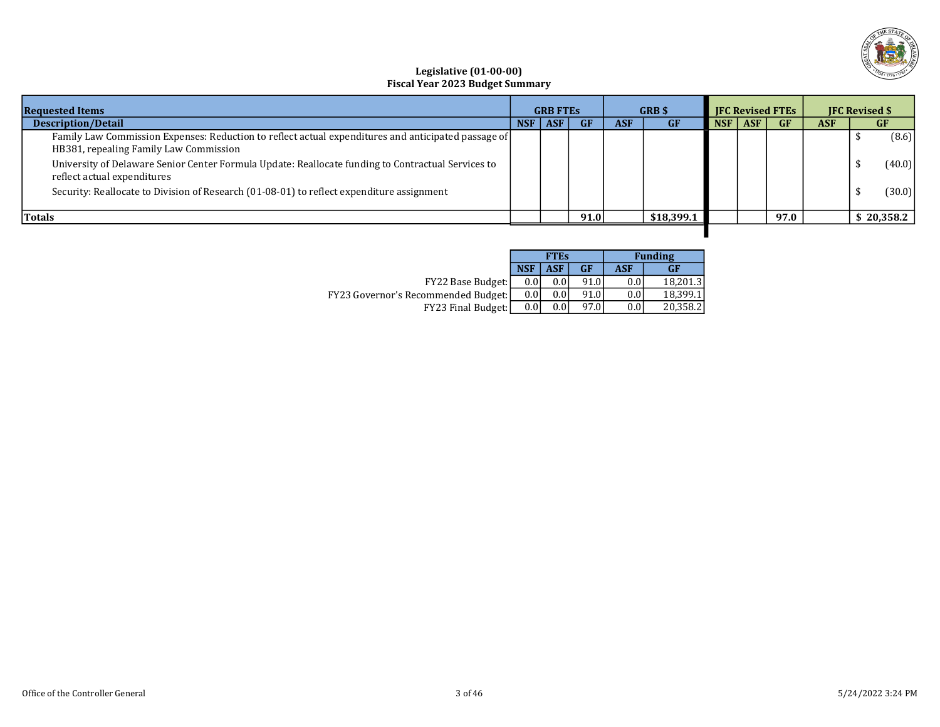

## Legislative (01-00-00) Fiscal Year 2023 Budget Summary

| <b>Requested Items</b>                                                                                                                        | <b>GRB FTES</b>                       |  | <b>GRB</b> \$ |           |            |            |    |            |    | <b>IFC Revised FTEs</b> |  | <b>IFC Revised \$</b> |
|-----------------------------------------------------------------------------------------------------------------------------------------------|---------------------------------------|--|---------------|-----------|------------|------------|----|------------|----|-------------------------|--|-----------------------|
| <b>Description/Detail</b>                                                                                                                     | <b>NSF</b><br><b>ASF</b><br><b>GF</b> |  | <b>ASF</b>    | <b>GF</b> | NSF        | <b>ASF</b> | GF | <b>ASF</b> | GF |                         |  |                       |
| Family Law Commission Expenses: Reduction to reflect actual expenditures and anticipated passage of<br>HB381, repealing Family Law Commission |                                       |  |               |           |            |            |    |            |    | (8.6)                   |  |                       |
| University of Delaware Senior Center Formula Update: Reallocate funding to Contractual Services to<br>reflect actual expenditures             |                                       |  |               |           |            |            |    |            |    | (40.0)                  |  |                       |
| Security: Reallocate to Division of Research (01-08-01) to reflect expenditure assignment                                                     |                                       |  |               |           |            |            |    |            |    | (30.0)                  |  |                       |
| <b>Totals</b>                                                                                                                                 |                                       |  | 91.0          |           | \$18,399.1 |            |    | 97.0       |    | \$20,358.2              |  |                       |
|                                                                                                                                               |                                       |  |               |           |            |            |    |            |    |                         |  |                       |

|                                       |            | <b>FTES</b> |      |      | <b>Funding</b> |
|---------------------------------------|------------|-------------|------|------|----------------|
|                                       | <b>NSF</b> | <b>ASF</b>  | GF   | ASF  | <b>GF</b>      |
| <b>FY22 Base Budget:</b>              | 0.0        | 0.0         | 91.0 | 0.0  | 18.201.3       |
| FY23 Governor's Recommended Budget: [ | 0.0        | $0.0\,$     | 91.0 | 0.0' | 18.399.1       |
| <b>FY23 Final Budget:</b>             | 0.0        | 0.0         | 97.0 | 0.0  | 20.358.2       |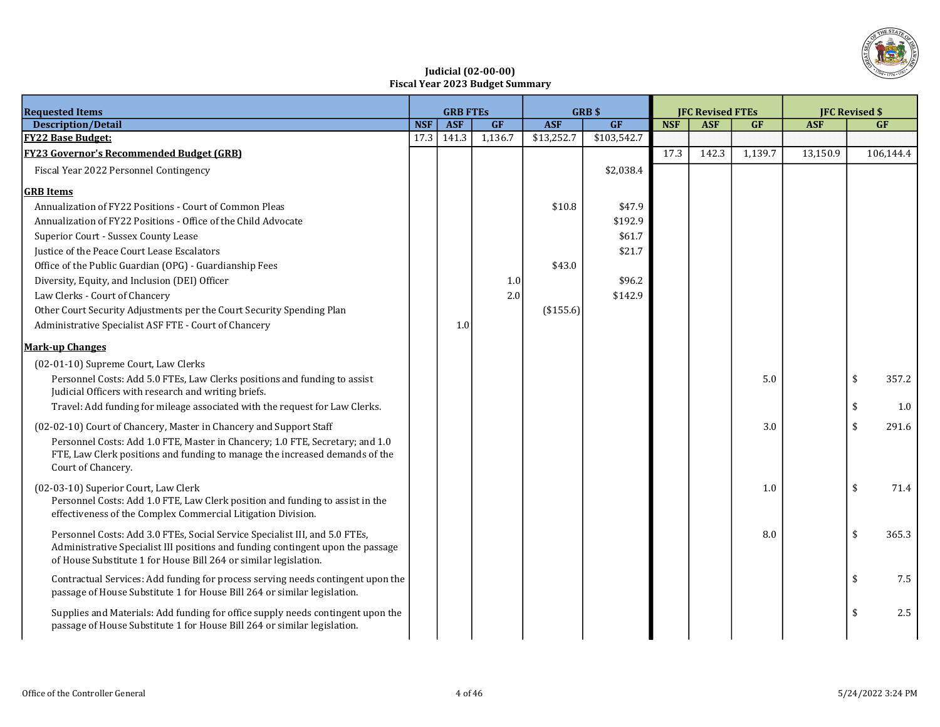

## Judicial (02-00-00) Fiscal Year 2023 Budget Summary

| <b>Requested Items</b>                                                          |            | <b>GRB FTES</b> |         |            | GRB\$       | <b>JFC Revised FTEs</b> |            |         |            | <b>IFC Revised \$</b> |
|---------------------------------------------------------------------------------|------------|-----------------|---------|------------|-------------|-------------------------|------------|---------|------------|-----------------------|
| <b>Description/Detail</b>                                                       | <b>NSF</b> | <b>ASF</b>      | GF      | <b>ASF</b> | GF          | <b>NSF</b>              | <b>ASF</b> | GF      | <b>ASF</b> | <b>GF</b>             |
| <b>FY22 Base Budget:</b>                                                        | 17.3       | 141.3           | 1,136.7 | \$13,252.7 | \$103,542.7 |                         |            |         |            |                       |
| <b>FY23 Governor's Recommended Budget (GRB)</b>                                 |            |                 |         |            |             | 17.3                    | 142.3      | 1,139.7 | 13,150.9   | 106,144.4             |
| Fiscal Year 2022 Personnel Contingency                                          |            |                 |         |            | \$2,038.4   |                         |            |         |            |                       |
| <b>GRB</b> Items                                                                |            |                 |         |            |             |                         |            |         |            |                       |
| Annualization of FY22 Positions - Court of Common Pleas                         |            |                 |         | \$10.8     | \$47.9      |                         |            |         |            |                       |
| Annualization of FY22 Positions - Office of the Child Advocate                  |            |                 |         |            | \$192.9     |                         |            |         |            |                       |
| Superior Court - Sussex County Lease                                            |            |                 |         |            | \$61.7      |                         |            |         |            |                       |
| Justice of the Peace Court Lease Escalators                                     |            |                 |         |            | \$21.7      |                         |            |         |            |                       |
| Office of the Public Guardian (OPG) - Guardianship Fees                         |            |                 |         | \$43.0     |             |                         |            |         |            |                       |
| Diversity, Equity, and Inclusion (DEI) Officer                                  |            |                 | 1.0     |            | \$96.2      |                         |            |         |            |                       |
| Law Clerks - Court of Chancery                                                  |            |                 | 2.0     |            | \$142.9     |                         |            |         |            |                       |
| Other Court Security Adjustments per the Court Security Spending Plan           |            |                 |         | (\$155.6)  |             |                         |            |         |            |                       |
| Administrative Specialist ASF FTE - Court of Chancery                           |            | 1.0             |         |            |             |                         |            |         |            |                       |
| <b>Mark-up Changes</b>                                                          |            |                 |         |            |             |                         |            |         |            |                       |
| (02-01-10) Supreme Court, Law Clerks                                            |            |                 |         |            |             |                         |            |         |            |                       |
| Personnel Costs: Add 5.0 FTEs, Law Clerks positions and funding to assist       |            |                 |         |            |             |                         |            | 5.0     |            | \$<br>357.2           |
| Judicial Officers with research and writing briefs.                             |            |                 |         |            |             |                         |            |         |            |                       |
| Travel: Add funding for mileage associated with the request for Law Clerks.     |            |                 |         |            |             |                         |            |         |            | \$<br>1.0             |
| (02-02-10) Court of Chancery, Master in Chancery and Support Staff              |            |                 |         |            |             |                         |            | 3.0     |            | \$<br>291.6           |
| Personnel Costs: Add 1.0 FTE, Master in Chancery; 1.0 FTE, Secretary; and 1.0   |            |                 |         |            |             |                         |            |         |            |                       |
| FTE, Law Clerk positions and funding to manage the increased demands of the     |            |                 |         |            |             |                         |            |         |            |                       |
| Court of Chancery.                                                              |            |                 |         |            |             |                         |            |         |            |                       |
| (02-03-10) Superior Court, Law Clerk                                            |            |                 |         |            |             |                         |            | 1.0     |            | \$<br>71.4            |
| Personnel Costs: Add 1.0 FTE, Law Clerk position and funding to assist in the   |            |                 |         |            |             |                         |            |         |            |                       |
| effectiveness of the Complex Commercial Litigation Division.                    |            |                 |         |            |             |                         |            |         |            |                       |
| Personnel Costs: Add 3.0 FTEs, Social Service Specialist III, and 5.0 FTEs,     |            |                 |         |            |             |                         |            | 8.0     |            | \$<br>365.3           |
| Administrative Specialist III positions and funding contingent upon the passage |            |                 |         |            |             |                         |            |         |            |                       |
| of House Substitute 1 for House Bill 264 or similar legislation.                |            |                 |         |            |             |                         |            |         |            |                       |
| Contractual Services: Add funding for process serving needs contingent upon the |            |                 |         |            |             |                         |            |         |            | \$<br>7.5             |
| passage of House Substitute 1 for House Bill 264 or similar legislation.        |            |                 |         |            |             |                         |            |         |            |                       |
| Supplies and Materials: Add funding for office supply needs contingent upon the |            |                 |         |            |             |                         |            |         |            | \$<br>2.5             |
| passage of House Substitute 1 for House Bill 264 or similar legislation.        |            |                 |         |            |             |                         |            |         |            |                       |
|                                                                                 |            |                 |         |            |             |                         |            |         |            |                       |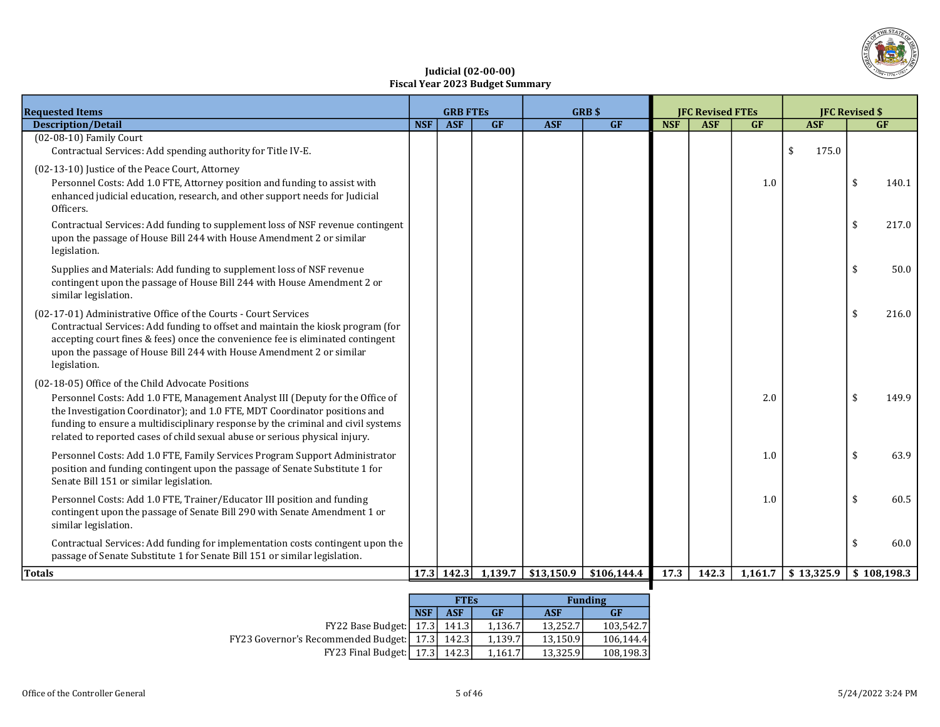

## Judicial (02-00-00) Fiscal Year 2023 Budget Summary

| <b>Requested Items</b>                                                                                                                                                                                                                                                                                                                                                               | <b>GRB FTES</b> |              | <b>GRB \$</b> |            | <b>IFC Revised FTEs</b> |            |            | <b>JFC Revised \$</b> |             |             |           |
|--------------------------------------------------------------------------------------------------------------------------------------------------------------------------------------------------------------------------------------------------------------------------------------------------------------------------------------------------------------------------------------|-----------------|--------------|---------------|------------|-------------------------|------------|------------|-----------------------|-------------|-------------|-----------|
| <b>Description/Detail</b>                                                                                                                                                                                                                                                                                                                                                            | <b>NSF</b>      | <b>ASF</b>   | GF            | <b>ASF</b> | GF                      | <b>NSF</b> | <b>ASF</b> | GF                    | <b>ASF</b>  |             | <b>GF</b> |
| $(02-08-10)$ Family Court<br>Contractual Services: Add spending authority for Title IV-E.                                                                                                                                                                                                                                                                                            |                 |              |               |            |                         |            |            |                       | \$<br>175.0 |             |           |
| (02-13-10) Justice of the Peace Court, Attorney<br>Personnel Costs: Add 1.0 FTE, Attorney position and funding to assist with<br>enhanced judicial education, research, and other support needs for Judicial<br>Officers.                                                                                                                                                            |                 |              |               |            |                         |            |            | 1.0                   |             | \$          | 140.1     |
| Contractual Services: Add funding to supplement loss of NSF revenue contingent<br>upon the passage of House Bill 244 with House Amendment 2 or similar<br>legislation.                                                                                                                                                                                                               |                 |              |               |            |                         |            |            |                       |             | \$          | 217.0     |
| Supplies and Materials: Add funding to supplement loss of NSF revenue<br>contingent upon the passage of House Bill 244 with House Amendment 2 or<br>similar legislation.                                                                                                                                                                                                             |                 |              |               |            |                         |            |            |                       |             | \$          | 50.0      |
| (02-17-01) Administrative Office of the Courts - Court Services<br>Contractual Services: Add funding to offset and maintain the kiosk program (for<br>accepting court fines & fees) once the convenience fee is eliminated contingent<br>upon the passage of House Bill 244 with House Amendment 2 or similar<br>legislation.                                                        |                 |              |               |            |                         |            |            |                       |             | \$          | 216.0     |
| (02-18-05) Office of the Child Advocate Positions<br>Personnel Costs: Add 1.0 FTE, Management Analyst III (Deputy for the Office of<br>the Investigation Coordinator); and 1.0 FTE, MDT Coordinator positions and<br>funding to ensure a multidisciplinary response by the criminal and civil systems<br>related to reported cases of child sexual abuse or serious physical injury. |                 |              |               |            |                         |            |            | 2.0                   |             | \$          | 149.9     |
| Personnel Costs: Add 1.0 FTE, Family Services Program Support Administrator<br>position and funding contingent upon the passage of Senate Substitute 1 for<br>Senate Bill 151 or similar legislation.                                                                                                                                                                                |                 |              |               |            |                         |            |            | 1.0                   |             | \$          | 63.9      |
| Personnel Costs: Add 1.0 FTE, Trainer/Educator III position and funding<br>contingent upon the passage of Senate Bill 290 with Senate Amendment 1 or<br>similar legislation.                                                                                                                                                                                                         |                 |              |               |            |                         |            |            | 1.0                   |             | \$          | 60.5      |
| Contractual Services: Add funding for implementation costs contingent upon the<br>passage of Senate Substitute 1 for Senate Bill 151 or similar legislation.                                                                                                                                                                                                                         |                 |              |               |            |                         |            |            |                       |             |             | 60.0      |
| <b>Totals</b>                                                                                                                                                                                                                                                                                                                                                                        |                 | $17.3$ 142.3 | 1,139.7       | \$13,150.9 | \$106,144.4             | 17.3       | 142.3      | 1,161.7               | \$13,325.9  | \$108,198.3 |           |

|                                                   |            | <b>FTES</b> |           |            | <b>Funding</b> |
|---------------------------------------------------|------------|-------------|-----------|------------|----------------|
|                                                   | <b>NSF</b> | ASF         | <b>GF</b> | <b>ASF</b> | GF             |
| $FY22$ Base Budget: [ 17.3]                       |            | 141.3       | 1.136.7   | 13.252.7   | 103.542.7      |
| <b>FY23 Governor's Recommended Budget:</b> [17.3] |            | 142.3       | 1.139.7   | 13,150.9   | 106.144.4      |
| FY23 Final Budget: [ 17.3]                        |            | 142.3       | 1.161.7   | 13.325.9   | 108,198.3      |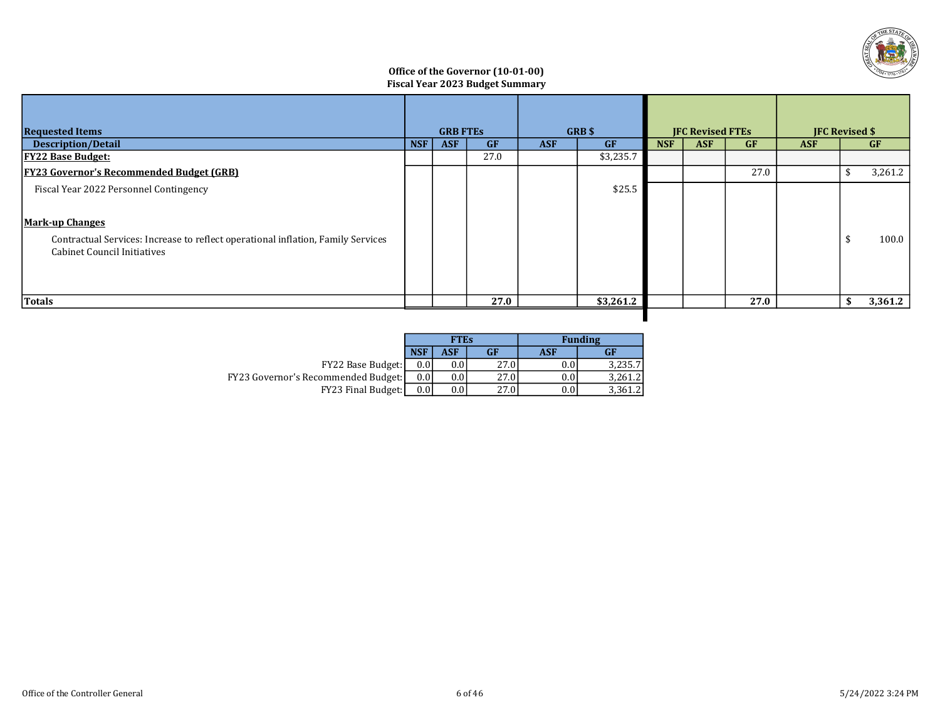

## Office of the Governor (10-01-00) Fiscal Year 2023 Budget Summary

| <b>Requested Items</b>                                                                                                                                                                     |            | <b>GRB FTES</b> |           |            | GRB\$     |            | <b>IFC Revised FTEs</b> |           | <b>IFC Revised \$</b> |    |           |
|--------------------------------------------------------------------------------------------------------------------------------------------------------------------------------------------|------------|-----------------|-----------|------------|-----------|------------|-------------------------|-----------|-----------------------|----|-----------|
| <b>Description/Detail</b>                                                                                                                                                                  | <b>NSF</b> | <b>ASF</b>      | <b>GF</b> | <b>ASF</b> | GF        | <b>NSF</b> | <b>ASF</b>              | <b>GF</b> | <b>ASF</b>            |    | <b>GF</b> |
| <b>FY22 Base Budget:</b>                                                                                                                                                                   |            |                 | 27.0      |            | \$3,235.7 |            |                         |           |                       |    |           |
| <b>FY23 Governor's Recommended Budget (GRB)</b>                                                                                                                                            |            |                 |           |            |           |            |                         | 27.0      |                       |    | 3,261.2   |
| Fiscal Year 2022 Personnel Contingency<br><b>Mark-up Changes</b><br>Contractual Services: Increase to reflect operational inflation, Family Services<br><b>Cabinet Council Initiatives</b> |            |                 |           |            | \$25.5    |            |                         |           |                       |    | 100.0     |
| Totals                                                                                                                                                                                     |            |                 | 27.0      |            | \$3,261.2 |            |                         | 27.0      |                       | -S | 3,361.2   |
|                                                                                                                                                                                            |            |                 |           |            |           |            |                         |           |                       |    |           |

|                                            |            | <b>FTEs</b> |      |            | <b>Funding</b> |
|--------------------------------------------|------------|-------------|------|------------|----------------|
|                                            | <b>NSF</b> | <b>ASF</b>  | GF   | <b>ASF</b> | <b>GF</b>      |
| FY22 Base Budget:                          | 0.0        | 0.0         | 27.0 | 0.0        | 3.235.7        |
| <b>FY23 Governor's Recommended Budget:</b> | 0.01       | 0.0         | 27.0 | $0.0\,$    | 3.261.2        |
| <b>FY23 Final Budget:</b>                  | 0.01       | 0.0         | 27.0 | $0.0\,$    | 3,361.2        |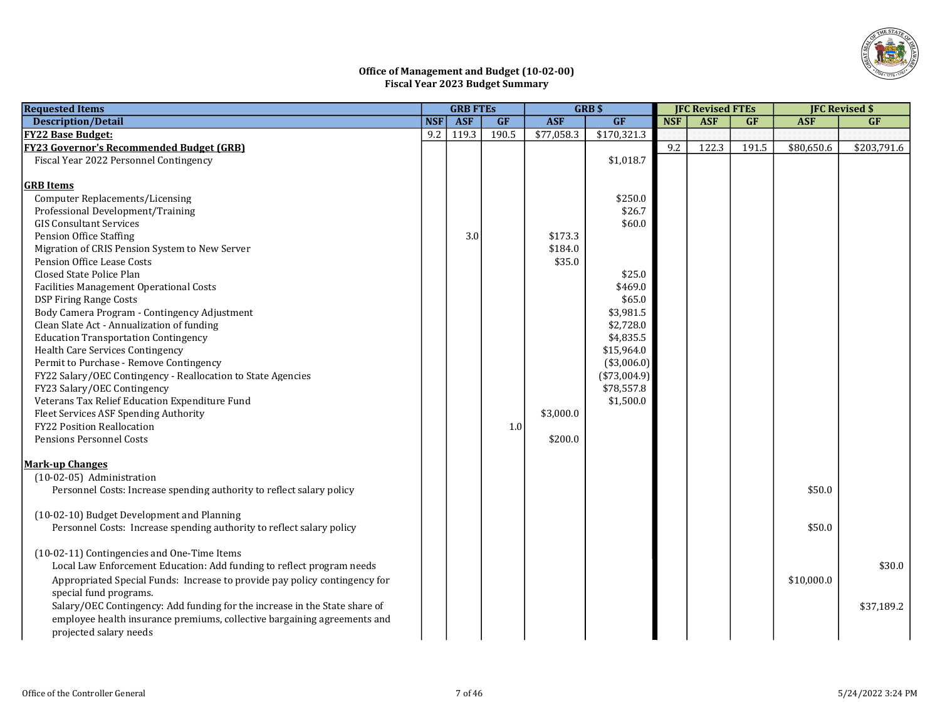

## Office of Management and Budget (10-02-00) Fiscal Year 2023 Budget Summary

| <b>Requested Items</b>                                                     |            | <b>GRB FTES</b> |           | GRB\$      |               |            | <b>JFC Revised FTEs</b> |           |            | <b>JFC Revised \$</b> |  |
|----------------------------------------------------------------------------|------------|-----------------|-----------|------------|---------------|------------|-------------------------|-----------|------------|-----------------------|--|
| <b>Description/Detail</b>                                                  | <b>NSF</b> | <b>ASF</b>      | <b>GF</b> | <b>ASF</b> | GF            | <b>NSF</b> | <b>ASF</b>              | <b>GF</b> | <b>ASF</b> | GF                    |  |
| <b>FY22 Base Budget:</b>                                                   | 9.2        | 119.3           | 190.5     | \$77,058.3 | \$170,321.3   |            |                         |           |            |                       |  |
| <b>FY23 Governor's Recommended Budget (GRB)</b>                            |            |                 |           |            |               | 9.2        | 122.3                   | 191.5     | \$80,650.6 | \$203,791.6           |  |
| Fiscal Year 2022 Personnel Contingency                                     |            |                 |           |            | \$1,018.7     |            |                         |           |            |                       |  |
|                                                                            |            |                 |           |            |               |            |                         |           |            |                       |  |
| <b>GRB</b> Items                                                           |            |                 |           |            |               |            |                         |           |            |                       |  |
| <b>Computer Replacements/Licensing</b>                                     |            |                 |           |            | \$250.0       |            |                         |           |            |                       |  |
| Professional Development/Training                                          |            |                 |           |            | \$26.7        |            |                         |           |            |                       |  |
| <b>GIS Consultant Services</b>                                             |            |                 |           |            | \$60.0        |            |                         |           |            |                       |  |
| <b>Pension Office Staffing</b>                                             |            | 3.0             |           | \$173.3    |               |            |                         |           |            |                       |  |
| Migration of CRIS Pension System to New Server                             |            |                 |           | \$184.0    |               |            |                         |           |            |                       |  |
| Pension Office Lease Costs                                                 |            |                 |           | \$35.0     |               |            |                         |           |            |                       |  |
| Closed State Police Plan                                                   |            |                 |           |            | \$25.0        |            |                         |           |            |                       |  |
| Facilities Management Operational Costs                                    |            |                 |           |            | \$469.0       |            |                         |           |            |                       |  |
| <b>DSP Firing Range Costs</b>                                              |            |                 |           |            | \$65.0        |            |                         |           |            |                       |  |
| Body Camera Program - Contingency Adjustment                               |            |                 |           |            | \$3,981.5     |            |                         |           |            |                       |  |
| Clean Slate Act - Annualization of funding                                 |            |                 |           |            | \$2,728.0     |            |                         |           |            |                       |  |
| <b>Education Transportation Contingency</b>                                |            |                 |           |            | \$4,835.5     |            |                         |           |            |                       |  |
| Health Care Services Contingency                                           |            |                 |           |            | \$15,964.0    |            |                         |           |            |                       |  |
| Permit to Purchase - Remove Contingency                                    |            |                 |           |            | $(*3,006.0)$  |            |                         |           |            |                       |  |
| FY22 Salary/OEC Contingency - Reallocation to State Agencies               |            |                 |           |            | $(*73,004.9)$ |            |                         |           |            |                       |  |
| FY23 Salary/OEC Contingency                                                |            |                 |           |            | \$78,557.8    |            |                         |           |            |                       |  |
| Veterans Tax Relief Education Expenditure Fund                             |            |                 |           |            | \$1,500.0     |            |                         |           |            |                       |  |
| Fleet Services ASF Spending Authority                                      |            |                 |           | \$3,000.0  |               |            |                         |           |            |                       |  |
| <b>FY22 Position Reallocation</b>                                          |            |                 | 1.0       |            |               |            |                         |           |            |                       |  |
| <b>Pensions Personnel Costs</b>                                            |            |                 |           | \$200.0    |               |            |                         |           |            |                       |  |
| <b>Mark-up Changes</b>                                                     |            |                 |           |            |               |            |                         |           |            |                       |  |
| (10-02-05) Administration                                                  |            |                 |           |            |               |            |                         |           |            |                       |  |
| Personnel Costs: Increase spending authority to reflect salary policy      |            |                 |           |            |               |            |                         |           | \$50.0     |                       |  |
|                                                                            |            |                 |           |            |               |            |                         |           |            |                       |  |
| (10-02-10) Budget Development and Planning                                 |            |                 |           |            |               |            |                         |           |            |                       |  |
| Personnel Costs: Increase spending authority to reflect salary policy      |            |                 |           |            |               |            |                         |           | \$50.0     |                       |  |
|                                                                            |            |                 |           |            |               |            |                         |           |            |                       |  |
| (10-02-11) Contingencies and One-Time Items                                |            |                 |           |            |               |            |                         |           |            |                       |  |
| Local Law Enforcement Education: Add funding to reflect program needs      |            |                 |           |            |               |            |                         |           |            | \$30.0                |  |
| Appropriated Special Funds: Increase to provide pay policy contingency for |            |                 |           |            |               |            |                         |           | \$10,000.0 |                       |  |
| special fund programs.                                                     |            |                 |           |            |               |            |                         |           |            |                       |  |
| Salary/OEC Contingency: Add funding for the increase in the State share of |            |                 |           |            |               |            |                         |           |            | \$37,189.2            |  |
| employee health insurance premiums, collective bargaining agreements and   |            |                 |           |            |               |            |                         |           |            |                       |  |
| projected salary needs                                                     |            |                 |           |            |               |            |                         |           |            |                       |  |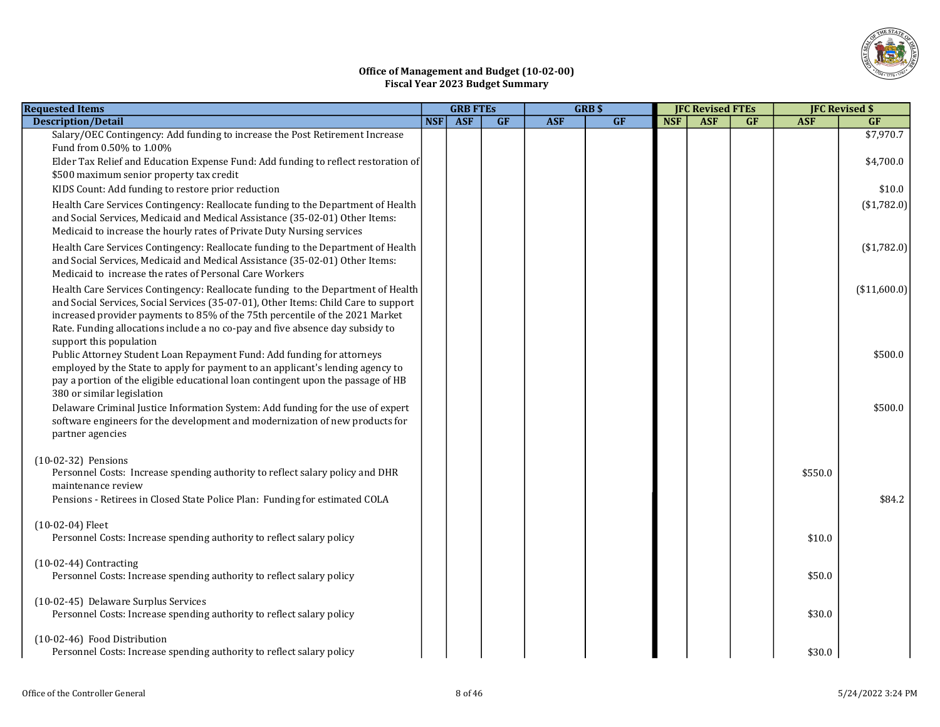

## Office of Management and Budget (10-02-00) Fiscal Year 2023 Budget Summary

| <b>Requested Items</b>                                                                                                                                                                                                                                                                                                                                              |            | <b>GRB FTES</b> |    | GRB\$      |    | <b>JFC Revised FTEs</b> |            |           |            | <b>JFC Revised \$</b> |
|---------------------------------------------------------------------------------------------------------------------------------------------------------------------------------------------------------------------------------------------------------------------------------------------------------------------------------------------------------------------|------------|-----------------|----|------------|----|-------------------------|------------|-----------|------------|-----------------------|
| <b>Description/Detail</b>                                                                                                                                                                                                                                                                                                                                           | <b>NSF</b> | <b>ASF</b>      | GF | <b>ASF</b> | GF | <b>NSF</b>              | <b>ASF</b> | <b>GF</b> | <b>ASF</b> | <b>GF</b>             |
| Salary/OEC Contingency: Add funding to increase the Post Retirement Increase<br>Fund from 0.50% to 1.00%                                                                                                                                                                                                                                                            |            |                 |    |            |    |                         |            |           |            | \$7,970.7             |
| Elder Tax Relief and Education Expense Fund: Add funding to reflect restoration of<br>\$500 maximum senior property tax credit                                                                                                                                                                                                                                      |            |                 |    |            |    |                         |            |           |            | \$4,700.0             |
| KIDS Count: Add funding to restore prior reduction                                                                                                                                                                                                                                                                                                                  |            |                 |    |            |    |                         |            |           |            | \$10.0                |
| Health Care Services Contingency: Reallocate funding to the Department of Health<br>and Social Services, Medicaid and Medical Assistance (35-02-01) Other Items:<br>Medicaid to increase the hourly rates of Private Duty Nursing services                                                                                                                          |            |                 |    |            |    |                         |            |           |            | (\$1,782.0)           |
| Health Care Services Contingency: Reallocate funding to the Department of Health<br>and Social Services, Medicaid and Medical Assistance (35-02-01) Other Items:<br>Medicaid to increase the rates of Personal Care Workers                                                                                                                                         |            |                 |    |            |    |                         |            |           |            | (\$1,782.0)           |
| Health Care Services Contingency: Reallocate funding to the Department of Health<br>and Social Services, Social Services (35-07-01), Other Items: Child Care to support<br>increased provider payments to 85% of the 75th percentile of the 2021 Market<br>Rate. Funding allocations include a no co-pay and five absence day subsidy to<br>support this population |            |                 |    |            |    |                         |            |           |            | (\$11,600.0)          |
| Public Attorney Student Loan Repayment Fund: Add funding for attorneys<br>employed by the State to apply for payment to an applicant's lending agency to<br>pay a portion of the eligible educational loan contingent upon the passage of HB<br>380 or similar legislation                                                                                          |            |                 |    |            |    |                         |            |           |            | \$500.0               |
| Delaware Criminal Justice Information System: Add funding for the use of expert<br>software engineers for the development and modernization of new products for<br>partner agencies                                                                                                                                                                                 |            |                 |    |            |    |                         |            |           |            | \$500.0               |
| $(10-02-32)$ Pensions<br>Personnel Costs: Increase spending authority to reflect salary policy and DHR<br>maintenance review                                                                                                                                                                                                                                        |            |                 |    |            |    |                         |            |           | \$550.0    |                       |
| Pensions - Retirees in Closed State Police Plan: Funding for estimated COLA                                                                                                                                                                                                                                                                                         |            |                 |    |            |    |                         |            |           |            | \$84.2                |
| $(10-02-04)$ Fleet<br>Personnel Costs: Increase spending authority to reflect salary policy                                                                                                                                                                                                                                                                         |            |                 |    |            |    |                         |            |           | \$10.0     |                       |
| $(10-02-44)$ Contracting<br>Personnel Costs: Increase spending authority to reflect salary policy                                                                                                                                                                                                                                                                   |            |                 |    |            |    |                         |            |           | \$50.0     |                       |
| (10-02-45) Delaware Surplus Services<br>Personnel Costs: Increase spending authority to reflect salary policy                                                                                                                                                                                                                                                       |            |                 |    |            |    |                         |            |           | \$30.0     |                       |
| (10-02-46) Food Distribution<br>Personnel Costs: Increase spending authority to reflect salary policy                                                                                                                                                                                                                                                               |            |                 |    |            |    |                         |            |           | \$30.0     |                       |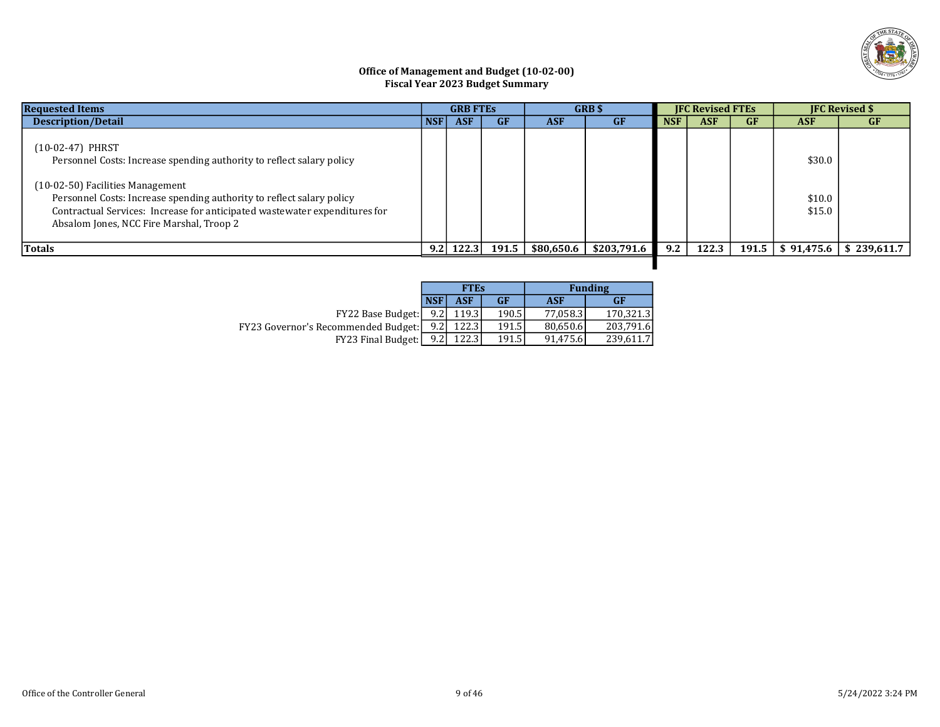

## Office of Management and Budget (10-02-00) Fiscal Year 2023 Budget Summary

| <b>Requested Items</b>                                                                                                                                                                                                                                                                                                           |            | <b>GRB FTES</b> |           |            | <b>GRB</b> \$ |            | <b>IFC Revised FTEs</b> |           |                            | <b>IFC Revised \$</b>                |
|----------------------------------------------------------------------------------------------------------------------------------------------------------------------------------------------------------------------------------------------------------------------------------------------------------------------------------|------------|-----------------|-----------|------------|---------------|------------|-------------------------|-----------|----------------------------|--------------------------------------|
| <b>Description/Detail</b>                                                                                                                                                                                                                                                                                                        | <b>NSF</b> | <b>ASF</b>      | <b>GF</b> | <b>ASF</b> | <b>GF</b>     | <b>NSF</b> | <b>ASF</b>              | <b>GF</b> | <b>ASF</b>                 | <b>GF</b>                            |
| (10-02-47) PHRST<br>Personnel Costs: Increase spending authority to reflect salary policy<br>(10-02-50) Facilities Management<br>Personnel Costs: Increase spending authority to reflect salary policy<br>Contractual Services: Increase for anticipated wastewater expenditures for<br>Absalom Jones, NCC Fire Marshal, Troop 2 |            |                 |           |            |               |            |                         |           | \$30.0<br>\$10.0<br>\$15.0 |                                      |
| Totals                                                                                                                                                                                                                                                                                                                           |            | $9.2$   122.3   | 191.5     | \$80,650.6 | \$203,791.6   | 9.2        | 122.3                   |           |                            | $191.5$   \$ 91,475.6   \$ 239,611.7 |
|                                                                                                                                                                                                                                                                                                                                  |            |                 |           |            |               |            |                         |           |                            |                                      |

|                                            |                  | <b>FTEs</b> |                    |          | <b>Funding</b> |
|--------------------------------------------|------------------|-------------|--------------------|----------|----------------|
|                                            | <b>NSF</b>       | <b>ASF</b>  | <b>GF</b>          | ASF      | <b>GF</b>      |
| <b>FY22 Base Budget:</b>                   | 9.2 <sub>1</sub> | 119.3       | 190.5l             | 77.058.3 | 170.321.3      |
| <b>FY23 Governor's Recommended Budget:</b> | 9.21             | 122.3       | 191.5 <sup> </sup> | 80.650.6 | 203.791.6      |
| <b>FY23 Final Budget:</b>                  | 9.21             | 122.3       | 191.5              | 91.475.6 | 239,611.7      |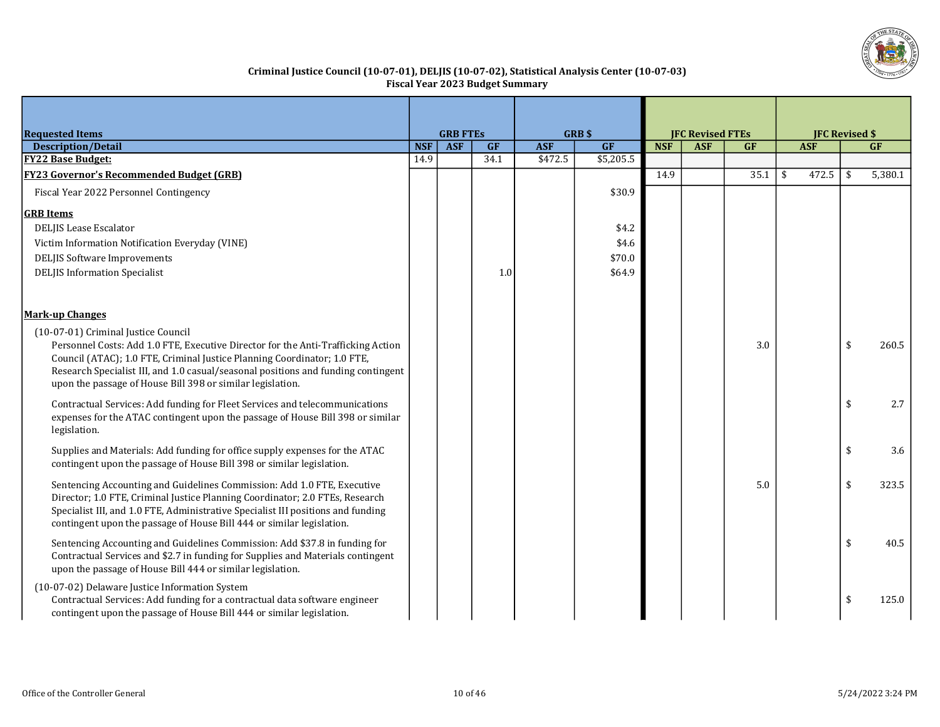

## Criminal Justice Council (10-07-01), DELJIS (10-07-02), Statistical Analysis Center (10-07-03) Fiscal Year 2023 Budget Summary

|                                                                                                                                                                                                                                                                                                                                                        |            |            |      | GRB\$<br><b>GRB FTES</b> |           |            | <b>JFC Revised FTEs</b> |      |    | <b>JFC Revised \$</b> |     |           |
|--------------------------------------------------------------------------------------------------------------------------------------------------------------------------------------------------------------------------------------------------------------------------------------------------------------------------------------------------------|------------|------------|------|--------------------------|-----------|------------|-------------------------|------|----|-----------------------|-----|-----------|
| <b>Requested Items</b><br><b>Description/Detail</b>                                                                                                                                                                                                                                                                                                    | <b>NSF</b> | <b>ASF</b> | GF   | <b>ASF</b>               | GF        | <b>NSF</b> | <b>ASF</b>              | GF   |    | <b>ASF</b>            |     | <b>GF</b> |
| <b>FY22 Base Budget:</b>                                                                                                                                                                                                                                                                                                                               | 14.9       |            | 34.1 | \$472.5                  | \$5,205.5 |            |                         |      |    |                       |     |           |
| <b>FY23 Governor's Recommended Budget (GRB)</b>                                                                                                                                                                                                                                                                                                        |            |            |      |                          |           | 14.9       |                         | 35.1 | \$ | 472.5                 | -\$ | 5,380.1   |
| Fiscal Year 2022 Personnel Contingency                                                                                                                                                                                                                                                                                                                 |            |            |      |                          | \$30.9    |            |                         |      |    |                       |     |           |
| <b>GRB</b> Items                                                                                                                                                                                                                                                                                                                                       |            |            |      |                          |           |            |                         |      |    |                       |     |           |
| <b>DELJIS Lease Escalator</b>                                                                                                                                                                                                                                                                                                                          |            |            |      |                          | \$4.2     |            |                         |      |    |                       |     |           |
| Victim Information Notification Everyday (VINE)                                                                                                                                                                                                                                                                                                        |            |            |      |                          | \$4.6     |            |                         |      |    |                       |     |           |
| <b>DELJIS Software Improvements</b>                                                                                                                                                                                                                                                                                                                    |            |            |      |                          | \$70.0    |            |                         |      |    |                       |     |           |
| <b>DELJIS Information Specialist</b>                                                                                                                                                                                                                                                                                                                   |            |            | 1.0  |                          | \$64.9    |            |                         |      |    |                       |     |           |
| <b>Mark-up Changes</b>                                                                                                                                                                                                                                                                                                                                 |            |            |      |                          |           |            |                         |      |    |                       |     |           |
| (10-07-01) Criminal Justice Council<br>Personnel Costs: Add 1.0 FTE, Executive Director for the Anti-Trafficking Action<br>Council (ATAC); 1.0 FTE, Criminal Justice Planning Coordinator; 1.0 FTE,<br>Research Specialist III, and 1.0 casual/seasonal positions and funding contingent<br>upon the passage of House Bill 398 or similar legislation. |            |            |      |                          |           |            |                         | 3.0  |    |                       | \$  | 260.5     |
| Contractual Services: Add funding for Fleet Services and telecommunications<br>expenses for the ATAC contingent upon the passage of House Bill 398 or similar<br>legislation.                                                                                                                                                                          |            |            |      |                          |           |            |                         |      |    |                       | \$  | 2.7       |
| Supplies and Materials: Add funding for office supply expenses for the ATAC<br>contingent upon the passage of House Bill 398 or similar legislation.                                                                                                                                                                                                   |            |            |      |                          |           |            |                         |      |    |                       | \$  | 3.6       |
| Sentencing Accounting and Guidelines Commission: Add 1.0 FTE, Executive<br>Director; 1.0 FTE, Criminal Justice Planning Coordinator; 2.0 FTEs, Research<br>Specialist III, and 1.0 FTE, Administrative Specialist III positions and funding<br>contingent upon the passage of House Bill 444 or similar legislation.                                   |            |            |      |                          |           |            |                         | 5.0  |    |                       | \$  | 323.5     |
| Sentencing Accounting and Guidelines Commission: Add \$37.8 in funding for<br>Contractual Services and \$2.7 in funding for Supplies and Materials contingent<br>upon the passage of House Bill 444 or similar legislation.                                                                                                                            |            |            |      |                          |           |            |                         |      |    |                       | \$  | 40.5      |
| (10-07-02) Delaware Justice Information System<br>Contractual Services: Add funding for a contractual data software engineer<br>contingent upon the passage of House Bill 444 or similar legislation.                                                                                                                                                  |            |            |      |                          |           |            |                         |      |    |                       | \$  | 125.0     |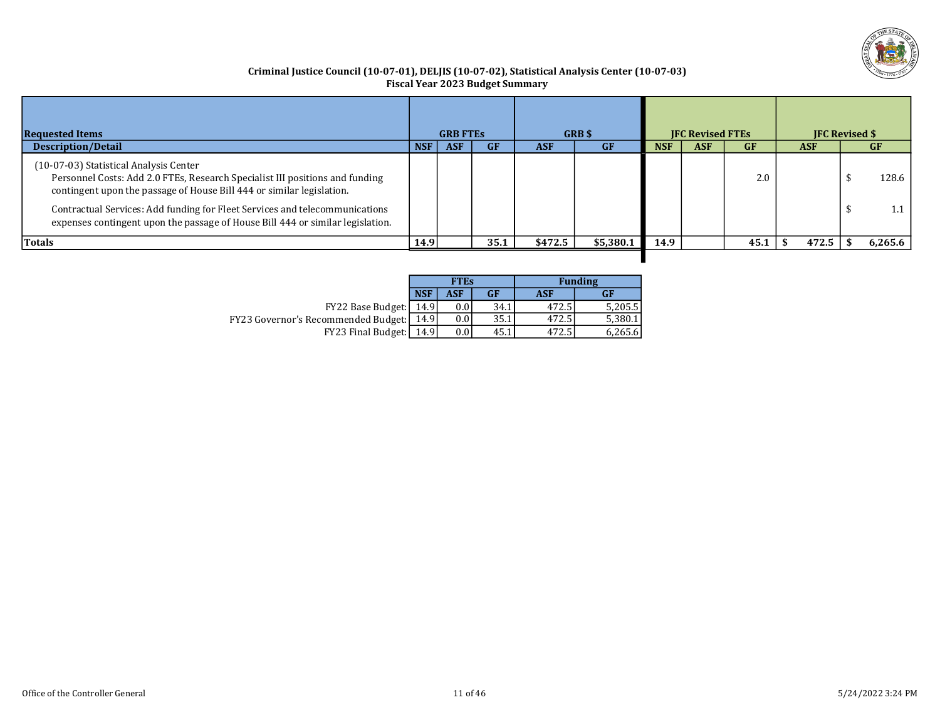

## Criminal Justice Council (10-07-01), DELJIS (10-07-02), Statistical Analysis Center (10-07-03) Fiscal Year 2023 Budget Summary

| <b>Requested Items</b>                                                                                                                                                                                                                                                                                                                                           |            | <b>GRB FTES</b> |           |            | GRB \$    |            | <b>IFC Revised FTEs</b> |           | <b>IFC Revised \$</b> |                |
|------------------------------------------------------------------------------------------------------------------------------------------------------------------------------------------------------------------------------------------------------------------------------------------------------------------------------------------------------------------|------------|-----------------|-----------|------------|-----------|------------|-------------------------|-----------|-----------------------|----------------|
| <b>Description/Detail</b>                                                                                                                                                                                                                                                                                                                                        | <b>NSF</b> | <b>ASF</b>      | <b>GF</b> | <b>ASF</b> | <b>GF</b> | <b>NSF</b> | <b>ASF</b>              | <b>GF</b> | <b>ASF</b>            | GF             |
| (10-07-03) Statistical Analysis Center<br>Personnel Costs: Add 2.0 FTEs, Research Specialist III positions and funding<br>contingent upon the passage of House Bill 444 or similar legislation.<br>Contractual Services: Add funding for Fleet Services and telecommunications<br>expenses contingent upon the passage of House Bill 444 or similar legislation. |            |                 |           |            |           |            |                         | 2.0       |                       | 128.6  <br>1.1 |
| Totals                                                                                                                                                                                                                                                                                                                                                           | 14.9       |                 | 35.1      | \$472.5    | \$5,380.1 | 14.9       |                         | 45.1      | 472.5                 | 6,265.6        |
|                                                                                                                                                                                                                                                                                                                                                                  |            |                 |           |            |           |            |                         |           |                       |                |

|                                            |            | <b>FTEs</b> |      | <b>Funding</b> |         |  |  |  |
|--------------------------------------------|------------|-------------|------|----------------|---------|--|--|--|
|                                            | <b>NSF</b> | ASF         | GF   | ASF            | GF      |  |  |  |
| FY22 Base Budget:                          | 14.9       | 0.0         | 34.1 | 472.5          | 5,205.5 |  |  |  |
| <b>FY23 Governor's Recommended Budget:</b> | 14.91      | 0.0         | 35.1 | 472.5          | 5,380.1 |  |  |  |
| FY23 Final Budget:                         | 14.91      | 0.0         | 45.1 | 472.5          | 6,265.6 |  |  |  |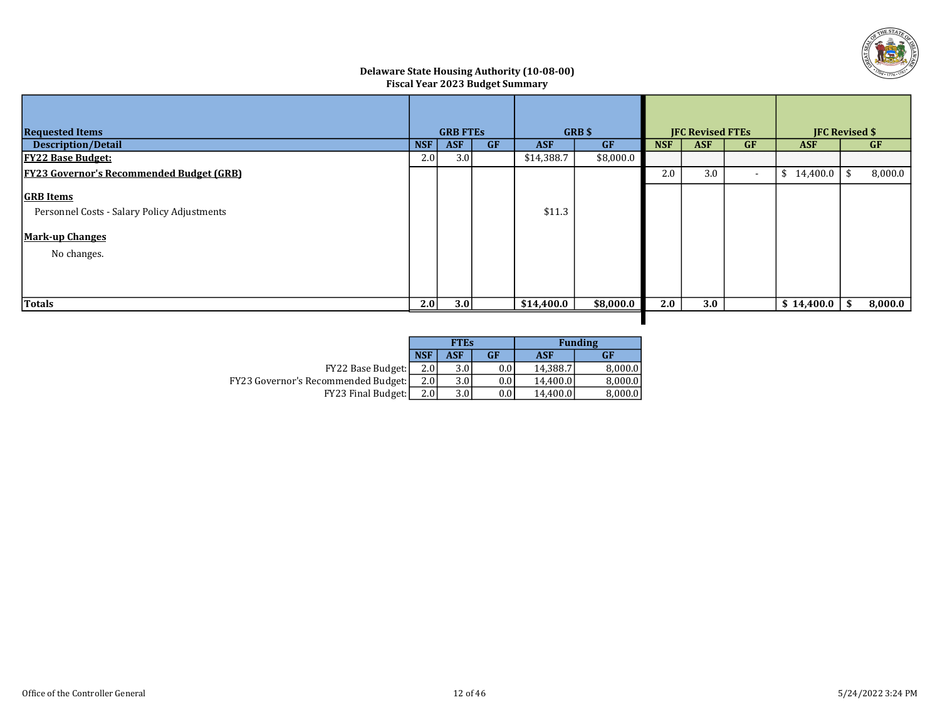

## Delaware State Housing Authority (10-08-00) Fiscal Year 2023 Budget Summary

| <b>Requested Items</b>                          |     | <b>GRB FTES</b> |           |            | GRB\$     | <b>IFC Revised FTEs</b> |            |                          | <b>JFC Revised \$</b> |    |           |
|-------------------------------------------------|-----|-----------------|-----------|------------|-----------|-------------------------|------------|--------------------------|-----------------------|----|-----------|
| <b>Description/Detail</b>                       | NSF | <b>ASF</b>      | <b>GF</b> | <b>ASF</b> | <b>GF</b> | <b>NSF</b>              | <b>ASF</b> | <b>GF</b>                | <b>ASF</b>            |    | <b>GF</b> |
| <b>FY22 Base Budget:</b>                        | 2.0 | 3.0             |           | \$14,388.7 | \$8,000.0 |                         |            |                          |                       |    |           |
| <b>FY23 Governor's Recommended Budget (GRB)</b> |     |                 |           |            |           | 2.0                     | 3.0        | $\overline{\phantom{a}}$ | \$14,400.0            | \$ | 8,000.0   |
| <b>GRB</b> Items                                |     |                 |           |            |           |                         |            |                          |                       |    |           |
| Personnel Costs - Salary Policy Adjustments     |     |                 |           | \$11.3     |           |                         |            |                          |                       |    |           |
| <b>Mark-up Changes</b>                          |     |                 |           |            |           |                         |            |                          |                       |    |           |
| No changes.                                     |     |                 |           |            |           |                         |            |                          |                       |    |           |
|                                                 |     |                 |           |            |           |                         |            |                          |                       |    |           |
|                                                 |     |                 |           |            |           |                         |            |                          |                       |    |           |
| Totals                                          | 2.0 | 3.0             |           | \$14,400.0 | \$8,000.0 | 2.0                     | 3.0        |                          | \$14,400.0            | \$ | 8,000.0   |
|                                                 |     |                 |           |            |           |                         |            |                          |                       |    |           |

|                                            |                  | <b>FTEs</b>      |           | <b>Funding</b> |           |  |  |  |
|--------------------------------------------|------------------|------------------|-----------|----------------|-----------|--|--|--|
|                                            | <b>NSF</b>       | ASF              | <b>GF</b> | ASF            | <b>GF</b> |  |  |  |
| FY22 Base Budget:                          | 2.0              | 3.0 l            | 0.0       | 14.388.7       | 8,000.0   |  |  |  |
| <b>FY23 Governor's Recommended Budget:</b> | 2.0 <sub>l</sub> | 3.0 <sub>1</sub> | 0.0       | 14.400.0       | 8.000.0   |  |  |  |
| FY23 Final Budget:                         | 2.0              | 3.0              | 0.0       | 14.400.0       | 8,000.0   |  |  |  |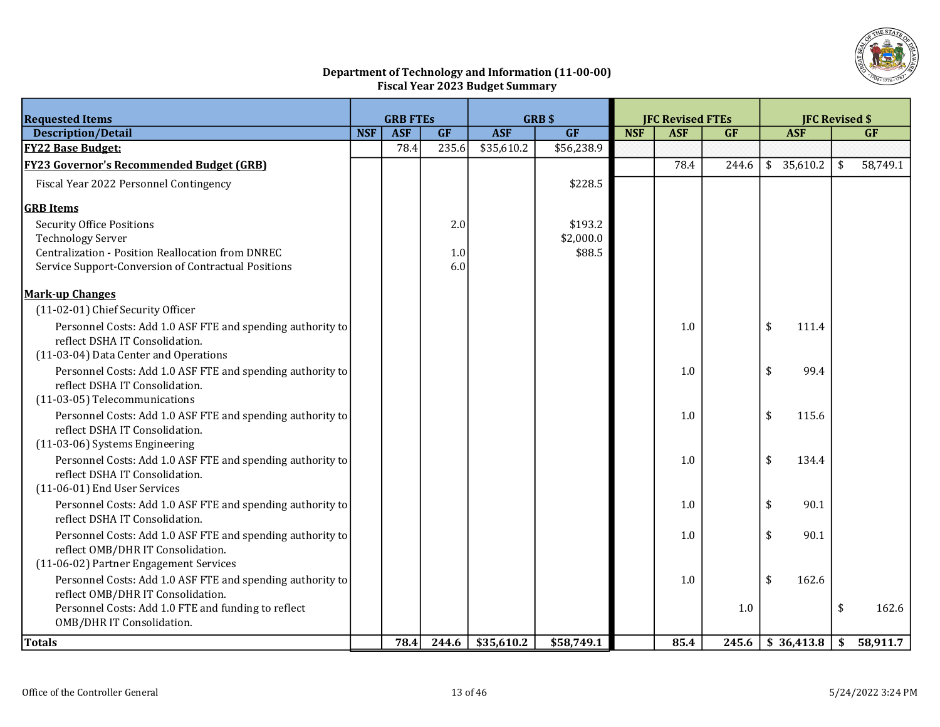

# Department of Technology and Information (11-00-00) Fiscal Year 2023 Budget Summary

| <b>ASF</b><br>GF<br><b>NSF</b><br><b>ASF</b><br>GF<br>GF<br>GF<br><b>Description/Detail</b><br><b>NSF</b><br><b>ASF</b><br><b>ASF</b><br>235.6<br><b>FY22 Base Budget:</b><br>78.4<br>\$35,610.2<br>\$56,238.9<br>\$35,610.2<br>58,749.1<br><b>FY23 Governor's Recommended Budget (GRB)</b><br>78.4<br>244.6<br>\$<br>\$228.5<br>Fiscal Year 2022 Personnel Contingency<br><b>GRB</b> Items<br><b>Security Office Positions</b><br>2.0<br>\$193.2<br>\$2,000.0<br><b>Technology Server</b><br>\$88.5<br><b>Centralization - Position Reallocation from DNREC</b><br>1.0<br>Service Support-Conversion of Contractual Positions<br>6.0<br><b>Mark-up Changes</b><br>(11-02-01) Chief Security Officer<br>\$<br>Personnel Costs: Add 1.0 ASF FTE and spending authority to<br>111.4<br>1.0<br>reflect DSHA IT Consolidation.<br>(11-03-04) Data Center and Operations<br>\$<br>99.4<br>Personnel Costs: Add 1.0 ASF FTE and spending authority to<br>1.0<br>reflect DSHA IT Consolidation.<br>(11-03-05) Telecommunications<br>1.0<br>\$<br>115.6<br>Personnel Costs: Add 1.0 ASF FTE and spending authority to<br>reflect DSHA IT Consolidation.<br>(11-03-06) Systems Engineering<br>\$<br>134.4<br>Personnel Costs: Add 1.0 ASF FTE and spending authority to<br>1.0<br>reflect DSHA IT Consolidation.<br>(11-06-01) End User Services<br>\$<br>Personnel Costs: Add 1.0 ASF FTE and spending authority to<br>90.1<br>1.0<br>reflect DSHA IT Consolidation.<br>Personnel Costs: Add 1.0 ASF FTE and spending authority to<br>\$<br>90.1<br>1.0<br>reflect OMB/DHR IT Consolidation.<br>(11-06-02) Partner Engagement Services<br>Personnel Costs: Add 1.0 ASF FTE and spending authority to<br>\$<br>162.6<br>1.0<br>reflect OMB/DHR IT Consolidation.<br>Personnel Costs: Add 1.0 FTE and funding to reflect<br>\$<br>162.6<br>1.0<br>OMB/DHR IT Consolidation. | <b>Requested Items</b> | <b>GRB\$</b><br><b>GRB FTES</b> |  |  | <b>JFC Revised FTEs</b> |  |  |  | <b>JFC Revised \$</b> |  |  |  |
|-------------------------------------------------------------------------------------------------------------------------------------------------------------------------------------------------------------------------------------------------------------------------------------------------------------------------------------------------------------------------------------------------------------------------------------------------------------------------------------------------------------------------------------------------------------------------------------------------------------------------------------------------------------------------------------------------------------------------------------------------------------------------------------------------------------------------------------------------------------------------------------------------------------------------------------------------------------------------------------------------------------------------------------------------------------------------------------------------------------------------------------------------------------------------------------------------------------------------------------------------------------------------------------------------------------------------------------------------------------------------------------------------------------------------------------------------------------------------------------------------------------------------------------------------------------------------------------------------------------------------------------------------------------------------------------------------------------------------------------------------------------------------------------------------------------------------------------------------------------------|------------------------|---------------------------------|--|--|-------------------------|--|--|--|-----------------------|--|--|--|
|                                                                                                                                                                                                                                                                                                                                                                                                                                                                                                                                                                                                                                                                                                                                                                                                                                                                                                                                                                                                                                                                                                                                                                                                                                                                                                                                                                                                                                                                                                                                                                                                                                                                                                                                                                                                                                                                   |                        |                                 |  |  |                         |  |  |  |                       |  |  |  |
|                                                                                                                                                                                                                                                                                                                                                                                                                                                                                                                                                                                                                                                                                                                                                                                                                                                                                                                                                                                                                                                                                                                                                                                                                                                                                                                                                                                                                                                                                                                                                                                                                                                                                                                                                                                                                                                                   |                        |                                 |  |  |                         |  |  |  |                       |  |  |  |
|                                                                                                                                                                                                                                                                                                                                                                                                                                                                                                                                                                                                                                                                                                                                                                                                                                                                                                                                                                                                                                                                                                                                                                                                                                                                                                                                                                                                                                                                                                                                                                                                                                                                                                                                                                                                                                                                   |                        |                                 |  |  |                         |  |  |  |                       |  |  |  |
|                                                                                                                                                                                                                                                                                                                                                                                                                                                                                                                                                                                                                                                                                                                                                                                                                                                                                                                                                                                                                                                                                                                                                                                                                                                                                                                                                                                                                                                                                                                                                                                                                                                                                                                                                                                                                                                                   |                        |                                 |  |  |                         |  |  |  |                       |  |  |  |
|                                                                                                                                                                                                                                                                                                                                                                                                                                                                                                                                                                                                                                                                                                                                                                                                                                                                                                                                                                                                                                                                                                                                                                                                                                                                                                                                                                                                                                                                                                                                                                                                                                                                                                                                                                                                                                                                   |                        |                                 |  |  |                         |  |  |  |                       |  |  |  |
|                                                                                                                                                                                                                                                                                                                                                                                                                                                                                                                                                                                                                                                                                                                                                                                                                                                                                                                                                                                                                                                                                                                                                                                                                                                                                                                                                                                                                                                                                                                                                                                                                                                                                                                                                                                                                                                                   |                        |                                 |  |  |                         |  |  |  |                       |  |  |  |
|                                                                                                                                                                                                                                                                                                                                                                                                                                                                                                                                                                                                                                                                                                                                                                                                                                                                                                                                                                                                                                                                                                                                                                                                                                                                                                                                                                                                                                                                                                                                                                                                                                                                                                                                                                                                                                                                   |                        |                                 |  |  |                         |  |  |  |                       |  |  |  |
|                                                                                                                                                                                                                                                                                                                                                                                                                                                                                                                                                                                                                                                                                                                                                                                                                                                                                                                                                                                                                                                                                                                                                                                                                                                                                                                                                                                                                                                                                                                                                                                                                                                                                                                                                                                                                                                                   |                        |                                 |  |  |                         |  |  |  |                       |  |  |  |
|                                                                                                                                                                                                                                                                                                                                                                                                                                                                                                                                                                                                                                                                                                                                                                                                                                                                                                                                                                                                                                                                                                                                                                                                                                                                                                                                                                                                                                                                                                                                                                                                                                                                                                                                                                                                                                                                   |                        |                                 |  |  |                         |  |  |  |                       |  |  |  |
|                                                                                                                                                                                                                                                                                                                                                                                                                                                                                                                                                                                                                                                                                                                                                                                                                                                                                                                                                                                                                                                                                                                                                                                                                                                                                                                                                                                                                                                                                                                                                                                                                                                                                                                                                                                                                                                                   |                        |                                 |  |  |                         |  |  |  |                       |  |  |  |
|                                                                                                                                                                                                                                                                                                                                                                                                                                                                                                                                                                                                                                                                                                                                                                                                                                                                                                                                                                                                                                                                                                                                                                                                                                                                                                                                                                                                                                                                                                                                                                                                                                                                                                                                                                                                                                                                   |                        |                                 |  |  |                         |  |  |  |                       |  |  |  |
|                                                                                                                                                                                                                                                                                                                                                                                                                                                                                                                                                                                                                                                                                                                                                                                                                                                                                                                                                                                                                                                                                                                                                                                                                                                                                                                                                                                                                                                                                                                                                                                                                                                                                                                                                                                                                                                                   |                        |                                 |  |  |                         |  |  |  |                       |  |  |  |
|                                                                                                                                                                                                                                                                                                                                                                                                                                                                                                                                                                                                                                                                                                                                                                                                                                                                                                                                                                                                                                                                                                                                                                                                                                                                                                                                                                                                                                                                                                                                                                                                                                                                                                                                                                                                                                                                   |                        |                                 |  |  |                         |  |  |  |                       |  |  |  |
|                                                                                                                                                                                                                                                                                                                                                                                                                                                                                                                                                                                                                                                                                                                                                                                                                                                                                                                                                                                                                                                                                                                                                                                                                                                                                                                                                                                                                                                                                                                                                                                                                                                                                                                                                                                                                                                                   |                        |                                 |  |  |                         |  |  |  |                       |  |  |  |
|                                                                                                                                                                                                                                                                                                                                                                                                                                                                                                                                                                                                                                                                                                                                                                                                                                                                                                                                                                                                                                                                                                                                                                                                                                                                                                                                                                                                                                                                                                                                                                                                                                                                                                                                                                                                                                                                   |                        |                                 |  |  |                         |  |  |  |                       |  |  |  |
|                                                                                                                                                                                                                                                                                                                                                                                                                                                                                                                                                                                                                                                                                                                                                                                                                                                                                                                                                                                                                                                                                                                                                                                                                                                                                                                                                                                                                                                                                                                                                                                                                                                                                                                                                                                                                                                                   |                        |                                 |  |  |                         |  |  |  |                       |  |  |  |
|                                                                                                                                                                                                                                                                                                                                                                                                                                                                                                                                                                                                                                                                                                                                                                                                                                                                                                                                                                                                                                                                                                                                                                                                                                                                                                                                                                                                                                                                                                                                                                                                                                                                                                                                                                                                                                                                   |                        |                                 |  |  |                         |  |  |  |                       |  |  |  |
|                                                                                                                                                                                                                                                                                                                                                                                                                                                                                                                                                                                                                                                                                                                                                                                                                                                                                                                                                                                                                                                                                                                                                                                                                                                                                                                                                                                                                                                                                                                                                                                                                                                                                                                                                                                                                                                                   |                        |                                 |  |  |                         |  |  |  |                       |  |  |  |
|                                                                                                                                                                                                                                                                                                                                                                                                                                                                                                                                                                                                                                                                                                                                                                                                                                                                                                                                                                                                                                                                                                                                                                                                                                                                                                                                                                                                                                                                                                                                                                                                                                                                                                                                                                                                                                                                   |                        |                                 |  |  |                         |  |  |  |                       |  |  |  |
|                                                                                                                                                                                                                                                                                                                                                                                                                                                                                                                                                                                                                                                                                                                                                                                                                                                                                                                                                                                                                                                                                                                                                                                                                                                                                                                                                                                                                                                                                                                                                                                                                                                                                                                                                                                                                                                                   |                        |                                 |  |  |                         |  |  |  |                       |  |  |  |
|                                                                                                                                                                                                                                                                                                                                                                                                                                                                                                                                                                                                                                                                                                                                                                                                                                                                                                                                                                                                                                                                                                                                                                                                                                                                                                                                                                                                                                                                                                                                                                                                                                                                                                                                                                                                                                                                   |                        |                                 |  |  |                         |  |  |  |                       |  |  |  |
|                                                                                                                                                                                                                                                                                                                                                                                                                                                                                                                                                                                                                                                                                                                                                                                                                                                                                                                                                                                                                                                                                                                                                                                                                                                                                                                                                                                                                                                                                                                                                                                                                                                                                                                                                                                                                                                                   |                        |                                 |  |  |                         |  |  |  |                       |  |  |  |
|                                                                                                                                                                                                                                                                                                                                                                                                                                                                                                                                                                                                                                                                                                                                                                                                                                                                                                                                                                                                                                                                                                                                                                                                                                                                                                                                                                                                                                                                                                                                                                                                                                                                                                                                                                                                                                                                   |                        |                                 |  |  |                         |  |  |  |                       |  |  |  |
|                                                                                                                                                                                                                                                                                                                                                                                                                                                                                                                                                                                                                                                                                                                                                                                                                                                                                                                                                                                                                                                                                                                                                                                                                                                                                                                                                                                                                                                                                                                                                                                                                                                                                                                                                                                                                                                                   |                        |                                 |  |  |                         |  |  |  |                       |  |  |  |
|                                                                                                                                                                                                                                                                                                                                                                                                                                                                                                                                                                                                                                                                                                                                                                                                                                                                                                                                                                                                                                                                                                                                                                                                                                                                                                                                                                                                                                                                                                                                                                                                                                                                                                                                                                                                                                                                   |                        |                                 |  |  |                         |  |  |  |                       |  |  |  |
|                                                                                                                                                                                                                                                                                                                                                                                                                                                                                                                                                                                                                                                                                                                                                                                                                                                                                                                                                                                                                                                                                                                                                                                                                                                                                                                                                                                                                                                                                                                                                                                                                                                                                                                                                                                                                                                                   |                        |                                 |  |  |                         |  |  |  |                       |  |  |  |
|                                                                                                                                                                                                                                                                                                                                                                                                                                                                                                                                                                                                                                                                                                                                                                                                                                                                                                                                                                                                                                                                                                                                                                                                                                                                                                                                                                                                                                                                                                                                                                                                                                                                                                                                                                                                                                                                   |                        |                                 |  |  |                         |  |  |  |                       |  |  |  |
|                                                                                                                                                                                                                                                                                                                                                                                                                                                                                                                                                                                                                                                                                                                                                                                                                                                                                                                                                                                                                                                                                                                                                                                                                                                                                                                                                                                                                                                                                                                                                                                                                                                                                                                                                                                                                                                                   |                        |                                 |  |  |                         |  |  |  |                       |  |  |  |
|                                                                                                                                                                                                                                                                                                                                                                                                                                                                                                                                                                                                                                                                                                                                                                                                                                                                                                                                                                                                                                                                                                                                                                                                                                                                                                                                                                                                                                                                                                                                                                                                                                                                                                                                                                                                                                                                   |                        |                                 |  |  |                         |  |  |  |                       |  |  |  |
|                                                                                                                                                                                                                                                                                                                                                                                                                                                                                                                                                                                                                                                                                                                                                                                                                                                                                                                                                                                                                                                                                                                                                                                                                                                                                                                                                                                                                                                                                                                                                                                                                                                                                                                                                                                                                                                                   |                        |                                 |  |  |                         |  |  |  |                       |  |  |  |
|                                                                                                                                                                                                                                                                                                                                                                                                                                                                                                                                                                                                                                                                                                                                                                                                                                                                                                                                                                                                                                                                                                                                                                                                                                                                                                                                                                                                                                                                                                                                                                                                                                                                                                                                                                                                                                                                   |                        |                                 |  |  |                         |  |  |  |                       |  |  |  |
| \$58,749.1<br>Totals<br>\$35,610.2<br>\$36,413.8<br>\$58,911.7<br>78.4<br>244.6<br>85.4<br>245.6                                                                                                                                                                                                                                                                                                                                                                                                                                                                                                                                                                                                                                                                                                                                                                                                                                                                                                                                                                                                                                                                                                                                                                                                                                                                                                                                                                                                                                                                                                                                                                                                                                                                                                                                                                  |                        |                                 |  |  |                         |  |  |  |                       |  |  |  |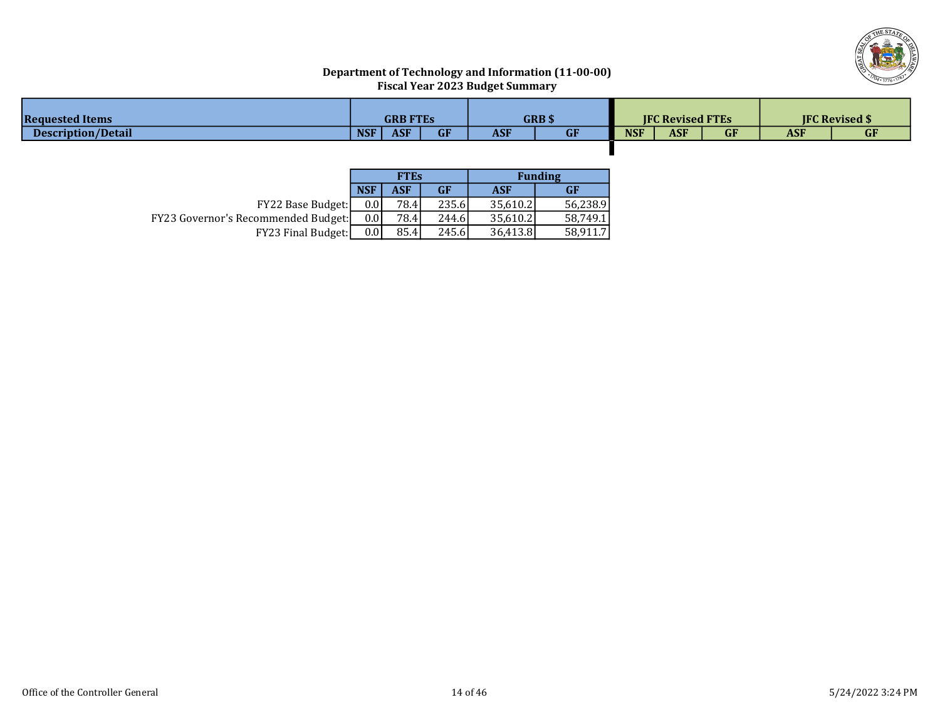

# Department of Technology and Information (11-00-00) Fiscal Year 2023 Budget Summary

| <b>Requested Items</b>    |            | GRB FTEs   |               |            | <b>GRB \$</b> |            | <b>JFC Revised FTEs</b> |           |            | <b>IFC Revised \$</b> |
|---------------------------|------------|------------|---------------|------------|---------------|------------|-------------------------|-----------|------------|-----------------------|
| <b>Description/Detail</b> | <b>NSF</b> | <b>ASF</b> | $\sim$ $\sim$ | <b>ASF</b> | <b>GF</b>     | <b>NSF</b> | <b>ASF</b>              | <b>GF</b> | <b>ASF</b> | <b>GF</b>             |
|                           |            |            |               |            |               |            |                         |           |            |                       |

|                                            |            | <b>FTEs</b> |       |          | <b>Funding</b> |
|--------------------------------------------|------------|-------------|-------|----------|----------------|
|                                            | <b>NSF</b> | ASF         | GF    | ASF      | GF             |
| <b>FY22 Base Budget:</b>                   | 0.01       | 78.4        | 235.6 | 35.610.2 | 56.238.9       |
| <b>FY23 Governor's Recommended Budget:</b> | 0.01       | 78.4        | 244.6 | 35.610.2 | 58.749.1       |
| <b>FY23 Final Budget:</b>                  | 0.01       | 85.4        | 245.6 | 36.413.8 | 58.911.7       |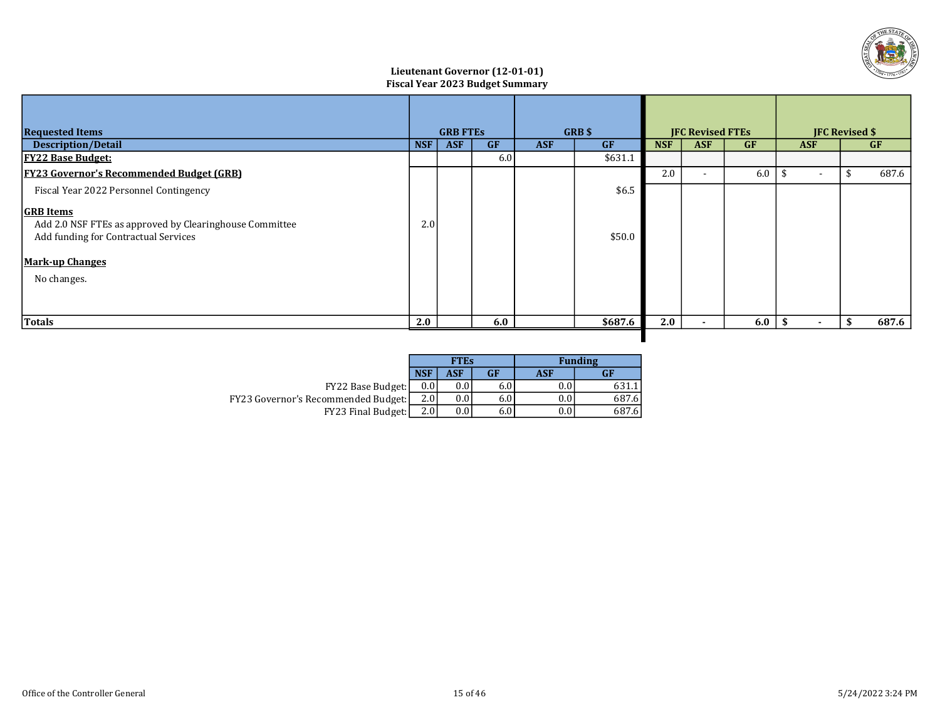

## Lieutenant Governor (12-01-01) Fiscal Year 2023 Budget Summary

| <b>Requested Items</b>                                                                                                                                       |            | <b>GRB FTES</b>                       |     |           | GRB \$     |            | <b>JFC Revised FTEs</b> |            | <b>JFC Revised \$</b>    |           |       |
|--------------------------------------------------------------------------------------------------------------------------------------------------------------|------------|---------------------------------------|-----|-----------|------------|------------|-------------------------|------------|--------------------------|-----------|-------|
| <b>Description/Detail</b>                                                                                                                                    | <b>NSF</b> | <b>GF</b><br><b>ASF</b><br><b>ASF</b> |     | <b>GF</b> | <b>NSF</b> | <b>ASF</b> | <b>GF</b>               | <b>ASF</b> |                          | <b>GF</b> |       |
| <u> FY22 Base Budget:</u>                                                                                                                                    |            |                                       | 6.0 |           | \$631.1    |            |                         |            |                          |           |       |
| <b>FY23 Governor's Recommended Budget (GRB)</b>                                                                                                              |            |                                       |     |           |            | 2.0        |                         | 6.0        | $\overline{\phantom{a}}$ |           | 687.6 |
| Fiscal Year 2022 Personnel Contingency                                                                                                                       |            |                                       |     |           | \$6.5      |            |                         |            |                          |           |       |
| <b>GRB</b> Items<br>Add 2.0 NSF FTEs as approved by Clearinghouse Committee<br>Add funding for Contractual Services<br><b>Mark-up Changes</b><br>No changes. | 2.0        |                                       |     |           | \$50.0     |            |                         |            |                          |           |       |
| Totals                                                                                                                                                       | 2.0        |                                       | 6.0 |           | \$687.6    | 2.0        |                         | 6.0        | ÷.                       | -\$       | 687.6 |
|                                                                                                                                                              |            |                                       |     |           |            |            |                         |            |                          |           |       |

|                                            |            | <b>FTEs</b> |     |     | <b>Funding</b> |
|--------------------------------------------|------------|-------------|-----|-----|----------------|
|                                            | <b>NSF</b> | ASF         | GF  | ASF | GF             |
| FY22 Base Budget:                          | 0.0        |             | 6.0 |     | 631.           |
| <b>FY23 Governor's Recommended Budget:</b> | 2.0        | $0.0\,$     | 6.0 | 0.0 | 687.6          |
| FY23 Final Budget:                         | 2.0        | $0.0\,$     | 6.0 | 0.0 | 687.6          |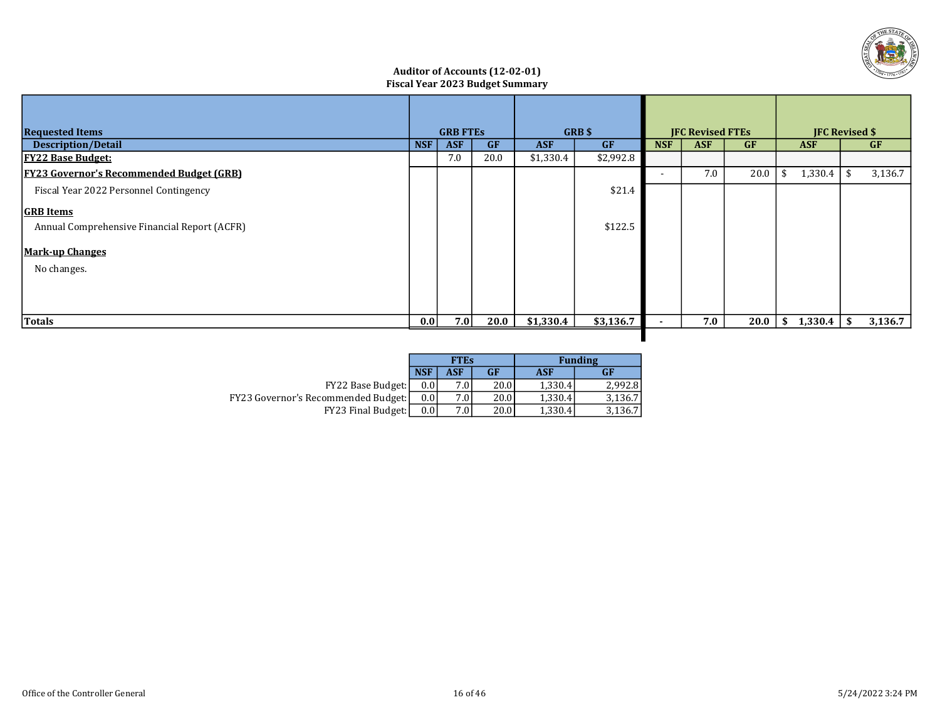

## Auditor of Accounts (12-02-01) Fiscal Year 2023 Budget Summary

| <b>Requested Items</b>                          |            | <b>GRB FTES</b> |           |            | GRB \$    | <b>IFC Revised FTEs</b> |            |           | <b>JFC Revised \$</b> |           |         |
|-------------------------------------------------|------------|-----------------|-----------|------------|-----------|-------------------------|------------|-----------|-----------------------|-----------|---------|
| <b>Description/Detail</b>                       | <b>NSF</b> | <b>ASF</b>      | <b>GF</b> | <b>ASF</b> | <b>GF</b> | <b>NSF</b>              | <b>ASF</b> | <b>GF</b> | <b>ASF</b>            | <b>GF</b> |         |
| <u> FY22 Base Budget:</u>                       |            | 7.0             | 20.0      | \$1,330.4  | \$2,992.8 |                         |            |           |                       |           |         |
| <b>FY23 Governor's Recommended Budget (GRB)</b> |            |                 |           |            |           | $\sim$                  | 7.0        | 20.0      | 1,330.4               | -\$       | 3,136.7 |
| Fiscal Year 2022 Personnel Contingency          |            |                 |           |            | \$21.4    |                         |            |           |                       |           |         |
| <b>GRB</b> Items                                |            |                 |           |            |           |                         |            |           |                       |           |         |
| Annual Comprehensive Financial Report (ACFR)    |            |                 |           |            | \$122.5   |                         |            |           |                       |           |         |
| <b>Mark-up Changes</b>                          |            |                 |           |            |           |                         |            |           |                       |           |         |
| No changes.                                     |            |                 |           |            |           |                         |            |           |                       |           |         |
|                                                 |            |                 |           |            |           |                         |            |           |                       |           |         |
|                                                 |            |                 |           |            |           |                         |            |           |                       |           |         |
| Totals                                          | 0.01       | 7.0             | 20.0      | \$1,330.4  | \$3,136.7 | ۰                       | 7.0        | 20.0      | \$<br>1,330.4         | -\$       | 3,136.7 |
|                                                 |            |                 |           |            |           |                         |            |           |                       |           |         |

|                                            |                  | <b>FTEs</b> |      | <b>Funding</b> |         |  |  |  |
|--------------------------------------------|------------------|-------------|------|----------------|---------|--|--|--|
|                                            | <b>NSF</b>       | <b>ASF</b>  | GF   | <b>ASF</b>     | GF      |  |  |  |
| <b>FY22 Base Budget:</b>                   | 0.0 <sub>l</sub> | 7.0         | 20.0 | 1,330.4        | 2.992.8 |  |  |  |
| <b>FY23 Governor's Recommended Budget:</b> | 0.0 <sub>1</sub> | 7.0         | 20.0 | 1,330.4        | 3,136.7 |  |  |  |
| FY23 Final Budget:                         | 0.0 <sub>l</sub> | 7.0         | 20.0 | 1,330.4        | 3,136.7 |  |  |  |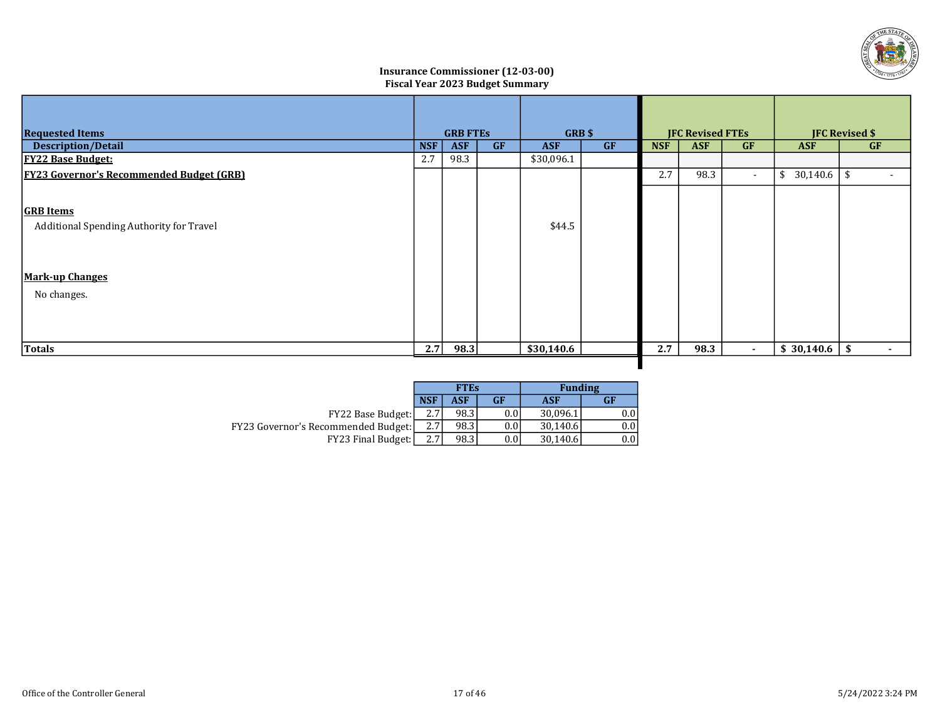

## Insurance Commissioner (12-03-00) Fiscal Year 2023 Budget Summary

| <b>Requested Items</b>                                                                                | <b>GRB FTES</b>                       |      |  |                                  | <b>JFC Revised FTEs</b> |            |            |                         | <b>JFC Revised \$</b> |                          |
|-------------------------------------------------------------------------------------------------------|---------------------------------------|------|--|----------------------------------|-------------------------|------------|------------|-------------------------|-----------------------|--------------------------|
| <b>Description/Detail</b>                                                                             | <b>GF</b><br><b>NSF</b><br><b>ASF</b> |      |  | GRB\$<br><b>ASF</b><br><b>GF</b> |                         | <b>NSF</b> | <b>ASF</b> | <b>GF</b><br><b>ASF</b> |                       | GF                       |
| <b>FY22 Base Budget:</b>                                                                              | 2.7                                   | 98.3 |  | \$30,096.1                       |                         |            |            |                         |                       |                          |
| <b>FY23 Governor's Recommended Budget (GRB)</b>                                                       |                                       |      |  |                                  |                         | 2.7        | 98.3       | $\sim$                  | $$30,140.6$ \ \ \$    | $\overline{\phantom{a}}$ |
| <b>GRB</b> Items<br>Additional Spending Authority for Travel<br><b>Mark-up Changes</b><br>No changes. |                                       |      |  | \$44.5                           |                         |            |            |                         |                       |                          |
| Totals                                                                                                | 2.7                                   | 98.3 |  | \$30,140.6                       |                         | 2.7        | 98.3       | $\sim$                  | \$30,140.6            | \$<br>$\sim$             |

|                                            |                  | <b>FTEs</b> |           | <b>Funding</b> |               |
|--------------------------------------------|------------------|-------------|-----------|----------------|---------------|
|                                            | <b>NSF</b>       | <b>ASF</b>  | <b>GF</b> | <b>ASF</b>     | GF            |
| <b>FY22 Base Budget:</b>                   | 2.7 <sub>1</sub> | 98.3        | 0.01      | 30.096.1       | $0.0^{\circ}$ |
| <b>FY23 Governor's Recommended Budget:</b> | 2.7              | 98.3        | 0.01      | 30,140.6       | $0.0^{\circ}$ |
| <b>FY23 Final Budget:</b>                  | 2.7 <sub>1</sub> | 98.3        | $0.0\,$   | 30.140.6       |               |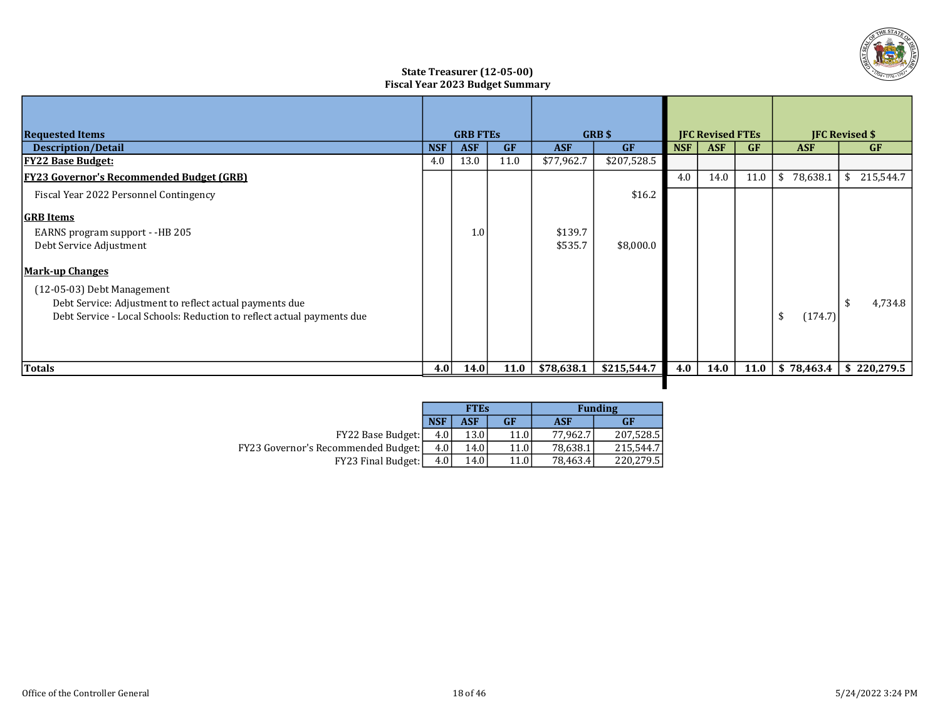

## State Treasurer (12-05-00) Fiscal Year 2023 Budget Summary

|                                                                        |            |                 | <b>GRB</b> \$ |            |             |                         |            |                       |                |                   |
|------------------------------------------------------------------------|------------|-----------------|---------------|------------|-------------|-------------------------|------------|-----------------------|----------------|-------------------|
| <b>Requested Items</b>                                                 |            | <b>GRB FTES</b> |               |            |             | <b>IFC Revised FTEs</b> |            | <b>IFC Revised \$</b> |                |                   |
| <b>Description/Detail</b>                                              | <b>NSF</b> | <b>ASF</b>      | <b>GF</b>     | <b>ASF</b> | GF          | <b>NSF</b>              | <b>ASF</b> | <b>GF</b>             | <b>ASF</b>     | <b>GF</b>         |
| <b>FY22 Base Budget:</b>                                               | 4.0        | 13.0            | 11.0          | \$77,962.7 | \$207,528.5 |                         |            |                       |                |                   |
| <b>FY23 Governor's Recommended Budget (GRB)</b>                        |            |                 |               |            |             | 4.0                     | 14.0       | 11.0                  | 78,638.1<br>\$ | 215,544.7<br>- \$ |
| Fiscal Year 2022 Personnel Contingency                                 |            |                 |               |            | \$16.2      |                         |            |                       |                |                   |
| <b>GRB</b> Items                                                       |            |                 |               |            |             |                         |            |                       |                |                   |
| EARNS program support - -HB 205                                        |            | 1.0             |               | \$139.7    |             |                         |            |                       |                |                   |
| Debt Service Adjustment                                                |            |                 |               | \$535.7    | \$8,000.0   |                         |            |                       |                |                   |
| <b>Mark-up Changes</b>                                                 |            |                 |               |            |             |                         |            |                       |                |                   |
| (12-05-03) Debt Management                                             |            |                 |               |            |             |                         |            |                       |                |                   |
| Debt Service: Adjustment to reflect actual payments due                |            |                 |               |            |             |                         |            |                       |                | 4,734.8           |
| Debt Service - Local Schools: Reduction to reflect actual payments due |            |                 |               |            |             |                         |            |                       | \$<br>(174.7)  |                   |
|                                                                        |            |                 |               |            |             |                         |            |                       |                |                   |
|                                                                        |            |                 |               |            |             |                         |            |                       |                |                   |
| Totals                                                                 | 4.0        | 14.0            | 11.0          | \$78,638.1 | \$215,544.7 | 4.0                     | 14.0       | 11.0                  | \$78,463.4     | \$220,279.5       |
|                                                                        |            |                 |               |            |             |                         |            |                       |                |                   |

|                                            |            | <b>FTEs</b> |       |            | <b>Funding</b> |
|--------------------------------------------|------------|-------------|-------|------------|----------------|
|                                            | <b>NSF</b> | <b>ASF</b>  | GF    | <b>ASF</b> | <b>GF</b>      |
| <b>FY22 Base Budget:</b>                   | 4.0        | 13.0        | 11.0  | 77.962.7   | 207.528.5      |
| <b>FY23 Governor's Recommended Budget:</b> | 4.0        | 14.0        | 11.0I | 78,638.1   | 215.544.7      |
| <b>FY23 Final Budget:</b>                  | 4.0        | 14.0        | 11.0I | 78,463.4   | 220,279.5      |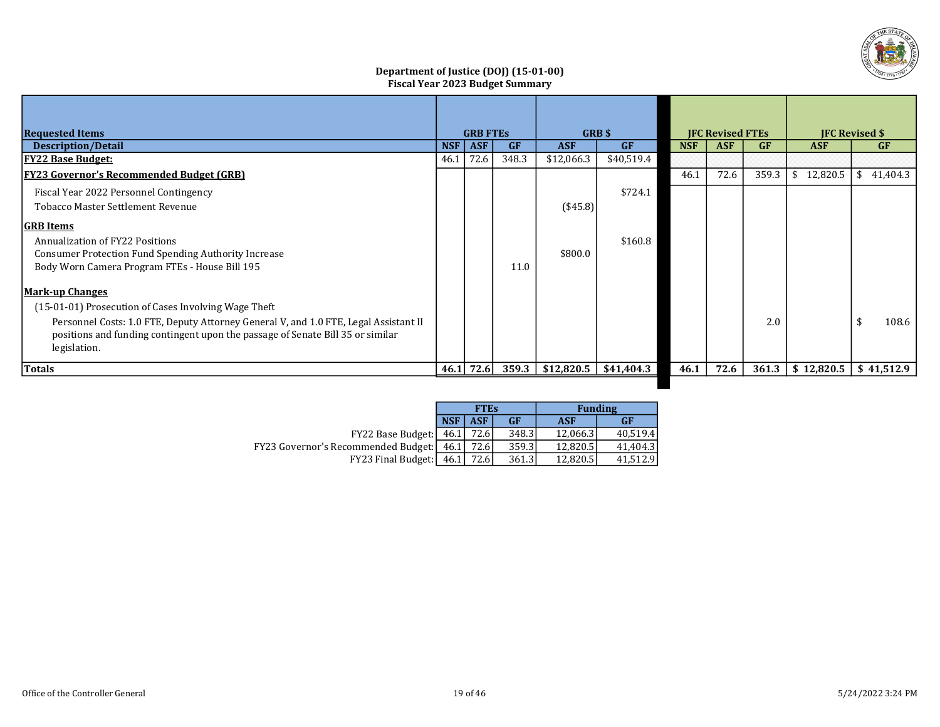

## Department of Justice (DOJ) (15-01-00) Fiscal Year 2023 Budget Summary

| <b>Requested Items</b>                                                               |            | <b>GRB FTES</b> |           | <b>GRB</b> \$   |            | <b>IFC Revised FTEs</b> |            |       | <b>IFC Revised \$</b> |            |  |
|--------------------------------------------------------------------------------------|------------|-----------------|-----------|-----------------|------------|-------------------------|------------|-------|-----------------------|------------|--|
| <b>Description/Detail</b>                                                            | <b>NSF</b> | <b>ASF</b>      | <b>GF</b> | <b>ASF</b>      | GF         | <b>NSF</b>              | <b>ASF</b> | GF    | <b>ASF</b>            | <b>GF</b>  |  |
| <b>FY22 Base Budget:</b>                                                             | 46.1       | 72.6            | 348.3     | \$12,066.3      | \$40,519.4 |                         |            |       |                       |            |  |
| <b>FY23 Governor's Recommended Budget (GRB)</b>                                      |            |                 |           |                 |            | 46.1                    | 72.6       | 359.3 | 12,820.5<br>-S        | \$41,404.3 |  |
| Fiscal Year 2022 Personnel Contingency                                               |            |                 |           |                 | \$724.1    |                         |            |       |                       |            |  |
| Tobacco Master Settlement Revenue                                                    |            |                 |           | $($ \$45.8) $ $ |            |                         |            |       |                       |            |  |
| <b>GRB</b> Items                                                                     |            |                 |           |                 |            |                         |            |       |                       |            |  |
| Annualization of FY22 Positions                                                      |            |                 |           |                 | \$160.8    |                         |            |       |                       |            |  |
| <b>Consumer Protection Fund Spending Authority Increase</b>                          |            |                 |           | \$800.0         |            |                         |            |       |                       |            |  |
| Body Worn Camera Program FTEs - House Bill 195                                       |            |                 | 11.0      |                 |            |                         |            |       |                       |            |  |
| <b>Mark-up Changes</b>                                                               |            |                 |           |                 |            |                         |            |       |                       |            |  |
| (15-01-01) Prosecution of Cases Involving Wage Theft                                 |            |                 |           |                 |            |                         |            |       |                       |            |  |
| Personnel Costs: 1.0 FTE, Deputy Attorney General V, and 1.0 FTE, Legal Assistant II |            |                 |           |                 |            |                         |            | 2.0   |                       | 108.6      |  |
| positions and funding contingent upon the passage of Senate Bill 35 or similar       |            |                 |           |                 |            |                         |            |       |                       |            |  |
| legislation.                                                                         |            |                 |           |                 |            |                         |            |       |                       |            |  |
| Totals                                                                               |            | 46.1 $72.6$     | 359.3     | \$12,820.5      | \$41,404.3 | 46.1                    | 72.6       | 361.3 | \$12,820.5            | \$41,512.9 |  |
|                                                                                      |            |                 |           |                 |            |                         |            |       |                       |            |  |

|                                            |            | <b>FTEs</b> |        | <b>Funding</b> |           |  |  |
|--------------------------------------------|------------|-------------|--------|----------------|-----------|--|--|
|                                            | <b>NSF</b> | <b>ASF</b>  | GF     | <b>ASF</b>     | <b>GF</b> |  |  |
| FY22 Base Budget:                          | 46.1       | 72.6        | 348.3  | 12.066.3       | 40.519.4  |  |  |
| <b>FY23 Governor's Recommended Budget:</b> | 46.1       | 72.6        | 359.31 | 12.820.5       | 41.404.3  |  |  |
| FY23 Final Budget:   46.1                  |            | 72.6        | 361.3  | 12.820.5       | 41.512.9  |  |  |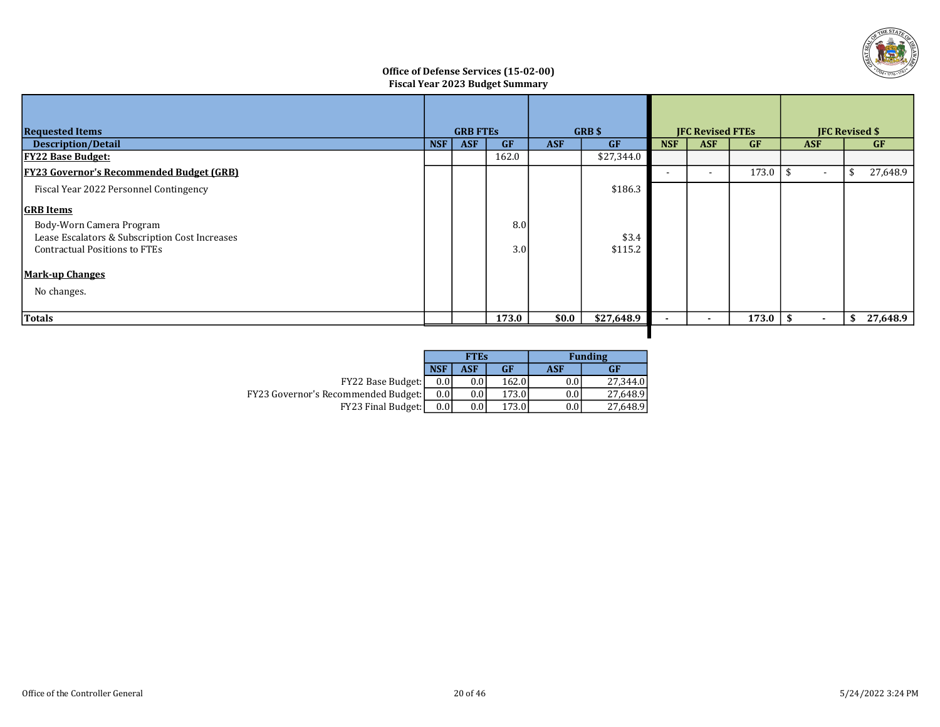

## Office of Defense Services (15-02-00) Fiscal Year 2023 Budget Summary

| <b>Requested Items</b>                          |            | <b>GRB FTES</b> |       |            | <b>GRB</b> \$ |            | <b>JFC Revised FTEs</b>  |           |                | <b>JFC Revised \$</b> |          |
|-------------------------------------------------|------------|-----------------|-------|------------|---------------|------------|--------------------------|-----------|----------------|-----------------------|----------|
| <b>Description/Detail</b>                       | <b>NSF</b> | <b>ASF</b>      | GF    | <b>ASF</b> | <b>GF</b>     | <b>NSF</b> | <b>ASF</b>               | <b>GF</b> | <b>ASF</b>     | <b>GF</b>             |          |
| <u> FY22 Base Budget:</u>                       |            |                 | 162.0 |            | \$27,344.0    |            |                          |           |                |                       |          |
| <b>FY23 Governor's Recommended Budget (GRB)</b> |            |                 |       |            |               |            | $\overline{\phantom{a}}$ | 173.0     | $\blacksquare$ |                       | 27,648.9 |
| Fiscal Year 2022 Personnel Contingency          |            |                 |       |            | \$186.3       |            |                          |           |                |                       |          |
| <b>GRB</b> Items                                |            |                 |       |            |               |            |                          |           |                |                       |          |
| Body-Worn Camera Program                        |            |                 | 8.0   |            |               |            |                          |           |                |                       |          |
| Lease Escalators & Subscription Cost Increases  |            |                 |       |            | \$3.4         |            |                          |           |                |                       |          |
| <b>Contractual Positions to FTEs</b>            |            |                 | 3.0   |            | \$115.2       |            |                          |           |                |                       |          |
| <b>Mark-up Changes</b>                          |            |                 |       |            |               |            |                          |           |                |                       |          |
| No changes.                                     |            |                 |       |            |               |            |                          |           |                |                       |          |
|                                                 |            |                 |       |            |               |            |                          |           |                |                       |          |
| Totals                                          |            |                 | 173.0 | \$0.0      | \$27,648.9    |            |                          | 173.0     | ۰<br>- 35      |                       | 27,648.9 |

П

|                                            |            | <b>FTEs</b>      |           |     | <b>Funding</b> |
|--------------------------------------------|------------|------------------|-----------|-----|----------------|
|                                            | <b>NSF</b> | ASF              | <b>GF</b> | ASF | <b>GF</b>      |
| FY22 Base Budget:                          | 0.0        | 0.0 <sub>1</sub> | 162.0     | 0.0 | 27.344.0       |
| <b>FY23 Governor's Recommended Budget:</b> | 0.0        | 0.0 <sub>1</sub> | 173.0     | 0.0 | 27.648.9       |
| FY23 Final Budget:                         | 0.0        | 0.0              | 173.0     | 0.0 | 27.648.9       |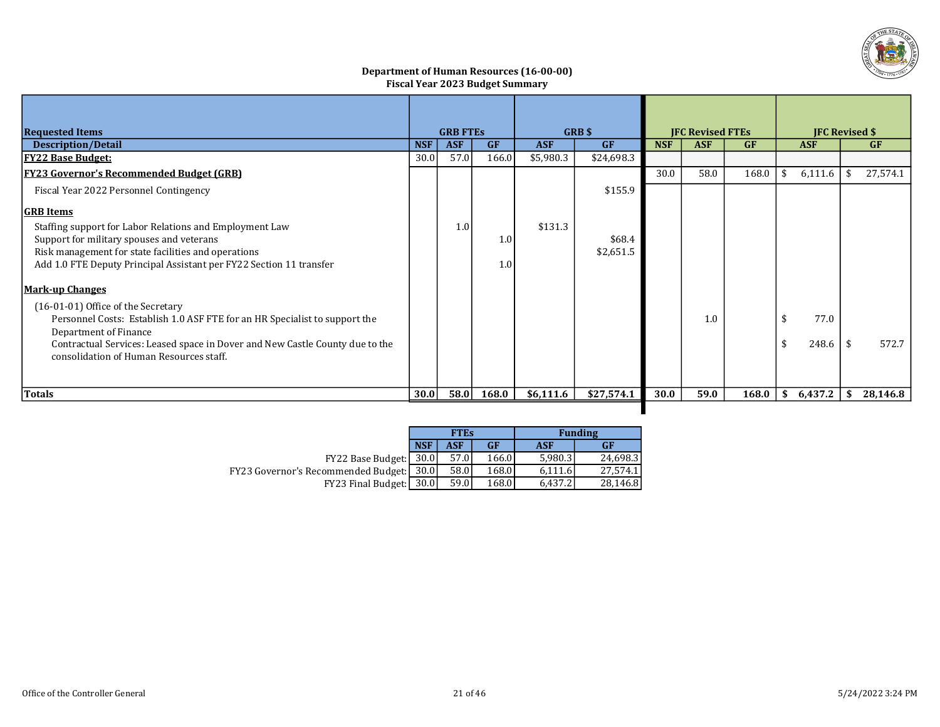

#### Department of Human Resources (16-00-00) Fiscal Year 2023 Budget Summary

| <b>Requested Items</b>                                                                                                                                                                                                             |            | <b>GRB FTES</b>                                    |            | <b>GRB</b> \$ | <b>JFC Revised FTEs</b> |            |           |       | <b>IFC Revised \$</b> |         |           |          |
|------------------------------------------------------------------------------------------------------------------------------------------------------------------------------------------------------------------------------------|------------|----------------------------------------------------|------------|---------------|-------------------------|------------|-----------|-------|-----------------------|---------|-----------|----------|
| Description/Detail                                                                                                                                                                                                                 | <b>NSF</b> | <b>ASF</b><br><b>ASF</b><br><b>GF</b><br><b>GF</b> |            |               | <b>NSF</b>              | <b>ASF</b> | <b>GF</b> |       | <b>ASF</b>            |         | <b>GF</b> |          |
| <b>FY22 Base Budget:</b>                                                                                                                                                                                                           | 30.0       | 57.0                                               | 166.0      | \$5,980.3     | \$24,698.3              |            |           |       |                       |         |           |          |
| <b>FY23 Governor's Recommended Budget (GRB)</b>                                                                                                                                                                                    |            |                                                    |            |               |                         | 30.0       | 58.0      | 168.0 | S                     | 6,111.6 | -\$       | 27,574.1 |
| Fiscal Year 2022 Personnel Contingency                                                                                                                                                                                             |            |                                                    |            |               | \$155.9                 |            |           |       |                       |         |           |          |
| <b>GRB</b> Items                                                                                                                                                                                                                   |            |                                                    |            |               |                         |            |           |       |                       |         |           |          |
| Staffing support for Labor Relations and Employment Law<br>Support for military spouses and veterans<br>Risk management for state facilities and operations<br>Add 1.0 FTE Deputy Principal Assistant per FY22 Section 11 transfer |            | 1.0                                                | 1.0<br>1.0 | \$131.3       | \$68.4<br>\$2,651.5     |            |           |       |                       |         |           |          |
| <b>Mark-up Changes</b><br>(16-01-01) Office of the Secretary<br>Personnel Costs: Establish 1.0 ASF FTE for an HR Specialist to support the<br>Department of Finance                                                                |            |                                                    |            |               |                         |            | 1.0       |       | \$                    | 77.0    |           |          |
| Contractual Services: Leased space in Dover and New Castle County due to the<br>consolidation of Human Resources staff.                                                                                                            |            |                                                    |            |               |                         |            |           |       | \$                    | 248.6   | -\$       | 572.7    |
| Totals                                                                                                                                                                                                                             | 30.0       | 58.0                                               | 168.0      | \$6,111.6     | \$27,574.1              | 30.0       | 59.0      | 168.0 | \$                    | 6,437.2 | - \$      | 28,146.8 |
|                                                                                                                                                                                                                                    |            |                                                    |            |               |                         |            |           |       |                       |         |           |          |

|                                                 |            | <b>FTEs</b> |       |         | <b>Funding</b> |
|-------------------------------------------------|------------|-------------|-------|---------|----------------|
|                                                 | <b>NSF</b> | <b>ASF</b>  | GF    | ASF     | <b>GF</b>      |
| $FY22$ Base Budget: $ 30.0 $                    |            | 57.0        | 166.0 | 5.980.3 | 24.698.3       |
| <b>FY23 Governor's Recommended Budget:</b> 30.0 |            | 58.0        | 168.0 | 6.111.6 | 27.574.1       |
| FY23 Final Budget:                              | 30.0       | 59.0        | 168.0 | 6,437.2 | 28,146.8       |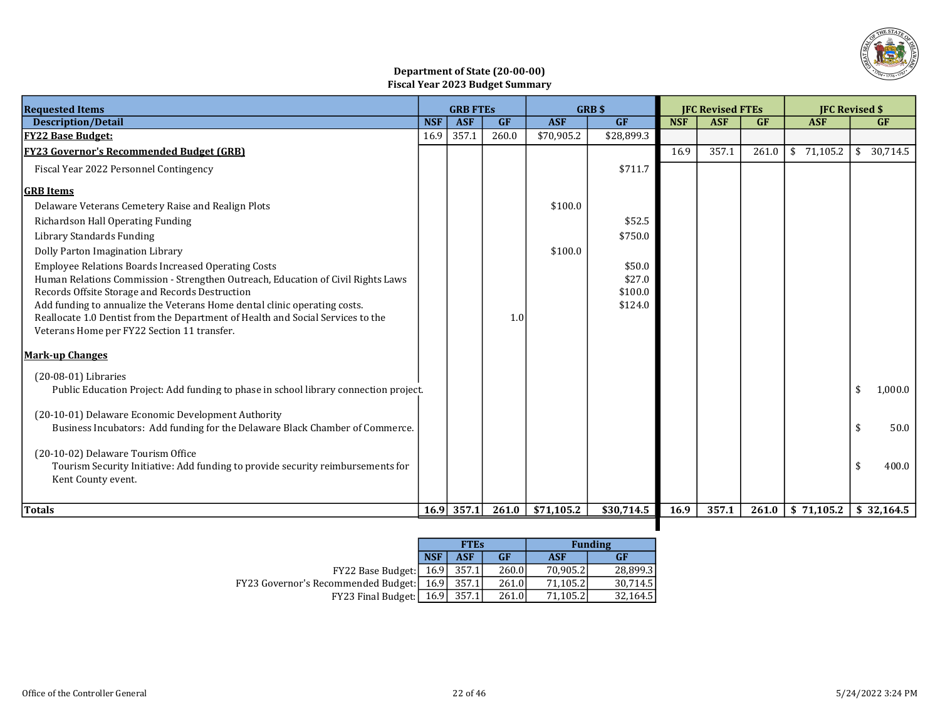

## Department of State (20-00-00) Fiscal Year 2023 Budget Summary

| <b>Requested Items</b>                                                                                                       |            | <b>GRB FTES</b> |           |            | <b>GRB \$</b>     |            | <b>JFC Revised FTEs</b> |           |            | <b>IFC Revised \$</b> |
|------------------------------------------------------------------------------------------------------------------------------|------------|-----------------|-----------|------------|-------------------|------------|-------------------------|-----------|------------|-----------------------|
| <b>Description/Detail</b>                                                                                                    | <b>NSF</b> | <b>ASF</b>      | <b>GF</b> | <b>ASF</b> | GF                | <b>NSF</b> | <b>ASF</b>              | <b>GF</b> | <b>ASF</b> | GF                    |
| <u> FY22 Base Budget:</u>                                                                                                    | 16.9       | 357.1           | 260.0     | \$70,905.2 | \$28,899.3        |            |                         |           |            |                       |
| <b>FY23 Governor's Recommended Budget (GRB)</b>                                                                              |            |                 |           |            |                   | 16.9       | 357.1                   | 261.0     | \$71,105.2 | \$30,714.5            |
| Fiscal Year 2022 Personnel Contingency                                                                                       |            |                 |           |            | \$711.7           |            |                         |           |            |                       |
| <b>GRB</b> Items                                                                                                             |            |                 |           |            |                   |            |                         |           |            |                       |
| Delaware Veterans Cemetery Raise and Realign Plots                                                                           |            |                 |           | \$100.0    |                   |            |                         |           |            |                       |
| Richardson Hall Operating Funding                                                                                            |            |                 |           |            | \$52.5            |            |                         |           |            |                       |
| Library Standards Funding                                                                                                    |            |                 |           |            | \$750.0           |            |                         |           |            |                       |
| Dolly Parton Imagination Library                                                                                             |            |                 |           | \$100.0    |                   |            |                         |           |            |                       |
| <b>Employee Relations Boards Increased Operating Costs</b>                                                                   |            |                 |           |            | \$50.0            |            |                         |           |            |                       |
| Human Relations Commission - Strengthen Outreach, Education of Civil Rights Laws                                             |            |                 |           |            | \$27.0<br>\$100.0 |            |                         |           |            |                       |
| Records Offsite Storage and Records Destruction<br>Add funding to annualize the Veterans Home dental clinic operating costs. |            |                 |           |            | \$124.0           |            |                         |           |            |                       |
| Reallocate 1.0 Dentist from the Department of Health and Social Services to the                                              |            |                 | 1.0       |            |                   |            |                         |           |            |                       |
| Veterans Home per FY22 Section 11 transfer.                                                                                  |            |                 |           |            |                   |            |                         |           |            |                       |
| <b>Mark-up Changes</b>                                                                                                       |            |                 |           |            |                   |            |                         |           |            |                       |
| $(20-08-01)$ Libraries                                                                                                       |            |                 |           |            |                   |            |                         |           |            |                       |
| Public Education Project: Add funding to phase in school library connection project.                                         |            |                 |           |            |                   |            |                         |           |            | \$<br>1,000.0         |
| (20-10-01) Delaware Economic Development Authority                                                                           |            |                 |           |            |                   |            |                         |           |            |                       |
| Business Incubators: Add funding for the Delaware Black Chamber of Commerce.                                                 |            |                 |           |            |                   |            |                         |           |            | \$<br>50.0            |
|                                                                                                                              |            |                 |           |            |                   |            |                         |           |            |                       |
| (20-10-02) Delaware Tourism Office                                                                                           |            |                 |           |            |                   |            |                         |           |            |                       |
| Tourism Security Initiative: Add funding to provide security reimbursements for<br>Kent County event.                        |            |                 |           |            |                   |            |                         |           |            | 400.0<br>\$           |
|                                                                                                                              |            |                 |           |            |                   |            |                         |           |            |                       |
| Totals                                                                                                                       |            | 16.9 357.1      | 261.0     | \$71,105.2 | \$30,714.5        | 16.9       | 357.1                   | 261.0     | \$71,105.2 | \$32,164.5            |
|                                                                                                                              |            |                 |           |            |                   |            |                         |           |            |                       |

|                                                   |            | <b>FTEs</b> |       |          | <b>Funding</b> |
|---------------------------------------------------|------------|-------------|-------|----------|----------------|
|                                                   | <b>NSF</b> | <b>ASF</b>  | GF    | ASF      | GF             |
| FY22 Base Budget: [ 16.9]                         |            | 357.1       | 260.0 | 70.905.2 | 28.899.3       |
| <b>FY23 Governor's Recommended Budget:</b> [16.9] |            | 357.1       | 261.0 | 71.105.2 | 30.714.5       |
| FY23 Final Budget:                                | 16.9I      | 357.1       | 261.0 | 71,105.2 | 32,164.5       |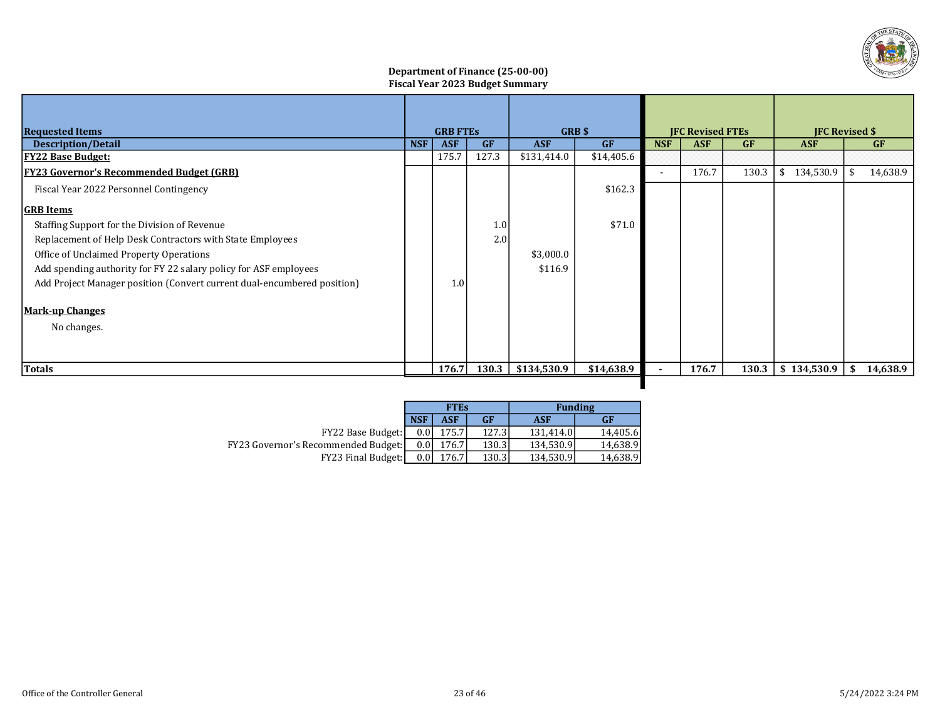

## Department of Finance (25-00-00) Fiscal Year 2023 Budget Summary

| <b>Requested Items</b>                                                  |            | <b>GRB FTES</b> |       |             | GRB \$<br><b>IFC Revised FTEs</b> |                          |            |           | <b>IFC Revised \$</b> |      |           |
|-------------------------------------------------------------------------|------------|-----------------|-------|-------------|-----------------------------------|--------------------------|------------|-----------|-----------------------|------|-----------|
| <b>Description/Detail</b>                                               | <b>NSF</b> | <b>ASF</b>      | GF    | <b>ASF</b>  | <b>GF</b>                         | <b>NSF</b>               | <b>ASF</b> | <b>GF</b> | <b>ASF</b>            |      | <b>GF</b> |
| <u> FY22 Base Budget:</u>                                               |            | 175.7           | 127.3 | \$131,414.0 | \$14,405.6                        |                          |            |           |                       |      |           |
| <b>FY23 Governor's Recommended Budget (GRB)</b>                         |            |                 |       |             |                                   | $\overline{\phantom{a}}$ | 176.7      | 130.3     | 134,530.9<br>\$       | -\$  | 14,638.9  |
| Fiscal Year 2022 Personnel Contingency                                  |            |                 |       |             | \$162.3                           |                          |            |           |                       |      |           |
| <b>GRB</b> Items                                                        |            |                 |       |             |                                   |                          |            |           |                       |      |           |
| Staffing Support for the Division of Revenue                            |            |                 | 1.0   |             | \$71.0                            |                          |            |           |                       |      |           |
| Replacement of Help Desk Contractors with State Employees               |            |                 | 2.0   |             |                                   |                          |            |           |                       |      |           |
| Office of Unclaimed Property Operations                                 |            |                 |       | \$3,000.0   |                                   |                          |            |           |                       |      |           |
| Add spending authority for FY 22 salary policy for ASF employees        |            |                 |       | \$116.9     |                                   |                          |            |           |                       |      |           |
| Add Project Manager position (Convert current dual-encumbered position) |            | 1.0             |       |             |                                   |                          |            |           |                       |      |           |
| <b>Mark-up Changes</b>                                                  |            |                 |       |             |                                   |                          |            |           |                       |      |           |
| No changes.                                                             |            |                 |       |             |                                   |                          |            |           |                       |      |           |
|                                                                         |            |                 |       |             |                                   |                          |            |           |                       |      |           |
| Totals                                                                  |            | 176.7           | 130.3 | \$134,530.9 | \$14,638.9                        | ٠                        | 176.7      | 130.3     | \$134,530.9           | - \$ | 14,638.9  |
|                                                                         |            |                 |       |             |                                   |                          |            |           |                       |      |           |

|                                            |            | <b>FTEs</b> |           | <b>Funding</b> | <b>GF</b> |  |
|--------------------------------------------|------------|-------------|-----------|----------------|-----------|--|
|                                            | <b>NSF</b> | ASF         | <b>GF</b> | ASF            |           |  |
| FY22 Base Budget:                          | 0.0'       | 175.7       | 127.3     | 131.414.0      | 14.405.6  |  |
| <b>FY23 Governor's Recommended Budget:</b> | 0.0        | 176.7       | 130.3     | 134,530.9      | 14,638.9  |  |
| <b>FY23 Final Budget:</b>                  | 0.0        | 176.7       | 130.3     | 134,530.9      | 14,638.9  |  |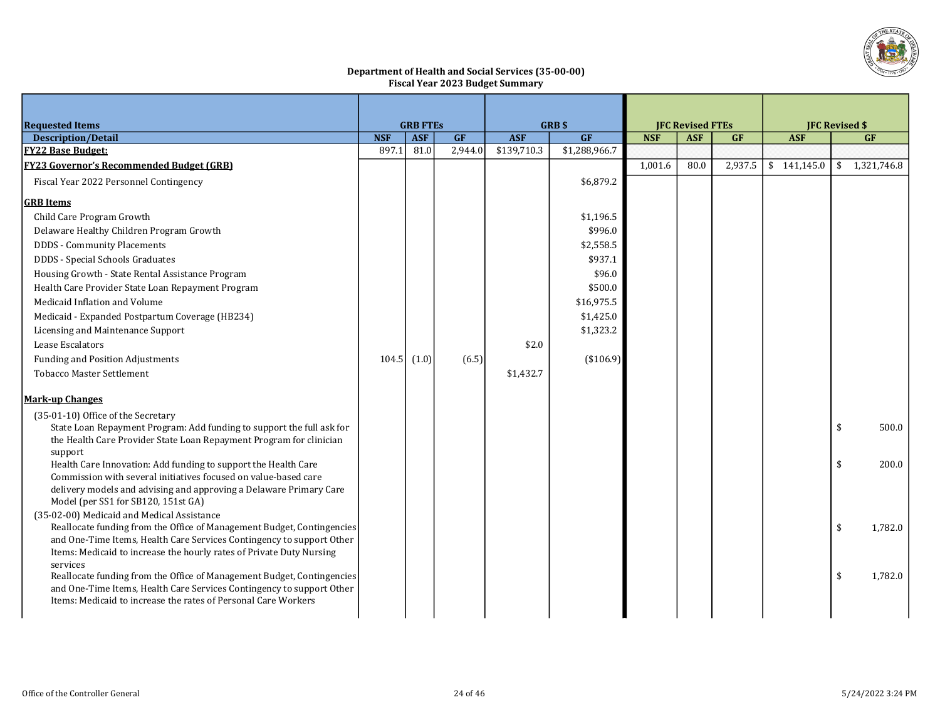

#### Department of Health and Social Services (35-00-00) Fiscal Year 2023 Budget Summary

| <b>Requested Items</b>                                                                                                                          |            | <b>GRB FTES</b> |         |             | <b>GRB\$</b>  |            | <b>JFC Revised FTEs</b> |           | <b>JFC Revised \$</b> |    |               |
|-------------------------------------------------------------------------------------------------------------------------------------------------|------------|-----------------|---------|-------------|---------------|------------|-------------------------|-----------|-----------------------|----|---------------|
| <b>Description/Detail</b>                                                                                                                       | <b>NSF</b> | <b>ASF</b>      | GF      | <b>ASF</b>  | GF            | <b>NSF</b> | <b>ASF</b>              | <b>GF</b> | <b>ASF</b>            |    | GF            |
| <b>FY22 Base Budget:</b>                                                                                                                        | 897.1      | 81.0            | 2,944.0 | \$139,710.3 | \$1,288,966.7 |            |                         |           |                       |    |               |
| <b>FY23 Governor's Recommended Budget (GRB)</b>                                                                                                 |            |                 |         |             |               | 1,001.6    | 80.0                    | 2,937.5   | \$141,145.0           |    | \$1,321,746.8 |
| Fiscal Year 2022 Personnel Contingency                                                                                                          |            |                 |         |             | \$6,879.2     |            |                         |           |                       |    |               |
| <b>GRB</b> Items                                                                                                                                |            |                 |         |             |               |            |                         |           |                       |    |               |
| Child Care Program Growth                                                                                                                       |            |                 |         |             | \$1,196.5     |            |                         |           |                       |    |               |
| Delaware Healthy Children Program Growth                                                                                                        |            |                 |         |             | \$996.0       |            |                         |           |                       |    |               |
| <b>DDDS</b> - Community Placements                                                                                                              |            |                 |         |             | \$2,558.5     |            |                         |           |                       |    |               |
| DDDS - Special Schools Graduates                                                                                                                |            |                 |         |             | \$937.1       |            |                         |           |                       |    |               |
| Housing Growth - State Rental Assistance Program                                                                                                |            |                 |         |             | \$96.0        |            |                         |           |                       |    |               |
| Health Care Provider State Loan Repayment Program                                                                                               |            |                 |         |             | \$500.0       |            |                         |           |                       |    |               |
| Medicaid Inflation and Volume                                                                                                                   |            |                 |         |             | \$16,975.5    |            |                         |           |                       |    |               |
| Medicaid - Expanded Postpartum Coverage (HB234)                                                                                                 |            |                 |         |             | \$1,425.0     |            |                         |           |                       |    |               |
| Licensing and Maintenance Support                                                                                                               |            |                 |         |             | \$1,323.2     |            |                         |           |                       |    |               |
| Lease Escalators                                                                                                                                |            |                 |         | \$2.0       |               |            |                         |           |                       |    |               |
| <b>Funding and Position Adjustments</b>                                                                                                         |            | $104.5$ $(1.0)$ | (6.5)   |             | $(*106.9)$    |            |                         |           |                       |    |               |
| <b>Tobacco Master Settlement</b>                                                                                                                |            |                 |         | \$1,432.7   |               |            |                         |           |                       |    |               |
| <b>Mark-up Changes</b>                                                                                                                          |            |                 |         |             |               |            |                         |           |                       |    |               |
| (35-01-10) Office of the Secretary                                                                                                              |            |                 |         |             |               |            |                         |           |                       |    |               |
| State Loan Repayment Program: Add funding to support the full ask for                                                                           |            |                 |         |             |               |            |                         |           |                       | \$ | 500.0         |
| the Health Care Provider State Loan Repayment Program for clinician                                                                             |            |                 |         |             |               |            |                         |           |                       |    |               |
| support                                                                                                                                         |            |                 |         |             |               |            |                         |           |                       |    |               |
| Health Care Innovation: Add funding to support the Health Care<br>Commission with several initiatives focused on value-based care               |            |                 |         |             |               |            |                         |           |                       | \$ | 200.0         |
| delivery models and advising and approving a Delaware Primary Care                                                                              |            |                 |         |             |               |            |                         |           |                       |    |               |
| Model (per SS1 for SB120, 151st GA)                                                                                                             |            |                 |         |             |               |            |                         |           |                       |    |               |
| (35-02-00) Medicaid and Medical Assistance                                                                                                      |            |                 |         |             |               |            |                         |           |                       |    |               |
| Reallocate funding from the Office of Management Budget, Contingencies                                                                          |            |                 |         |             |               |            |                         |           |                       | \$ | 1,782.0       |
| and One-Time Items, Health Care Services Contingency to support Other                                                                           |            |                 |         |             |               |            |                         |           |                       |    |               |
| Items: Medicaid to increase the hourly rates of Private Duty Nursing                                                                            |            |                 |         |             |               |            |                         |           |                       |    |               |
| services                                                                                                                                        |            |                 |         |             |               |            |                         |           |                       |    |               |
| Reallocate funding from the Office of Management Budget, Contingencies<br>and One-Time Items, Health Care Services Contingency to support Other |            |                 |         |             |               |            |                         |           |                       | \$ | 1,782.0       |
| Items: Medicaid to increase the rates of Personal Care Workers                                                                                  |            |                 |         |             |               |            |                         |           |                       |    |               |
|                                                                                                                                                 |            |                 |         |             |               |            |                         |           |                       |    |               |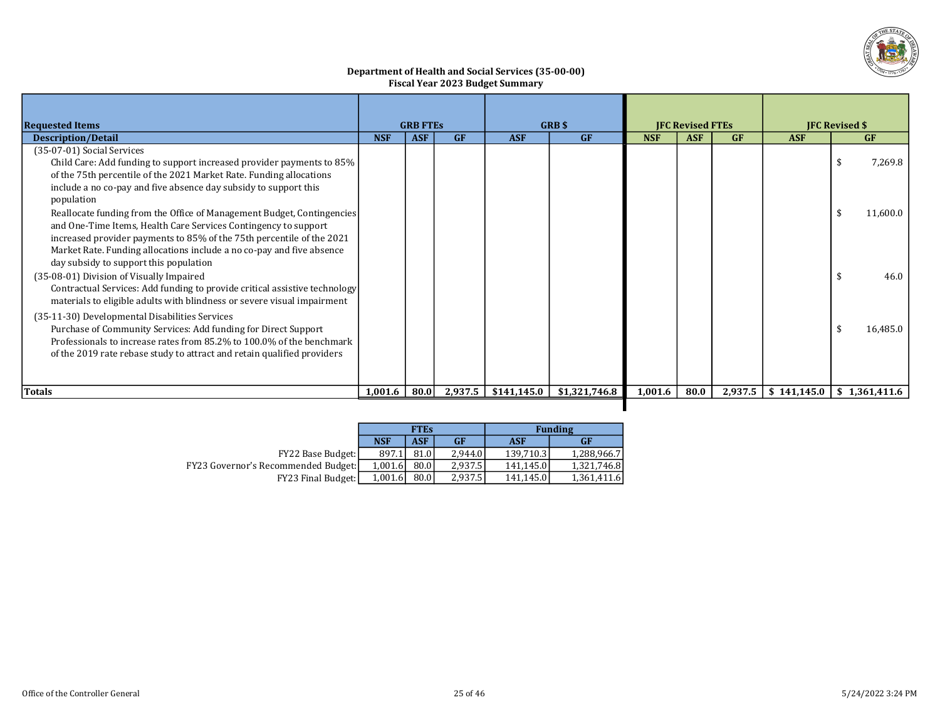

#### Department of Health and Social Services (35-00-00) Fiscal Year 2023 Budget Summary

| <b>Requested Items</b>                                                                                                                                                                                                                                                                                    | <b>GRB FTES</b> |            | <b>GRB</b> \$ |             |               | <b>IFC Revised FTEs</b> |            | <b>IFC Revised \$</b> |             |                  |
|-----------------------------------------------------------------------------------------------------------------------------------------------------------------------------------------------------------------------------------------------------------------------------------------------------------|-----------------|------------|---------------|-------------|---------------|-------------------------|------------|-----------------------|-------------|------------------|
| <b>Description/Detail</b>                                                                                                                                                                                                                                                                                 | <b>NSF</b>      | <b>ASF</b> | GF            | <b>ASF</b>  | GF            | <b>NSF</b>              | <b>ASF</b> | <b>GF</b>             | <b>ASF</b>  | <b>GF</b>        |
| (35-07-01) Social Services<br>Child Care: Add funding to support increased provider payments to 85%<br>of the 75th percentile of the 2021 Market Rate. Funding allocations<br>include a no co-pay and five absence day subsidy to support this                                                            |                 |            |               |             |               |                         |            |                       |             | 7,269.8<br>-9    |
| population<br>Reallocate funding from the Office of Management Budget, Contingencies<br>and One-Time Items, Health Care Services Contingency to support<br>increased provider payments to 85% of the 75th percentile of the 2021<br>Market Rate. Funding allocations include a no co-pay and five absence |                 |            |               |             |               |                         |            |                       |             | 11,600.0<br>- \$ |
| day subsidy to support this population<br>(35-08-01) Division of Visually Impaired<br>Contractual Services: Add funding to provide critical assistive technology<br>materials to eligible adults with blindness or severe visual impairment                                                               |                 |            |               |             |               |                         |            |                       |             | 46.0             |
| (35-11-30) Developmental Disabilities Services<br>Purchase of Community Services: Add funding for Direct Support<br>Professionals to increase rates from 85.2% to 100.0% of the benchmark<br>of the 2019 rate rebase study to attract and retain qualified providers                                      |                 |            |               |             |               |                         |            |                       |             | 16.485.0         |
| Totals                                                                                                                                                                                                                                                                                                    | 1,001.6         | 80.0       | 2,937.5       | \$141,145.0 | \$1,321,746.8 | 1,001.6                 | 80.0       | 2,937.5               | \$141,145.0 | \$1.361.411.6    |
|                                                                                                                                                                                                                                                                                                           |                 |            |               |             |               |                         |            |                       |             |                  |

|                                            |            | <b>FTEs</b> |           |            | <b>Funding</b> |
|--------------------------------------------|------------|-------------|-----------|------------|----------------|
|                                            | <b>NSF</b> | ASF         | <b>GF</b> | <b>ASF</b> | <b>GF</b>      |
| <b>FY22 Base Budget:</b>                   | 897.1      | 81.0        | 2.944.0   | 139.710.3  | 1,288,966.7    |
| <b>FY23 Governor's Recommended Budget:</b> | 1.001.6    | 80.0        | 2.937.5   | 141.145.0  | 1,321,746.8    |
| <b>FY23 Final Budget:</b>                  | 1,001.6    | 80.0        | 2,937.5   | 141.145.0  | 1,361,411.6    |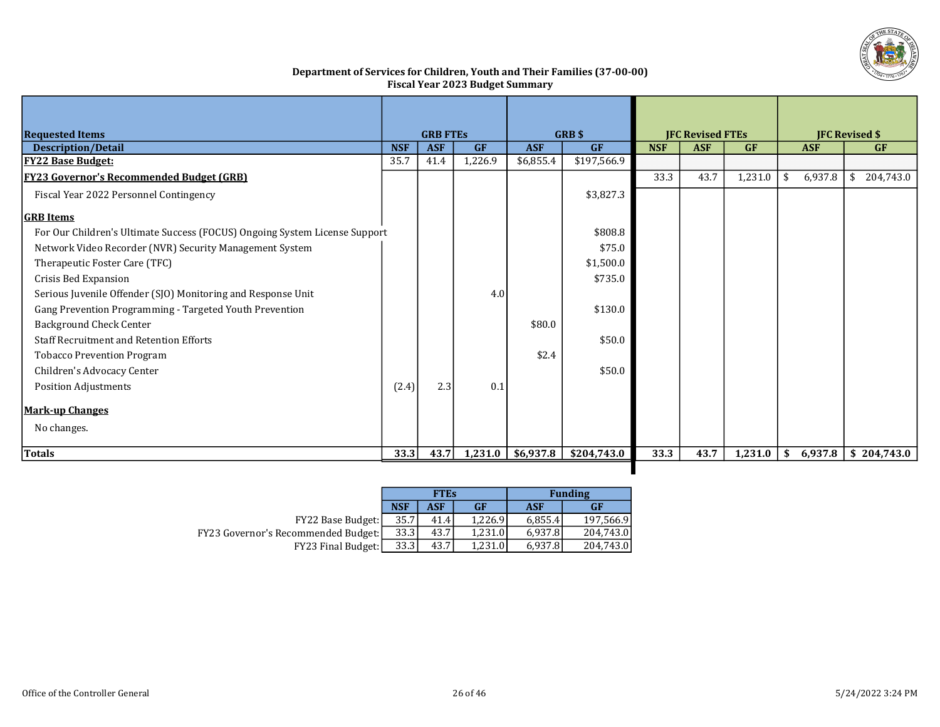

## Department of Services for Children, Youth and Their Families (37-00-00) Fiscal Year 2023 Budget Summary

| <b>Requested Items</b>                                                     |            | <b>GRB FTES</b> |           |            | <b>GRB</b> \$ |                                       | <b>JFC Revised FTEs</b> |            |                | <b>JFC Revised \$</b>    |
|----------------------------------------------------------------------------|------------|-----------------|-----------|------------|---------------|---------------------------------------|-------------------------|------------|----------------|--------------------------|
| <b>Description/Detail</b>                                                  | <b>NSF</b> | <b>ASF</b>      | <b>GF</b> | <b>ASF</b> | GF            | <b>NSF</b><br><b>ASF</b><br><b>GF</b> |                         | <b>ASF</b> | <b>GF</b>      |                          |
| <b>FY22 Base Budget:</b>                                                   | 35.7       | 41.4            | 1,226.9   | \$6,855.4  | \$197,566.9   |                                       |                         |            |                |                          |
| <b>FY23 Governor's Recommended Budget (GRB)</b>                            |            |                 |           |            |               | 33.3                                  | 43.7                    | 1,231.0    | -\$<br>6,937.8 | 204,743.0<br>\$          |
| Fiscal Year 2022 Personnel Contingency                                     |            |                 |           |            | \$3,827.3     |                                       |                         |            |                |                          |
| <b>GRB</b> Items                                                           |            |                 |           |            |               |                                       |                         |            |                |                          |
| For Our Children's Ultimate Success (FOCUS) Ongoing System License Support |            |                 |           |            | \$808.8       |                                       |                         |            |                |                          |
| Network Video Recorder (NVR) Security Management System                    |            |                 |           |            | \$75.0        |                                       |                         |            |                |                          |
| Therapeutic Foster Care (TFC)                                              |            |                 |           |            | \$1,500.0     |                                       |                         |            |                |                          |
| Crisis Bed Expansion                                                       |            |                 |           |            | \$735.0       |                                       |                         |            |                |                          |
| Serious Juvenile Offender (SJO) Monitoring and Response Unit               |            |                 | 4.0       |            |               |                                       |                         |            |                |                          |
| Gang Prevention Programming - Targeted Youth Prevention                    |            |                 |           |            | \$130.0       |                                       |                         |            |                |                          |
| <b>Background Check Center</b>                                             |            |                 |           | \$80.0     |               |                                       |                         |            |                |                          |
| <b>Staff Recruitment and Retention Efforts</b>                             |            |                 |           |            | \$50.0        |                                       |                         |            |                |                          |
| <b>Tobacco Prevention Program</b>                                          |            |                 |           | \$2.4      |               |                                       |                         |            |                |                          |
| Children's Advocacy Center                                                 |            |                 |           |            | \$50.0        |                                       |                         |            |                |                          |
| <b>Position Adjustments</b>                                                | (2.4)      | 2.3             | 0.1       |            |               |                                       |                         |            |                |                          |
| <b>Mark-up Changes</b>                                                     |            |                 |           |            |               |                                       |                         |            |                |                          |
| No changes.                                                                |            |                 |           |            |               |                                       |                         |            |                |                          |
| Totals                                                                     | 33.3       | 43.7            | 1,231.0   | \$6,937.8  | \$204,743.0   | 33.3                                  | 43.7                    | 1,231.0    | \$             | $6,937.8$ \ \$ 204,743.0 |

П

|                                       |            | <b>FTEs</b> |           |         | <b>Funding</b> |  |  |  |
|---------------------------------------|------------|-------------|-----------|---------|----------------|--|--|--|
|                                       | <b>NSF</b> | ASF         | <b>GF</b> | ASF     | <b>GF</b>      |  |  |  |
| FY22 Base Budget:                     | 35.7'      | 41.4        | 1.226.9   | 6,855.4 | 197,566.9      |  |  |  |
| FY23 Governor's Recommended Budget: [ | 33.3       | 43.71       | 1.231.0   | 6.937.8 | 204.743.0      |  |  |  |
| <b>FY23 Final Budget:</b>             | 33.3       | 43.7I       | 1.231.0   | 6.937.8 | 204,743.0      |  |  |  |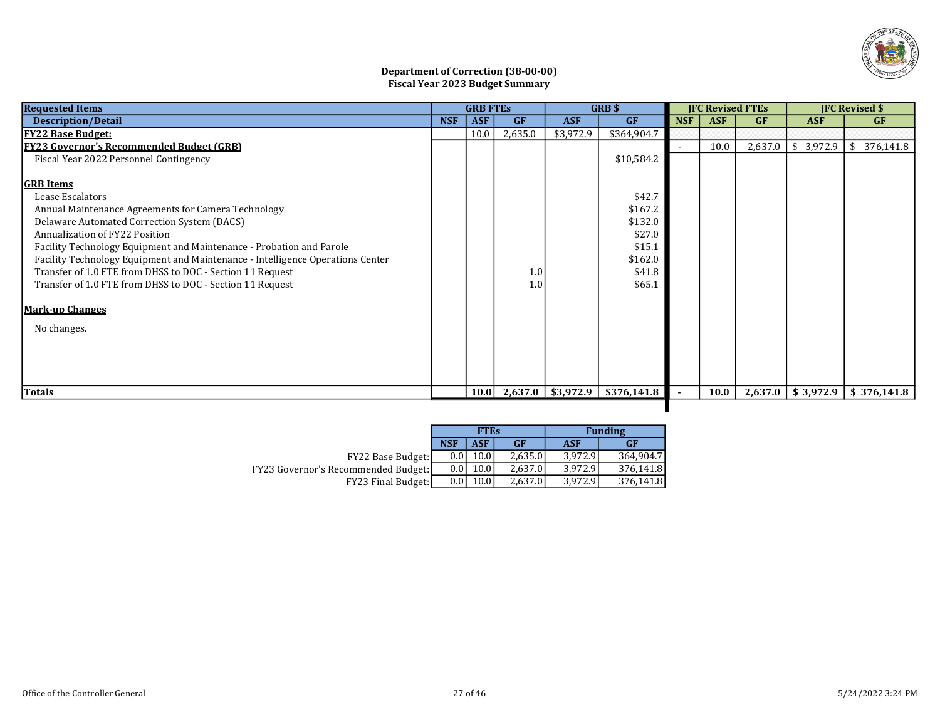

## Department of Correction (38-00-00) Fiscal Year 2023 Budget Summary

| <b>Requested Items</b>                                                         |            | <b>GRB FTES</b> |                  |               | <b>GRBS</b> |            | <b>IFC Revised FTEs</b> |         |                       | <b>IFC Revised \$</b> |
|--------------------------------------------------------------------------------|------------|-----------------|------------------|---------------|-------------|------------|-------------------------|---------|-----------------------|-----------------------|
| <b>Description/Detail</b>                                                      | <b>NSF</b> | <b>ASF</b>      | <b>GF</b>        | <b>ASF</b>    | GF          | <b>NSF</b> | <b>ASF</b>              | GF      | <b>ASF</b>            | <b>GF</b>             |
| <u> FY22 Base Budget:</u>                                                      |            | 10.0            | 2,635.0          | \$3,972.9     | \$364,904.7 |            |                         |         |                       |                       |
| <b>FY23 Governor's Recommended Budget (GRB)</b>                                |            |                 |                  |               |             |            | 10.0                    | 2,637.0 | \$<br>3,972.9         | \$<br>376,141.8       |
| Fiscal Year 2022 Personnel Contingency                                         |            |                 |                  |               | \$10,584.2  |            |                         |         |                       |                       |
|                                                                                |            |                 |                  |               |             |            |                         |         |                       |                       |
| <b>GRB</b> Items                                                               |            |                 |                  |               |             |            |                         |         |                       |                       |
| Lease Escalators                                                               |            |                 |                  |               | \$42.7      |            |                         |         |                       |                       |
| Annual Maintenance Agreements for Camera Technology                            |            |                 |                  |               | \$167.2     |            |                         |         |                       |                       |
| Delaware Automated Correction System (DACS)                                    |            |                 |                  |               | \$132.0     |            |                         |         |                       |                       |
| Annualization of FY22 Position                                                 |            |                 |                  |               | \$27.0      |            |                         |         |                       |                       |
| Facility Technology Equipment and Maintenance - Probation and Parole           |            |                 |                  |               | \$15.1      |            |                         |         |                       |                       |
| Facility Technology Equipment and Maintenance - Intelligence Operations Center |            |                 |                  |               | \$162.0     |            |                         |         |                       |                       |
| Transfer of 1.0 FTE from DHSS to DOC - Section 11 Request                      |            |                 | 1.0              |               | \$41.8      |            |                         |         |                       |                       |
| Transfer of 1.0 FTE from DHSS to DOC - Section 11 Request                      |            |                 | 1.0 <sub>l</sub> |               | \$65.1      |            |                         |         |                       |                       |
| <b>Mark-up Changes</b>                                                         |            |                 |                  |               |             |            |                         |         |                       |                       |
|                                                                                |            |                 |                  |               |             |            |                         |         |                       |                       |
| No changes.                                                                    |            |                 |                  |               |             |            |                         |         |                       |                       |
|                                                                                |            |                 |                  |               |             |            |                         |         |                       |                       |
|                                                                                |            |                 |                  |               |             |            |                         |         |                       |                       |
|                                                                                |            |                 |                  |               |             |            |                         |         |                       |                       |
| Totals                                                                         |            | 10.0            | 2,637.0          | $ $ \$3,972.9 | \$376,141.8 |            | 10.0                    |         | $2,637.0$   \$3,972.9 | \$376,141.8           |
|                                                                                |            |                 |                  |               |             |            |                         |         |                       |                       |

|                                            |            | <b>FTEs</b> |           |            | <b>Funding</b> |
|--------------------------------------------|------------|-------------|-----------|------------|----------------|
|                                            | <b>NSF</b> | <b>ASF</b>  | <b>GF</b> | <b>ASF</b> | <b>GF</b>      |
| FY22 Base Budget:                          | 0.01       | 10.0        | 2.635.0   | 3.972.9    | 364.904.7      |
| <b>FY23 Governor's Recommended Budget:</b> | 0.01       | 10.0        | 2.637.0   | 3.972.9    | 376,141.8      |
| FY23 Final Budget:                         | 0.01       | 10.0        | 2,637.0   | 3.972.9    | 376,141.8      |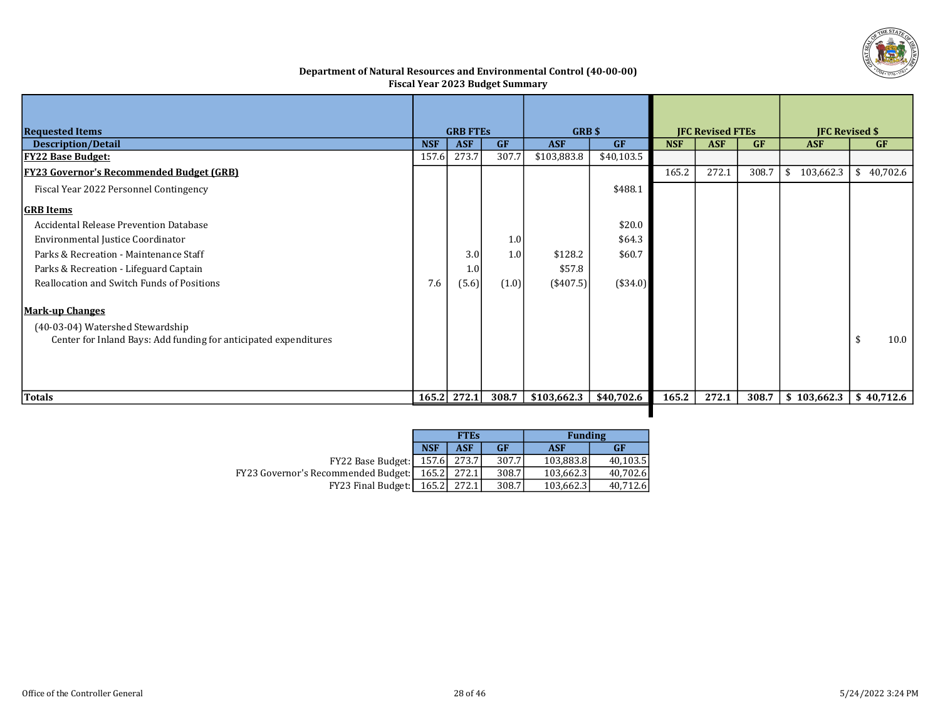

## Department of Natural Resources and Environmental Control (40-00-00) Fiscal Year 2023 Budget Summary

| <b>Requested Items</b>                                           |            | <b>GRB FTES</b> |           | <b>GRB \$</b>    |            |            | <b>JFC Revised FTEs</b> |           | <b>IFC Revised \$</b> |            |
|------------------------------------------------------------------|------------|-----------------|-----------|------------------|------------|------------|-------------------------|-----------|-----------------------|------------|
| <b>Description/Detail</b>                                        | <b>NSF</b> | <b>ASF</b>      | <b>GF</b> | <b>ASF</b>       | <b>GF</b>  | <b>NSF</b> | <b>ASF</b>              | <b>GF</b> | <b>ASF</b>            | <b>GF</b>  |
| <u>FY22 Base Budget:</u>                                         | 157.6      | 273.7           | 307.7     | \$103,883.8      | \$40,103.5 |            |                         |           |                       |            |
| <b>FY23 Governor's Recommended Budget (GRB)</b>                  |            |                 |           |                  |            | 165.2      | 272.1                   | 308.7     | 103,662.3<br>S.       | \$40,702.6 |
| Fiscal Year 2022 Personnel Contingency                           |            |                 |           |                  | \$488.1    |            |                         |           |                       |            |
| <b>GRB</b> Items                                                 |            |                 |           |                  |            |            |                         |           |                       |            |
| Accidental Release Prevention Database                           |            |                 |           |                  | \$20.0     |            |                         |           |                       |            |
| Environmental Justice Coordinator                                |            |                 | 1.0       |                  | \$64.3     |            |                         |           |                       |            |
| Parks & Recreation - Maintenance Staff                           |            | 3.0             | 1.0       | \$128.2          | \$60.7     |            |                         |           |                       |            |
| Parks & Recreation - Lifeguard Captain                           |            | 1.0             |           | \$57.8           |            |            |                         |           |                       |            |
| Reallocation and Switch Funds of Positions                       | 7.6        | (5.6)           | (1.0)     | $($ \$407.5) $ $ | $(*34.0)$  |            |                         |           |                       |            |
| <b>Mark-up Changes</b>                                           |            |                 |           |                  |            |            |                         |           |                       |            |
| (40-03-04) Watershed Stewardship                                 |            |                 |           |                  |            |            |                         |           |                       |            |
| Center for Inland Bays: Add funding for anticipated expenditures |            |                 |           |                  |            |            |                         |           |                       | 10.0<br>\$ |
|                                                                  |            |                 |           |                  |            |            |                         |           |                       |            |
|                                                                  |            |                 |           |                  |            |            |                         |           |                       |            |
|                                                                  |            |                 |           |                  |            |            |                         |           |                       |            |
| Totals                                                           |            | $165.2$ 272.1   | 308.7     | \$103,662.3      | \$40,702.6 | 165.2      | 272.1                   | 308.7     | \$103,662.3           | \$40,712.6 |
|                                                                  |            |                 |           |                  |            |            |                         |           |                       |            |

|                                     |            | <b>FTEs</b> |           | <b>Funding</b> |           |  |  |
|-------------------------------------|------------|-------------|-----------|----------------|-----------|--|--|
|                                     | <b>NSF</b> | ASF         | <b>GF</b> | <b>ASF</b>     | <b>GF</b> |  |  |
| FY22 Base Budget:                   |            | 157.6 273.7 | 307.7     | 103,883.8      | 40.103.5  |  |  |
| FY23 Governor's Recommended Budget: | 165.2l     | 272.1       | 308.7     | 103,662.3      | 40,702.6  |  |  |
| <b>FY23 Final Budget:</b>           | 165.2      | 272.1       | 308.7     | 103,662.3      | 40,712.6  |  |  |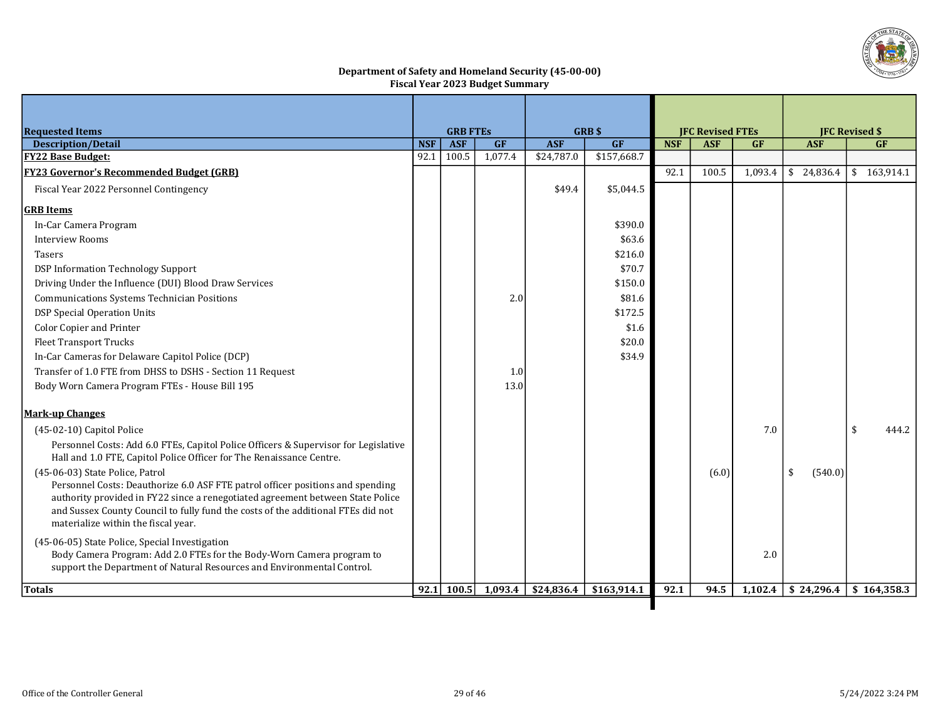

#### Department of Safety and Homeland Security (45-00-00) Fiscal Year 2023 Budget Summary

| <b>Requested Items</b>                                                                                                                                      |            | <b>GRB FTES</b> |         |                      | <b>GRB</b> \$ |            | <b>JFC Revised FTEs</b> |           |               | <b>IFC Revised \$</b>     |
|-------------------------------------------------------------------------------------------------------------------------------------------------------------|------------|-----------------|---------|----------------------|---------------|------------|-------------------------|-----------|---------------|---------------------------|
| <b>Description/Detail</b>                                                                                                                                   | <b>NSF</b> | <b>ASF</b>      | GF      | <b>ASF</b>           | GF            | <b>NSF</b> | <b>ASF</b>              | <b>GF</b> | <b>ASF</b>    | <b>GF</b>                 |
| <b>FY22 Base Budget:</b>                                                                                                                                    | 92.1       | 100.5           | 1,077.4 | \$24,787.0           | \$157,668.7   |            |                         |           |               |                           |
| <b>FY23 Governor's Recommended Budget (GRB)</b>                                                                                                             |            |                 |         |                      |               | 92.1       | 100.5                   | 1,093.4   |               | $$24,836.4$ $$163,914.1$  |
| Fiscal Year 2022 Personnel Contingency                                                                                                                      |            |                 |         | \$49.4               | \$5,044.5     |            |                         |           |               |                           |
| <b>GRB</b> Items                                                                                                                                            |            |                 |         |                      |               |            |                         |           |               |                           |
| In-Car Camera Program                                                                                                                                       |            |                 |         |                      | \$390.0       |            |                         |           |               |                           |
| <b>Interview Rooms</b>                                                                                                                                      |            |                 |         |                      | \$63.6        |            |                         |           |               |                           |
| Tasers                                                                                                                                                      |            |                 |         |                      | \$216.0       |            |                         |           |               |                           |
| DSP Information Technology Support                                                                                                                          |            |                 |         |                      | \$70.7        |            |                         |           |               |                           |
| Driving Under the Influence (DUI) Blood Draw Services                                                                                                       |            |                 |         |                      | \$150.0       |            |                         |           |               |                           |
| Communications Systems Technician Positions                                                                                                                 |            |                 | 2.0     |                      | \$81.6        |            |                         |           |               |                           |
| DSP Special Operation Units                                                                                                                                 |            |                 |         |                      | \$172.5       |            |                         |           |               |                           |
| <b>Color Copier and Printer</b>                                                                                                                             |            |                 |         |                      | \$1.6         |            |                         |           |               |                           |
| <b>Fleet Transport Trucks</b>                                                                                                                               |            |                 |         |                      | \$20.0        |            |                         |           |               |                           |
| In-Car Cameras for Delaware Capitol Police (DCP)                                                                                                            |            |                 |         |                      | \$34.9        |            |                         |           |               |                           |
| Transfer of 1.0 FTE from DHSS to DSHS - Section 11 Request                                                                                                  |            |                 | 1.0     |                      |               |            |                         |           |               |                           |
| Body Worn Camera Program FTEs - House Bill 195                                                                                                              |            |                 | 13.0    |                      |               |            |                         |           |               |                           |
| <b>Mark-up Changes</b>                                                                                                                                      |            |                 |         |                      |               |            |                         |           |               |                           |
| (45-02-10) Capitol Police                                                                                                                                   |            |                 |         |                      |               |            |                         | 7.0       |               | \$<br>444.2               |
| Personnel Costs: Add 6.0 FTEs, Capitol Police Officers & Supervisor for Legislative<br>Hall and 1.0 FTE, Capitol Police Officer for The Renaissance Centre. |            |                 |         |                      |               |            |                         |           |               |                           |
| (45-06-03) State Police, Patrol                                                                                                                             |            |                 |         |                      |               |            | (6.0)                   |           | (540.0)<br>\$ |                           |
| Personnel Costs: Deauthorize 6.0 ASF FTE patrol officer positions and spending                                                                              |            |                 |         |                      |               |            |                         |           |               |                           |
| authority provided in FY22 since a renegotiated agreement between State Police                                                                              |            |                 |         |                      |               |            |                         |           |               |                           |
| and Sussex County Council to fully fund the costs of the additional FTEs did not<br>materialize within the fiscal year.                                     |            |                 |         |                      |               |            |                         |           |               |                           |
|                                                                                                                                                             |            |                 |         |                      |               |            |                         |           |               |                           |
| (45-06-05) State Police, Special Investigation                                                                                                              |            |                 |         |                      |               |            |                         | 2.0       |               |                           |
| Body Camera Program: Add 2.0 FTEs for the Body-Worn Camera program to<br>support the Department of Natural Resources and Environmental Control.             |            |                 |         |                      |               |            |                         |           |               |                           |
| <b>Totals</b>                                                                                                                                               |            | 92.1 100.5      |         | $1,093.4$ \$24,836.4 | \$163,914.1   | 92.1       | 94.5                    | 1,102.4   |               | $$24,296.4$ \ \$164,358.3 |

ı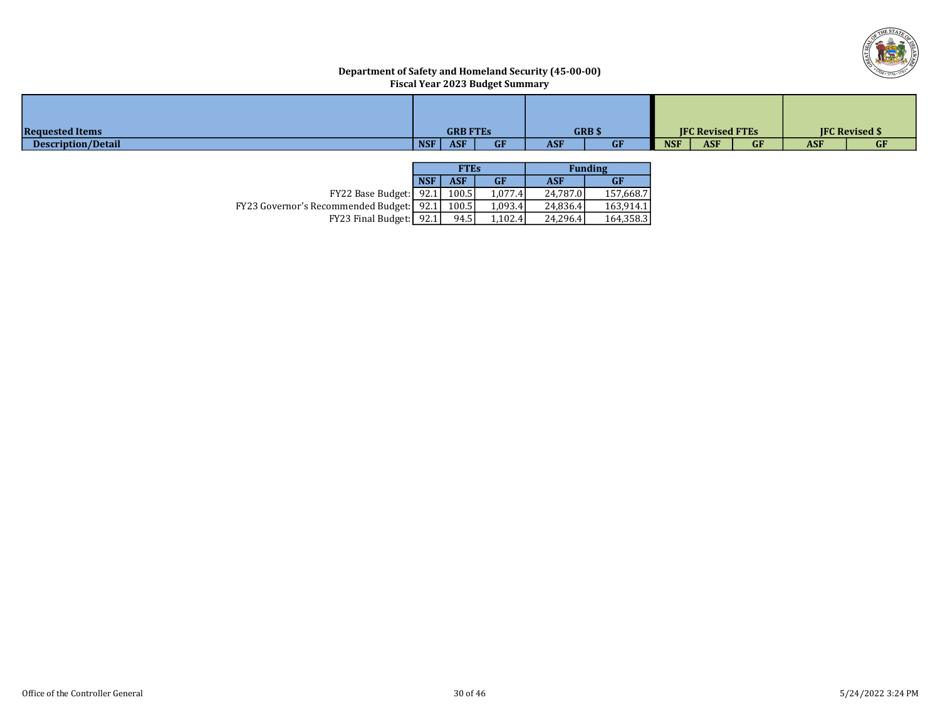

## Department of Safety and Homeland Security (45-00-00) Fiscal Year 2023 Budget Summary

| <b>Requested Items</b> | <b>GRB FTES</b>                       | <b>GRB</b> \$           | <b>IFC Revised FTEs</b>               | <b>IFC Revised \$</b>   |
|------------------------|---------------------------------------|-------------------------|---------------------------------------|-------------------------|
| Description/Detail     | <b>NSF</b><br><b>ASF</b><br><b>GF</b> | <b>ASF</b><br><b>GF</b> | <b>ASF</b><br><b>GF</b><br><b>NSF</b> | <b>ASF</b><br><b>GF</b> |

|                                                   |            | <b>FTEs</b> |           | <b>Funding</b> |           |  |  |  |
|---------------------------------------------------|------------|-------------|-----------|----------------|-----------|--|--|--|
|                                                   | <b>NSF</b> | ASF         | <b>GF</b> | <b>ASF</b>     | GF        |  |  |  |
| <b>FY22 Base Budget:</b>                          | 92.1       | 100.5       | 1,077.4   | 24,787.0       | 157,668.7 |  |  |  |
| <b>FY23 Governor's Recommended Budget:</b> [92.1] |            | 100.5       | 1,093.4   | 24,836.4       | 163,914.1 |  |  |  |
| FY23 Final Budget: 92.1                           |            | 94.5        | 1.102.4   | 24.296.4       | 164,358.3 |  |  |  |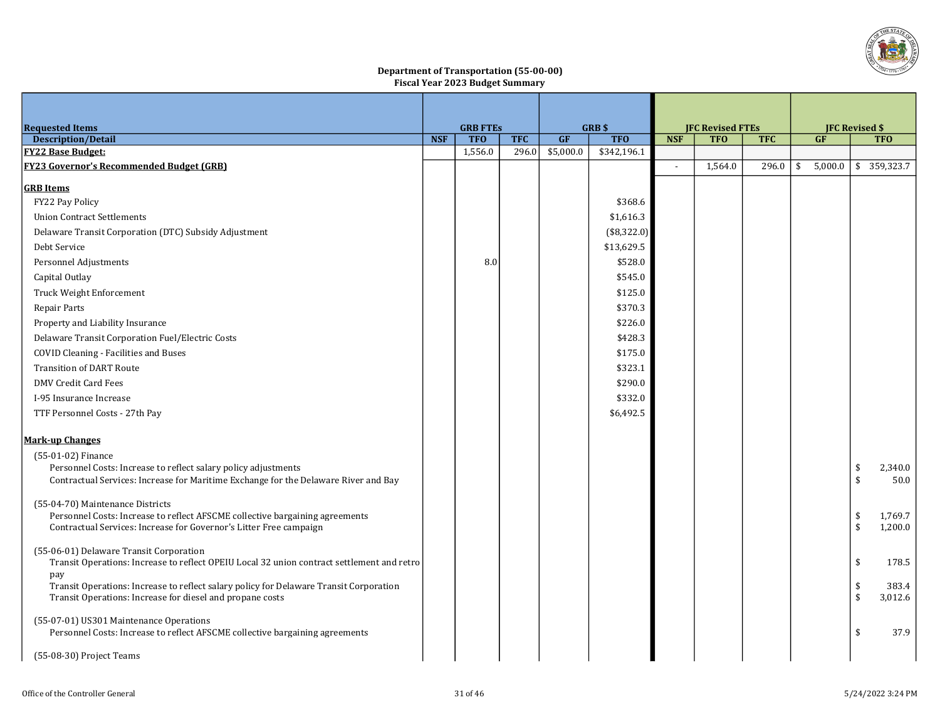

#### Department of Transportation (55-00-00) Fiscal Year 2023 Budget Summary

| <b>Requested Items</b>                                                                        |            | <b>GRB FTES</b> |            |           | <b>GRB \$</b> |                          | <b>JFC Revised FTEs</b> |            |    | <b>JFC Revised \$</b> |                    |             |
|-----------------------------------------------------------------------------------------------|------------|-----------------|------------|-----------|---------------|--------------------------|-------------------------|------------|----|-----------------------|--------------------|-------------|
| <b>Description/Detail</b>                                                                     | <b>NSF</b> | <b>TFO</b>      | <b>TFC</b> | <b>GF</b> | <b>TFO</b>    | <b>NSF</b>               | <b>TFO</b>              | <b>TFC</b> |    | <b>GF</b>             |                    | <b>TFO</b>  |
| <b>FY22 Base Budget:</b>                                                                      |            | 1,556.0         | 296.0      | \$5,000.0 | \$342,196.1   |                          |                         |            |    |                       |                    |             |
| <b>FY23 Governor's Recommended Budget (GRB)</b>                                               |            |                 |            |           |               | $\overline{\phantom{a}}$ | 1,564.0                 | 296.0      | \$ | 5,000.0               |                    | \$359,323.7 |
| <b>GRB</b> Items                                                                              |            |                 |            |           |               |                          |                         |            |    |                       |                    |             |
| FY22 Pay Policy                                                                               |            |                 |            |           | \$368.6       |                          |                         |            |    |                       |                    |             |
| <b>Union Contract Settlements</b>                                                             |            |                 |            |           | \$1,616.3     |                          |                         |            |    |                       |                    |             |
| Delaware Transit Corporation (DTC) Subsidy Adjustment                                         |            |                 |            |           | (\$8,322.0)   |                          |                         |            |    |                       |                    |             |
| Debt Service                                                                                  |            |                 |            |           | \$13,629.5    |                          |                         |            |    |                       |                    |             |
| Personnel Adjustments                                                                         |            | 8.0             |            |           | \$528.0       |                          |                         |            |    |                       |                    |             |
| Capital Outlay                                                                                |            |                 |            |           | \$545.0       |                          |                         |            |    |                       |                    |             |
| Truck Weight Enforcement                                                                      |            |                 |            |           | \$125.0       |                          |                         |            |    |                       |                    |             |
| Repair Parts                                                                                  |            |                 |            |           | \$370.3       |                          |                         |            |    |                       |                    |             |
| Property and Liability Insurance                                                              |            |                 |            |           | \$226.0       |                          |                         |            |    |                       |                    |             |
| Delaware Transit Corporation Fuel/Electric Costs                                              |            |                 |            |           | \$428.3       |                          |                         |            |    |                       |                    |             |
| <b>COVID Cleaning - Facilities and Buses</b>                                                  |            |                 |            |           | \$175.0       |                          |                         |            |    |                       |                    |             |
| <b>Transition of DART Route</b>                                                               |            |                 |            |           | \$323.1       |                          |                         |            |    |                       |                    |             |
| <b>DMV Credit Card Fees</b>                                                                   |            |                 |            |           | \$290.0       |                          |                         |            |    |                       |                    |             |
| I-95 Insurance Increase                                                                       |            |                 |            |           | \$332.0       |                          |                         |            |    |                       |                    |             |
| TTF Personnel Costs - 27th Pay                                                                |            |                 |            |           | \$6,492.5     |                          |                         |            |    |                       |                    |             |
| Mark-up Changes                                                                               |            |                 |            |           |               |                          |                         |            |    |                       |                    |             |
| (55-01-02) Finance                                                                            |            |                 |            |           |               |                          |                         |            |    |                       |                    |             |
| Personnel Costs: Increase to reflect salary policy adjustments                                |            |                 |            |           |               |                          |                         |            |    |                       | \$                 | 2,340.0     |
| Contractual Services: Increase for Maritime Exchange for the Delaware River and Bay           |            |                 |            |           |               |                          |                         |            |    |                       | $\mathbf{\hat{S}}$ | 50.0        |
| (55-04-70) Maintenance Districts                                                              |            |                 |            |           |               |                          |                         |            |    |                       |                    |             |
| Personnel Costs: Increase to reflect AFSCME collective bargaining agreements                  |            |                 |            |           |               |                          |                         |            |    |                       | \$                 | 1,769.7     |
| Contractual Services: Increase for Governor's Litter Free campaign                            |            |                 |            |           |               |                          |                         |            |    |                       | \$                 | 1,200.0     |
| (55-06-01) Delaware Transit Corporation                                                       |            |                 |            |           |               |                          |                         |            |    |                       |                    |             |
| Transit Operations: Increase to reflect OPEIU Local 32 union contract settlement and retro    |            |                 |            |           |               |                          |                         |            |    |                       | \$                 | 178.5       |
| pay<br>Transit Operations: Increase to reflect salary policy for Delaware Transit Corporation |            |                 |            |           |               |                          |                         |            |    |                       | \$                 | 383.4       |
| Transit Operations: Increase for diesel and propane costs                                     |            |                 |            |           |               |                          |                         |            |    |                       | \$                 | 3,012.6     |
|                                                                                               |            |                 |            |           |               |                          |                         |            |    |                       |                    |             |
| (55-07-01) US301 Maintenance Operations                                                       |            |                 |            |           |               |                          |                         |            |    |                       |                    |             |
| Personnel Costs: Increase to reflect AFSCME collective bargaining agreements                  |            |                 |            |           |               |                          |                         |            |    |                       | \$                 | 37.9        |
| (55-08-30) Project Teams                                                                      |            |                 |            |           |               |                          |                         |            |    |                       |                    |             |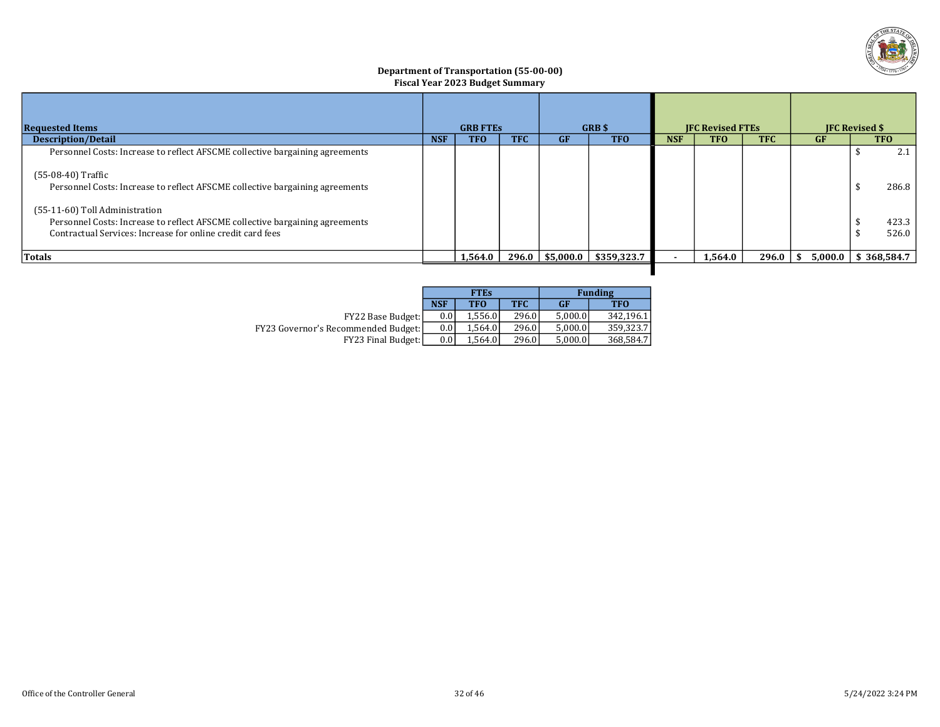

#### Department of Transportation (55-00-00) Fiscal Year 2023 Budget Summary

| <b>Requested Items</b>                                                                                                                                                       |            | <b>GRB FTES</b> |            |                     | <b>GRB</b> \$ | <b>IFC Revised FTEs</b> |            |            | <b>IFC Revised \$</b> |  |                |
|------------------------------------------------------------------------------------------------------------------------------------------------------------------------------|------------|-----------------|------------|---------------------|---------------|-------------------------|------------|------------|-----------------------|--|----------------|
| <b>Description/Detail</b>                                                                                                                                                    | <b>NSF</b> | <b>TFO</b>      | <b>TFC</b> | GF                  | <b>TFO</b>    |                         | <b>TFO</b> | <b>TFC</b> | GF                    |  | <b>TFO</b>     |
| Personnel Costs: Increase to reflect AFSCME collective bargaining agreements                                                                                                 |            |                 |            |                     |               |                         |            |            |                       |  | 2.1            |
| (55-08-40) Traffic<br>Personnel Costs: Increase to reflect AFSCME collective bargaining agreements                                                                           |            |                 |            |                     |               |                         |            |            |                       |  | 286.8          |
| (55-11-60) Toll Administration<br>Personnel Costs: Increase to reflect AFSCME collective bargaining agreements<br>Contractual Services: Increase for online credit card fees |            |                 |            |                     |               |                         |            |            |                       |  | 423.3<br>526.0 |
| Totals                                                                                                                                                                       |            | 1,564.0         |            | $296.0$   \$5,000.0 | \$359,323.7   |                         | 1,564.0    | 296.0      | 5,000.0<br>-SS        |  | \$368,584.7    |
|                                                                                                                                                                              |            |                 |            |                     |               |                         |            |            |                       |  |                |

|                                            |                  | <b>FTEs</b> |            |           | <b>Funding</b> |
|--------------------------------------------|------------------|-------------|------------|-----------|----------------|
|                                            | <b>NSF</b>       | <b>TFO</b>  | <b>TFC</b> | <b>GF</b> | <b>TFO</b>     |
| FY22 Base Budget:                          | 0.0 <sub>1</sub> | 1.556.0     | 296.0      | 5.000.0   | 342.196.1      |
| <b>FY23 Governor's Recommended Budget:</b> | 0.0 <sub>1</sub> | 1.564.0     | 296.0      | 5.000.0   | 359.323.7      |
| <b>FY23 Final Budget:</b>                  | 0.01             | 1.564.0     | 296.0      | 5.000.0   | 368,584.7      |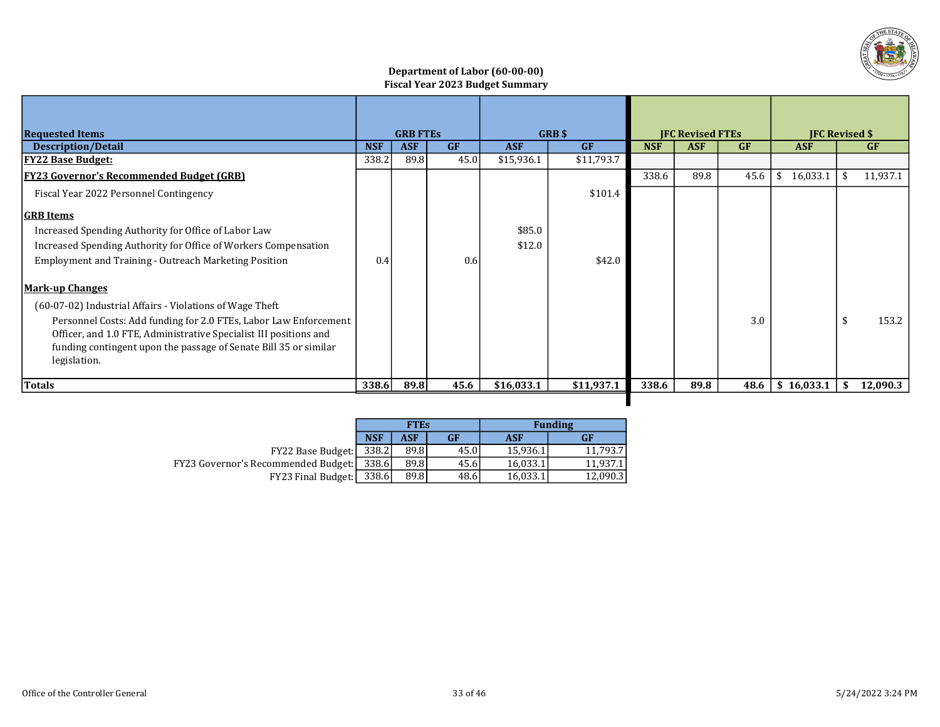

## Department of Labor (60-00-00) Fiscal Year 2023 Budget Summary

|                                                                                                                                                                                                                           | <b>GRB FTES</b> |            | <b>GRB \$</b> |            |            |                         |            | <b>IFC Revised \$</b> |                |    |           |  |
|---------------------------------------------------------------------------------------------------------------------------------------------------------------------------------------------------------------------------|-----------------|------------|---------------|------------|------------|-------------------------|------------|-----------------------|----------------|----|-----------|--|
| <b>Requested Items</b>                                                                                                                                                                                                    |                 |            |               |            |            | <b>IFC Revised FTEs</b> |            |                       |                |    |           |  |
| <b>Description/Detail</b>                                                                                                                                                                                                 | <b>NSF</b>      | <b>ASF</b> | GF            | <b>ASF</b> | GF         | <b>NSF</b>              | <b>ASF</b> | GF                    | <b>ASF</b>     |    | <b>GF</b> |  |
| <b>FY22 Base Budget:</b>                                                                                                                                                                                                  | 338.2           | 89.8       | 45.0          | \$15,936.1 | \$11,793.7 |                         |            |                       |                |    |           |  |
| <b>FY23 Governor's Recommended Budget (GRB)</b>                                                                                                                                                                           |                 |            |               |            |            | 338.6                   | 89.8       | 45.6                  | 16,033.1<br>\$ | \$ | 11,937.1  |  |
| Fiscal Year 2022 Personnel Contingency                                                                                                                                                                                    |                 |            |               |            | \$101.4    |                         |            |                       |                |    |           |  |
| <b>GRB</b> Items                                                                                                                                                                                                          |                 |            |               |            |            |                         |            |                       |                |    |           |  |
| Increased Spending Authority for Office of Labor Law                                                                                                                                                                      |                 |            |               | \$85.0     |            |                         |            |                       |                |    |           |  |
| Increased Spending Authority for Office of Workers Compensation                                                                                                                                                           |                 |            |               | \$12.0     |            |                         |            |                       |                |    |           |  |
| <b>Employment and Training - Outreach Marketing Position</b>                                                                                                                                                              | 0.4             |            | 0.6           |            | \$42.0     |                         |            |                       |                |    |           |  |
| <b>Mark-up Changes</b>                                                                                                                                                                                                    |                 |            |               |            |            |                         |            |                       |                |    |           |  |
| (60-07-02) Industrial Affairs - Violations of Wage Theft                                                                                                                                                                  |                 |            |               |            |            |                         |            |                       |                |    |           |  |
| Personnel Costs: Add funding for 2.0 FTEs, Labor Law Enforcement<br>Officer, and 1.0 FTE, Administrative Specialist III positions and<br>funding contingent upon the passage of Senate Bill 35 or similar<br>legislation. |                 |            |               |            |            |                         |            | 3.0                   |                | \$ | 153.2     |  |
| <b>Totals</b>                                                                                                                                                                                                             | 338.6           | 89.8       | 45.6          | \$16,033.1 | \$11,937.1 | 338.6                   | 89.8       | 48.6                  | \$16,033.1     | S. | 12,090.3  |  |
|                                                                                                                                                                                                                           |                 |            |               |            |            |                         |            |                       |                |    |           |  |

|                                     |            | <b>FTEs</b> |           |            | <b>Funding</b> |
|-------------------------------------|------------|-------------|-----------|------------|----------------|
|                                     | <b>NSF</b> | ASF         | <b>GF</b> | <b>ASF</b> | <b>GF</b>      |
| $FY22$ Base Budget:   338.2         |            | 89.8        | 45.0      | 15,936.1   | 11.793.7       |
| FY23 Governor's Recommended Budget: | 338.6I     | 89.8        | 45.6      | 16,033.1   | 11.937.1       |
| FY23 Final Budget:                  | 338.6      | 89.8        | 48.6      | 16,033.1   | 12,090.3       |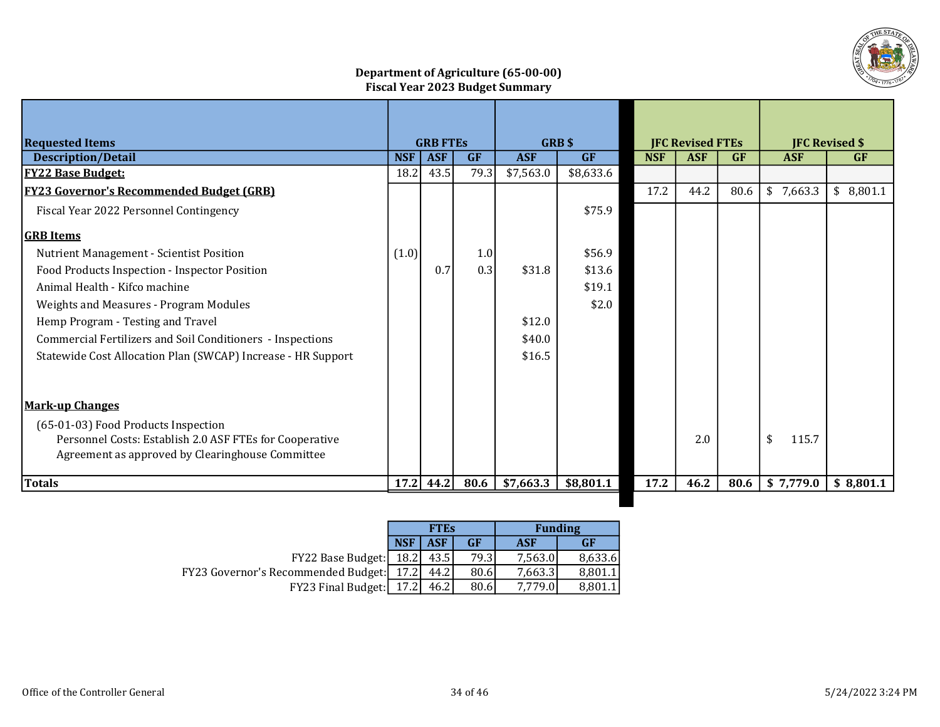

# Department of Agriculture (65-00-00) Fiscal Year 2023 Budget Summary

| <b>Requested Items</b>                                                                                                                             |            | <b>GRB FTES</b> |           |            | <b>GRB\$</b> |            | <b>IFC Revised FTEs</b> |           |             | <b>JFC Revised \$</b> |
|----------------------------------------------------------------------------------------------------------------------------------------------------|------------|-----------------|-----------|------------|--------------|------------|-------------------------|-----------|-------------|-----------------------|
| <b>Description/Detail</b>                                                                                                                          | <b>NSF</b> | <b>ASF</b>      | <b>GF</b> | <b>ASF</b> | <b>GF</b>    | <b>NSF</b> | <b>ASF</b>              | <b>GF</b> | <b>ASF</b>  | <b>GF</b>             |
| <b>FY22 Base Budget:</b>                                                                                                                           | 18.2       | 43.5            | 79.3      | \$7,563.0  | \$8,633.6    |            |                         |           |             |                       |
| <b>FY23 Governor's Recommended Budget (GRB)</b>                                                                                                    |            |                 |           |            |              | 17.2       | 44.2                    | 80.6      | \$7,663.3   | \$8,801.1             |
| Fiscal Year 2022 Personnel Contingency                                                                                                             |            |                 |           |            | \$75.9       |            |                         |           |             |                       |
| <b>GRB</b> Items                                                                                                                                   |            |                 |           |            |              |            |                         |           |             |                       |
| Nutrient Management - Scientist Position                                                                                                           | (1.0)      |                 | 1.0       |            | \$56.9       |            |                         |           |             |                       |
| Food Products Inspection - Inspector Position                                                                                                      |            | 0.7             | 0.3       | \$31.8     | \$13.6       |            |                         |           |             |                       |
| Animal Health - Kifco machine                                                                                                                      |            |                 |           |            | \$19.1       |            |                         |           |             |                       |
| Weights and Measures - Program Modules                                                                                                             |            |                 |           |            | \$2.0        |            |                         |           |             |                       |
| Hemp Program - Testing and Travel                                                                                                                  |            |                 |           | \$12.0     |              |            |                         |           |             |                       |
| <b>Commercial Fertilizers and Soil Conditioners - Inspections</b>                                                                                  |            |                 |           | \$40.0     |              |            |                         |           |             |                       |
| Statewide Cost Allocation Plan (SWCAP) Increase - HR Support                                                                                       |            |                 |           | \$16.5     |              |            |                         |           |             |                       |
| <b>Mark-up Changes</b>                                                                                                                             |            |                 |           |            |              |            |                         |           |             |                       |
| (65-01-03) Food Products Inspection<br>Personnel Costs: Establish 2.0 ASF FTEs for Cooperative<br>Agreement as approved by Clearinghouse Committee |            |                 |           |            |              |            | 2.0                     |           | \$<br>115.7 |                       |
| <b>Totals</b>                                                                                                                                      | 17.2       | 44.2            | 80.6      | \$7,663.3  | \$8,801.1    | 17.2       | 46.2                    | 80.6      | \$7,779.0   | \$8,801.1             |
|                                                                                                                                                    |            |                 |           |            |              |            |                         |           |             |                       |

|                                            |            | <b>FTEs</b> |           |         | <b>Funding</b> |
|--------------------------------------------|------------|-------------|-----------|---------|----------------|
|                                            | <b>NSF</b> | ASF         | <b>GF</b> | ASF     | GF             |
| FY22 Base Budget:   18.2                   |            | 43.5        | 79.3      | 7,563.0 | 8,633.6        |
| FY23 Governor's Recommended Budget:   17.2 |            | 44.2I       | 80.6      | 7,663.3 | 8,801.1        |
| <b>FY23 Final Budget:</b>                  | 17.2       | 46.2        | 80.6      | 7.779.0 | 8.801.1        |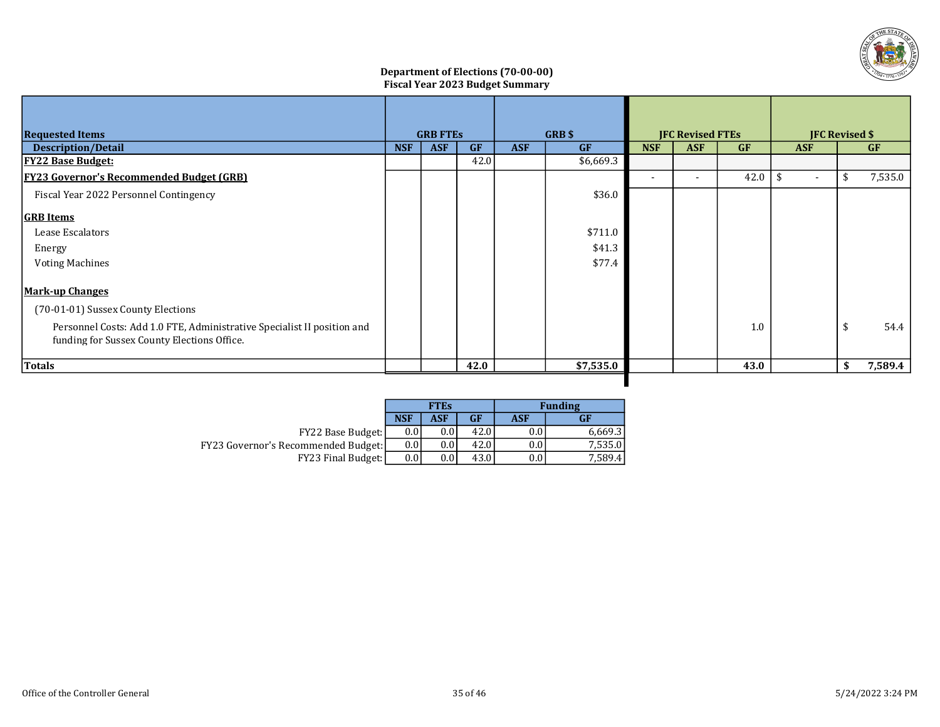

## Department of Elections (70-00-00) Fiscal Year 2023 Budget Summary

| <b>Requested Items</b>                                                                                                 |            | <b>GRB FTES</b> |           |            | GRB\$     | <b>JFC Revised FTEs</b> |            |           | <b>JFC Revised \$</b> |            |    |           |
|------------------------------------------------------------------------------------------------------------------------|------------|-----------------|-----------|------------|-----------|-------------------------|------------|-----------|-----------------------|------------|----|-----------|
| <b>Description/Detail</b>                                                                                              | <b>NSF</b> | <b>ASF</b>      | <b>GF</b> | <b>ASF</b> | <b>GF</b> | <b>NSF</b>              | <b>ASF</b> | <b>GF</b> |                       | <b>ASF</b> |    | <b>GF</b> |
| <b>FY22 Base Budget:</b>                                                                                               |            |                 | 42.0      |            | \$6,669.3 |                         |            |           |                       |            |    |           |
| <b>FY23 Governor's Recommended Budget (GRB)</b>                                                                        |            |                 |           |            |           |                         |            | 42.0      | $\mathbf{\hat{S}}$    | $\sim$     | \$ | 7,535.0   |
| Fiscal Year 2022 Personnel Contingency                                                                                 |            |                 |           |            | \$36.0    |                         |            |           |                       |            |    |           |
| <b>GRB</b> Items                                                                                                       |            |                 |           |            |           |                         |            |           |                       |            |    |           |
| Lease Escalators                                                                                                       |            |                 |           |            | \$711.0   |                         |            |           |                       |            |    |           |
| Energy                                                                                                                 |            |                 |           |            | \$41.3    |                         |            |           |                       |            |    |           |
| <b>Voting Machines</b>                                                                                                 |            |                 |           |            | \$77.4    |                         |            |           |                       |            |    |           |
| <u>Mark-up Changes</u>                                                                                                 |            |                 |           |            |           |                         |            |           |                       |            |    |           |
| (70-01-01) Sussex County Elections                                                                                     |            |                 |           |            |           |                         |            |           |                       |            |    |           |
| Personnel Costs: Add 1.0 FTE, Administrative Specialist II position and<br>funding for Sussex County Elections Office. |            |                 |           |            |           |                         |            | 1.0       |                       |            | \$ | 54.4      |
| <b>Totals</b>                                                                                                          |            |                 | 42.0      |            | \$7,535.0 |                         |            | 43.0      |                       |            | \$ | 7,589.4   |
|                                                                                                                        |            |                 |           |            |           |                         |            |           |                       |            |    |           |

|                                            |                  | <b>FTEs</b> |      |     | <b>Funding</b> |
|--------------------------------------------|------------------|-------------|------|-----|----------------|
|                                            | <b>NSF</b>       | <b>ASF</b>  | GF   | ASF | GF             |
| <b>FY22 Base Budget:</b>                   | 0.01             | $0.0\,$     | 42.0 | 0.0 | 6,669.3        |
| <b>FY23 Governor's Recommended Budget:</b> | 0.01             | $0.0\,$     | 42.0 | 0.0 | 7,535.0        |
| <b>FY23 Final Budget:</b>                  | 0.0 <sub>l</sub> | $0.0\,$     | 43.0 | 0.0 | 7,589.41       |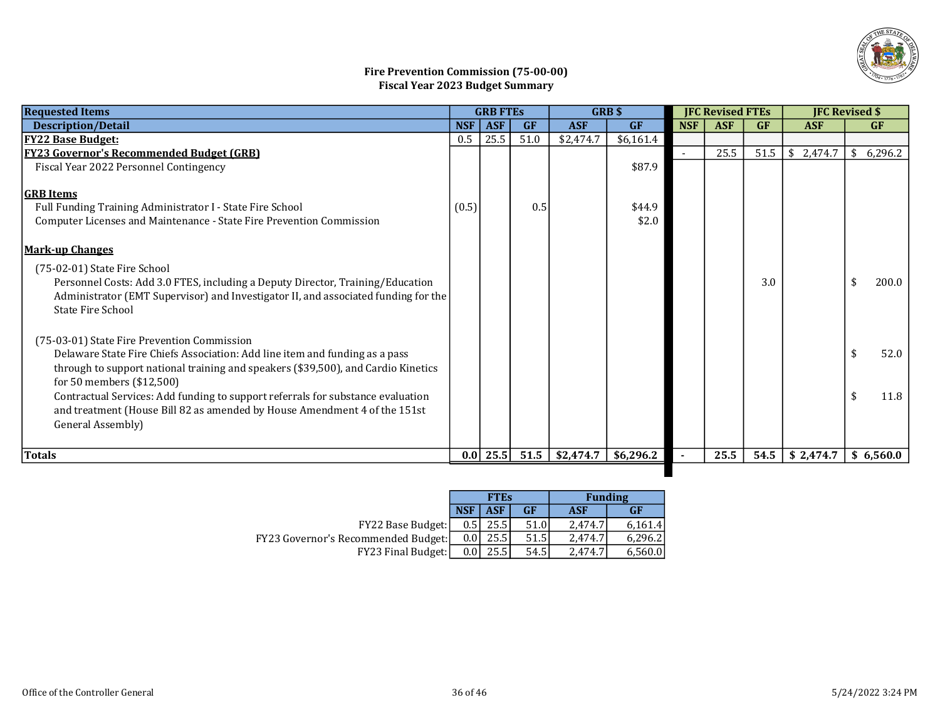

# Fire Prevention Commission (75-00-00) Fiscal Year 2023 Budget Summary

| <b>Requested Items</b>                                                                                                                                                                                                                       | <b>GRB FTES</b> |            |           | <b>GRBS</b> | <b>JFC Revised FTEs</b> |            |            | <b>JFC Revised \$</b> |            |               |       |
|----------------------------------------------------------------------------------------------------------------------------------------------------------------------------------------------------------------------------------------------|-----------------|------------|-----------|-------------|-------------------------|------------|------------|-----------------------|------------|---------------|-------|
| <b>Description/Detail</b>                                                                                                                                                                                                                    | <b>NSF</b>      | <b>ASF</b> | <b>GF</b> | <b>ASF</b>  | <b>GF</b>               | <b>NSF</b> | <b>ASF</b> | GF                    | <b>ASF</b> | <b>GF</b>     |       |
| <b>FY22 Base Budget:</b>                                                                                                                                                                                                                     | 0.5             | 25.5       | 51.0      | \$2,474.7   | \$6,161.4               |            |            |                       |            |               |       |
| <b>FY23 Governor's Recommended Budget (GRB)</b>                                                                                                                                                                                              |                 |            |           |             |                         |            | 25.5       | 51.5                  | \$2,474.7  | 6,296.2<br>\$ |       |
| Fiscal Year 2022 Personnel Contingency                                                                                                                                                                                                       |                 |            |           |             | \$87.9                  |            |            |                       |            |               |       |
| <b>GRB</b> Items                                                                                                                                                                                                                             |                 |            |           |             |                         |            |            |                       |            |               |       |
| Full Funding Training Administrator I - State Fire School                                                                                                                                                                                    | (0.5)           |            | 0.5       |             | \$44.9                  |            |            |                       |            |               |       |
| Computer Licenses and Maintenance - State Fire Prevention Commission                                                                                                                                                                         |                 |            |           |             | \$2.0                   |            |            |                       |            |               |       |
| <b>Mark-up Changes</b>                                                                                                                                                                                                                       |                 |            |           |             |                         |            |            |                       |            |               |       |
| (75-02-01) State Fire School<br>Personnel Costs: Add 3.0 FTES, including a Deputy Director, Training/Education<br>Administrator (EMT Supervisor) and Investigator II, and associated funding for the<br><b>State Fire School</b>             |                 |            |           |             |                         |            |            | 3.0                   |            |               | 200.0 |
| (75-03-01) State Fire Prevention Commission<br>Delaware State Fire Chiefs Association: Add line item and funding as a pass<br>through to support national training and speakers (\$39,500), and Cardio Kinetics<br>for 50 members (\$12,500) |                 |            |           |             |                         |            |            |                       |            | \$            | 52.0  |
| Contractual Services: Add funding to support referrals for substance evaluation<br>and treatment (House Bill 82 as amended by House Amendment 4 of the 151st<br>General Assembly)                                                            |                 |            |           |             |                         |            |            |                       |            |               | 11.8  |
| Totals                                                                                                                                                                                                                                       | 0.0             | 25.5       | 51.5      | \$2,474.7   | \$6,296.2               |            | 25.5       | 54.5                  | \$2,474.7  | \$6,560.0     |       |

|                                     |            | <b>FTES</b> |           |         | <b>Funding</b> |
|-------------------------------------|------------|-------------|-----------|---------|----------------|
|                                     | <b>NSF</b> | ASF         | <b>GF</b> | ASF     | <b>GF</b>      |
| <b>FY22 Base Budget:</b>            | 0.5        | 25.5        | 51.0      | 2.474.7 | 6.161.4        |
| FY23 Governor's Recommended Budget: | 0.01       | 25.5        | 51.5      | 2.474.7 | 6.296.21       |
| <b>FY23 Final Budget:</b>           | 0.0        | 25.5        | 54.5      | 2.474.7 | 6,560.0        |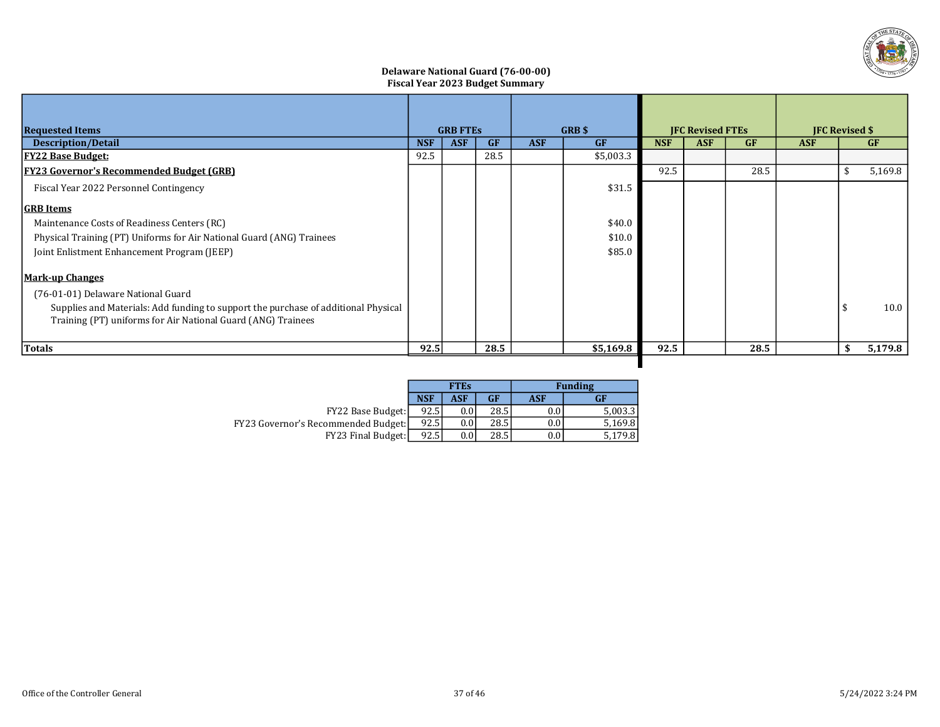

## Delaware National Guard (76-00-00) Fiscal Year 2023 Budget Summary

| <b>Requested Items</b>                                                                                                                             |            | <b>GRB FTES</b> |           |            | <b>GRB</b> \$ | <b>JFC Revised FTEs</b> |            |           | <b>JFC Revised \$</b> |     |           |
|----------------------------------------------------------------------------------------------------------------------------------------------------|------------|-----------------|-----------|------------|---------------|-------------------------|------------|-----------|-----------------------|-----|-----------|
| <b>Description/Detail</b>                                                                                                                          | <b>NSF</b> | <b>ASF</b>      | <b>GF</b> | <b>ASF</b> | <b>GF</b>     | <b>NSF</b>              | <b>ASF</b> | <b>GF</b> | <b>ASF</b>            |     | <b>GF</b> |
| <b>FY22 Base Budget:</b>                                                                                                                           | 92.5       |                 | 28.5      |            | \$5,003.3     |                         |            |           |                       |     |           |
| <b>FY23 Governor's Recommended Budget (GRB)</b>                                                                                                    |            |                 |           |            |               | 92.5                    |            | 28.5      |                       | -\$ | 5,169.8   |
| Fiscal Year 2022 Personnel Contingency                                                                                                             |            |                 |           |            | \$31.5        |                         |            |           |                       |     |           |
| <b>GRB</b> Items                                                                                                                                   |            |                 |           |            |               |                         |            |           |                       |     |           |
| Maintenance Costs of Readiness Centers (RC)                                                                                                        |            |                 |           |            | \$40.0        |                         |            |           |                       |     |           |
| Physical Training (PT) Uniforms for Air National Guard (ANG) Trainees                                                                              |            |                 |           |            | \$10.0        |                         |            |           |                       |     |           |
| Joint Enlistment Enhancement Program (JEEP)                                                                                                        |            |                 |           |            | \$85.0        |                         |            |           |                       |     |           |
| <b>Mark-up Changes</b>                                                                                                                             |            |                 |           |            |               |                         |            |           |                       |     |           |
| (76-01-01) Delaware National Guard                                                                                                                 |            |                 |           |            |               |                         |            |           |                       |     |           |
| Supplies and Materials: Add funding to support the purchase of additional Physical<br>Training (PT) uniforms for Air National Guard (ANG) Trainees |            |                 |           |            |               |                         |            |           |                       |     | 10.0      |
| <b>Totals</b>                                                                                                                                      | 92.5       |                 | 28.5      |            | \$5,169.8     | 92.5                    |            | 28.5      |                       | -S  | 5,179.8   |
|                                                                                                                                                    |            |                 |           |            |               |                         |            |           |                       |     |           |

|                                            |            | <b>FTEs</b> |      | <b>Funding</b> |         |  |  |  |
|--------------------------------------------|------------|-------------|------|----------------|---------|--|--|--|
|                                            | <b>NSF</b> | ASF         | GF   | ASF            | GF      |  |  |  |
| FY22 Base Budget:                          | 92.5       |             | 28.5 | 0.0            | 5,003.3 |  |  |  |
| <b>FY23 Governor's Recommended Budget:</b> | 92.5       | 0.0         | 28.5 | 0.0            | 5.169.8 |  |  |  |
| <b>FY23 Final Budget:</b>                  | 92.5       |             | 28.5 | 0.0            | 5,179.8 |  |  |  |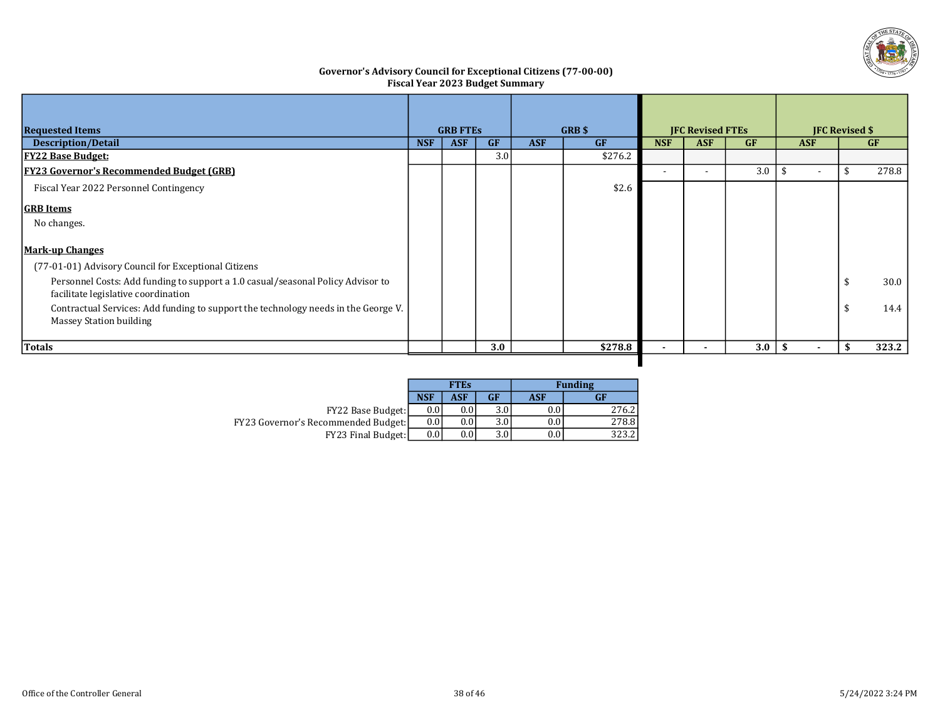

## Governor's Advisory Council for Exceptional Citizens (77-00-00) Fiscal Year 2023 Budget Summary

| <b>Requested Items</b>                                                                                                 |            | <b>GRB FTES</b> |           |            | GRB \$    | <b>JFC Revised FTEs</b> |            |     | <b>JFC Revised \$</b> |  |       |
|------------------------------------------------------------------------------------------------------------------------|------------|-----------------|-----------|------------|-----------|-------------------------|------------|-----|-----------------------|--|-------|
| <b>Description/Detail</b>                                                                                              | <b>NSF</b> | <b>ASF</b>      | <b>GF</b> | <b>ASF</b> | <b>GF</b> | <b>NSF</b>              | <b>ASF</b> | GF  | <b>ASF</b>            |  | GF    |
| <b>FY22 Base Budget:</b>                                                                                               |            |                 | 3.0       |            | \$276.2   |                         |            |     |                       |  |       |
| <b>FY23 Governor's Recommended Budget (GRB)</b>                                                                        |            |                 |           |            |           |                         |            | 3.0 | $\sim$                |  | 278.8 |
| Fiscal Year 2022 Personnel Contingency                                                                                 |            |                 |           |            | \$2.6     |                         |            |     |                       |  |       |
| <b>GRB</b> Items                                                                                                       |            |                 |           |            |           |                         |            |     |                       |  |       |
| No changes.                                                                                                            |            |                 |           |            |           |                         |            |     |                       |  |       |
| <b>Mark-up Changes</b>                                                                                                 |            |                 |           |            |           |                         |            |     |                       |  |       |
| (77-01-01) Advisory Council for Exceptional Citizens                                                                   |            |                 |           |            |           |                         |            |     |                       |  |       |
| Personnel Costs: Add funding to support a 1.0 casual/seasonal Policy Advisor to<br>facilitate legislative coordination |            |                 |           |            |           |                         |            |     |                       |  | 30.0  |
| Contractual Services: Add funding to support the technology needs in the George V.<br><b>Massey Station building</b>   |            |                 |           |            |           |                         |            |     |                       |  | 14.4  |
| Totals                                                                                                                 |            |                 | 3.0       |            | \$278.8   |                         |            | 3.0 |                       |  | 323.2 |
|                                                                                                                        |            |                 |           |            |           |                         |            |     |                       |  |       |

|                                            |            | <b>FTES</b> |     | <b>Funding</b>   |       |  |  |  |
|--------------------------------------------|------------|-------------|-----|------------------|-------|--|--|--|
|                                            | <b>NSF</b> | ASF         | GF  | <b>ASF</b>       | GF    |  |  |  |
| <b>FY22 Base Budget:</b>                   | 0.0        |             | 3.0 | 0.0 <sub>1</sub> | 276.2 |  |  |  |
| <b>FY23 Governor's Recommended Budget:</b> | 0.0        | 0.0         | 3.0 | $0.0\,$          | 278.8 |  |  |  |
| <b>FY23 Final Budget:</b>                  | 0.0        | 0.0         | 3.0 | $0.0\,$          | 323.2 |  |  |  |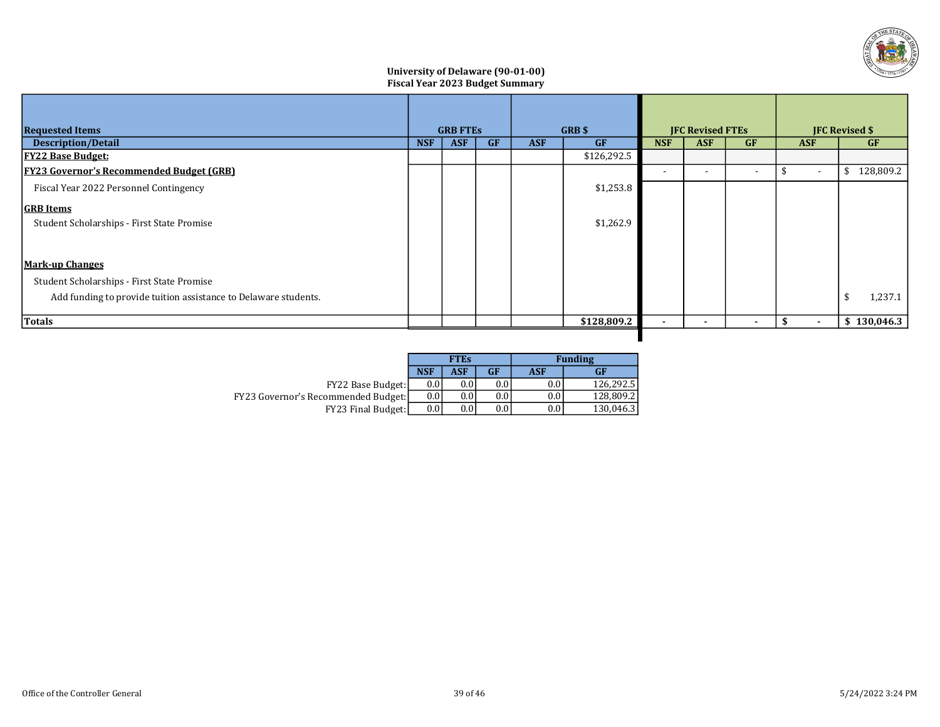

## University of Delaware (90-01-00) Fiscal Year 2023 Budget Summary

| <b>Requested Items</b>                                          |            | <b>GRB FTES</b> |           | GRB \$     |             | <b>JFC Revised FTEs</b>  |            |                          | <b>JFC Revised \$</b> |                 |  |
|-----------------------------------------------------------------|------------|-----------------|-----------|------------|-------------|--------------------------|------------|--------------------------|-----------------------|-----------------|--|
| <b>Description/Detail</b>                                       | <b>NSF</b> | <b>ASF</b>      | <b>GF</b> | <b>ASF</b> | <b>GF</b>   | <b>NSF</b>               | <b>ASF</b> | <b>GF</b>                | <b>ASF</b>            | <b>GF</b>       |  |
| <b>FY22 Base Budget:</b>                                        |            |                 |           |            | \$126,292.5 |                          |            |                          |                       |                 |  |
| <b>FY23 Governor's Recommended Budget (GRB)</b>                 |            |                 |           |            |             |                          |            | $\overline{\phantom{a}}$ | $\sim$                | 128,809.2<br>\$ |  |
| Fiscal Year 2022 Personnel Contingency                          |            |                 |           |            | \$1,253.8   |                          |            |                          |                       |                 |  |
| <b>GRB</b> Items                                                |            |                 |           |            |             |                          |            |                          |                       |                 |  |
| Student Scholarships - First State Promise                      |            |                 |           |            | \$1,262.9   |                          |            |                          |                       |                 |  |
|                                                                 |            |                 |           |            |             |                          |            |                          |                       |                 |  |
| <b>Mark-up Changes</b>                                          |            |                 |           |            |             |                          |            |                          |                       |                 |  |
| Student Scholarships - First State Promise                      |            |                 |           |            |             |                          |            |                          |                       |                 |  |
| Add funding to provide tuition assistance to Delaware students. |            |                 |           |            |             |                          |            |                          |                       | 1,237.1<br>\$   |  |
| Totals                                                          |            |                 |           |            | \$128,809.2 | $\overline{\phantom{a}}$ |            | $\overline{\phantom{a}}$ | $\blacksquare$        | \$130,046.3     |  |

п

|                                            |            | <b>FTEs</b> |           | <b>Funding</b> |           |  |  |  |
|--------------------------------------------|------------|-------------|-----------|----------------|-----------|--|--|--|
|                                            | <b>NSF</b> | <b>ASF</b>  | <b>GF</b> | ASF            | GF        |  |  |  |
| <b>FY22 Base Budget:</b>                   | 0.0        |             | $0.0\,$   | $0.0\,$        | 126.292.5 |  |  |  |
| <b>FY23 Governor's Recommended Budget:</b> | 0.0        | 0.0         | 0.0       | $0.0\,$        | 128.809.2 |  |  |  |
| <b>FY23 Final Budget:</b>                  | 0.0        | 0.0         | $0.0\,$   | $0.0\,$        | 130,046.3 |  |  |  |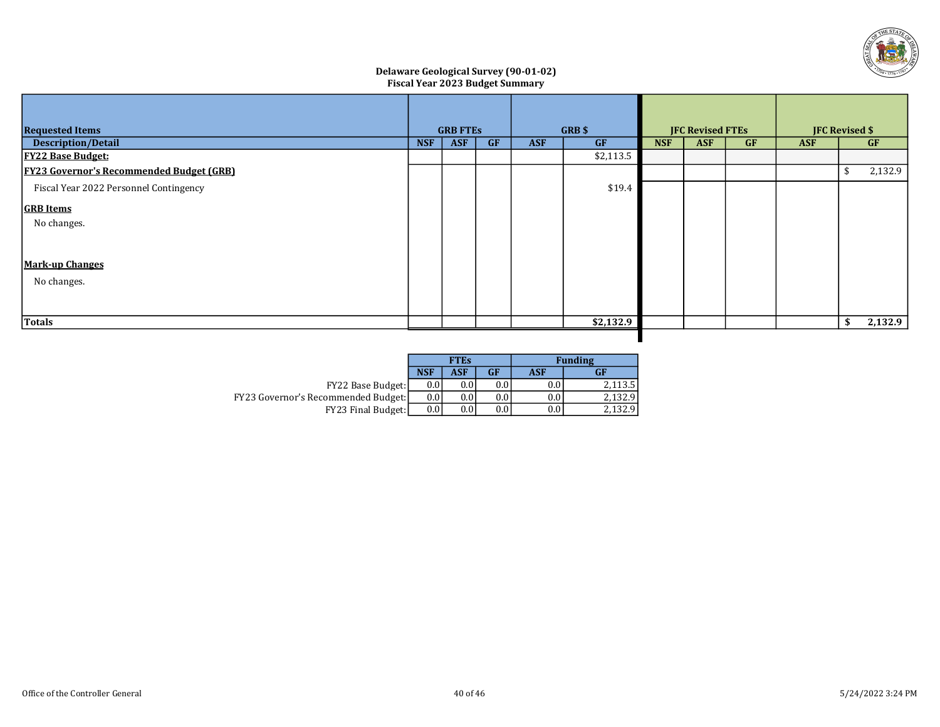

## Delaware Geological Survey (90-01-02) Fiscal Year 2023 Budget Summary

| <b>Requested Items</b>                          |            | <b>GRB FTES</b> |           |            | GRB \$    | <b>JFC Revised FTEs</b> |            |    | <b>JFC Revised \$</b> |    |         |
|-------------------------------------------------|------------|-----------------|-----------|------------|-----------|-------------------------|------------|----|-----------------------|----|---------|
| <b>Description/Detail</b>                       | <b>NSF</b> | <b>ASF</b>      | <b>GF</b> | <b>ASF</b> | <b>GF</b> | <b>NSF</b>              | <b>ASF</b> | GF | <b>ASF</b>            |    | GF      |
| <b>FY22 Base Budget:</b>                        |            |                 |           |            | \$2,113.5 |                         |            |    |                       |    |         |
| <b>FY23 Governor's Recommended Budget (GRB)</b> |            |                 |           |            |           |                         |            |    |                       | £. | 2,132.9 |
| Fiscal Year 2022 Personnel Contingency          |            |                 |           |            | \$19.4    |                         |            |    |                       |    |         |
| <b>GRB</b> Items                                |            |                 |           |            |           |                         |            |    |                       |    |         |
| No changes.                                     |            |                 |           |            |           |                         |            |    |                       |    |         |
|                                                 |            |                 |           |            |           |                         |            |    |                       |    |         |
| <b>Mark-up Changes</b>                          |            |                 |           |            |           |                         |            |    |                       |    |         |
| No changes.                                     |            |                 |           |            |           |                         |            |    |                       |    |         |
|                                                 |            |                 |           |            |           |                         |            |    |                       |    |         |
| Totals                                          |            |                 |           |            | \$2,132.9 |                         |            |    |                       | \$ | 2,132.9 |
|                                                 |            |                 |           |            |           |                         |            |    |                       |    |         |

|                                            |            | <b>FTEs</b> |           | <b>Funding</b> |         |  |  |  |
|--------------------------------------------|------------|-------------|-----------|----------------|---------|--|--|--|
|                                            | <b>NSF</b> | <b>ASF</b>  | <b>GF</b> | ASF            | GF      |  |  |  |
| <b>FY22 Base Budget:</b>                   | 0.0        | 0.0         | 0.0       | 0.0            | 2.113.5 |  |  |  |
| <b>FY23 Governor's Recommended Budget:</b> | 0.0        | 0.0         | $0.0\,$   | 0.0            | 2.132.9 |  |  |  |
| <b>FY23 Final Budget:</b>                  | 0.0        | 0.0         | 0.0       | 0.0            |         |  |  |  |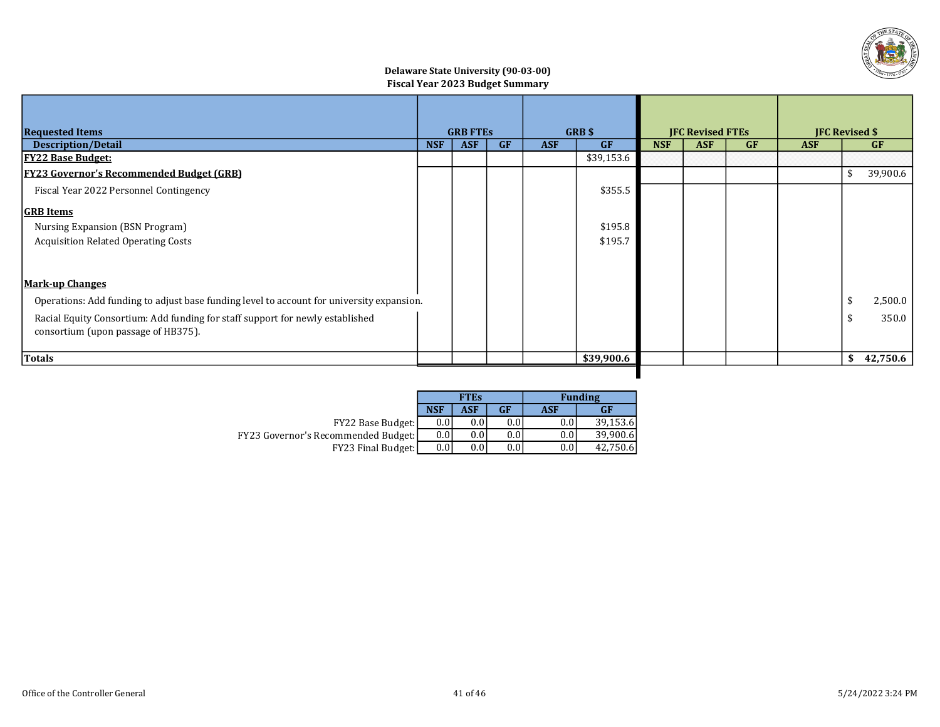

## Delaware State University (90-03-00) Fiscal Year 2023 Budget Summary

| <b>Requested Items</b>                                                                                               | <b>GRB FTES</b> |            | <b>GRB</b> \$ |            | <b>JFC Revised FTEs</b> |            |            | <b>JFC Revised \$</b> |            |    |           |
|----------------------------------------------------------------------------------------------------------------------|-----------------|------------|---------------|------------|-------------------------|------------|------------|-----------------------|------------|----|-----------|
| <b>Description/Detail</b>                                                                                            | <b>NSF</b>      | <b>ASF</b> | GF            | <b>ASF</b> | <b>GF</b>               | <b>NSF</b> | <b>ASF</b> | <b>GF</b>             | <b>ASF</b> |    | <b>GF</b> |
| <u> FY22 Base Budget:</u>                                                                                            |                 |            |               |            | \$39,153.6              |            |            |                       |            |    |           |
| <b>FY23 Governor's Recommended Budget (GRB)</b>                                                                      |                 |            |               |            |                         |            |            |                       |            | \$ | 39,900.6  |
| Fiscal Year 2022 Personnel Contingency                                                                               |                 |            |               |            | \$355.5                 |            |            |                       |            |    |           |
| <b>GRB</b> Items                                                                                                     |                 |            |               |            |                         |            |            |                       |            |    |           |
| Nursing Expansion (BSN Program)                                                                                      |                 |            |               |            | \$195.8                 |            |            |                       |            |    |           |
| <b>Acquisition Related Operating Costs</b>                                                                           |                 |            |               |            | \$195.7                 |            |            |                       |            |    |           |
| <b>Mark-up Changes</b>                                                                                               |                 |            |               |            |                         |            |            |                       |            |    |           |
| Operations: Add funding to adjust base funding level to account for university expansion.                            |                 |            |               |            |                         |            |            |                       |            |    | 2,500.0   |
| Racial Equity Consortium: Add funding for staff support for newly established<br>consortium (upon passage of HB375). |                 |            |               |            |                         |            |            |                       |            |    | 350.0     |
| Totals                                                                                                               |                 |            |               |            | \$39,900.6              |            |            |                       |            | \$ | 42,750.6  |
|                                                                                                                      |                 |            |               |            |                         |            |            |                       |            |    |           |

|                                            |            | <b>FTEs</b> |         |            | <b>Funding</b> |
|--------------------------------------------|------------|-------------|---------|------------|----------------|
|                                            | <b>NSF</b> | ASF         | GF      | <b>ASF</b> | <b>GF</b>      |
| <b>FY22 Base Budget:</b>                   | 0.0        | 0.0         | 0.0     | 0.0        | 39.153.6       |
| <b>FY23 Governor's Recommended Budget:</b> | 0.0        | 0.0         | $0.0\,$ | 0.0        | 39.900.6       |
| FY23 Final Budget:                         | 0.0        | 0.0         | $0.0\,$ | 0.0        | 42.750.6       |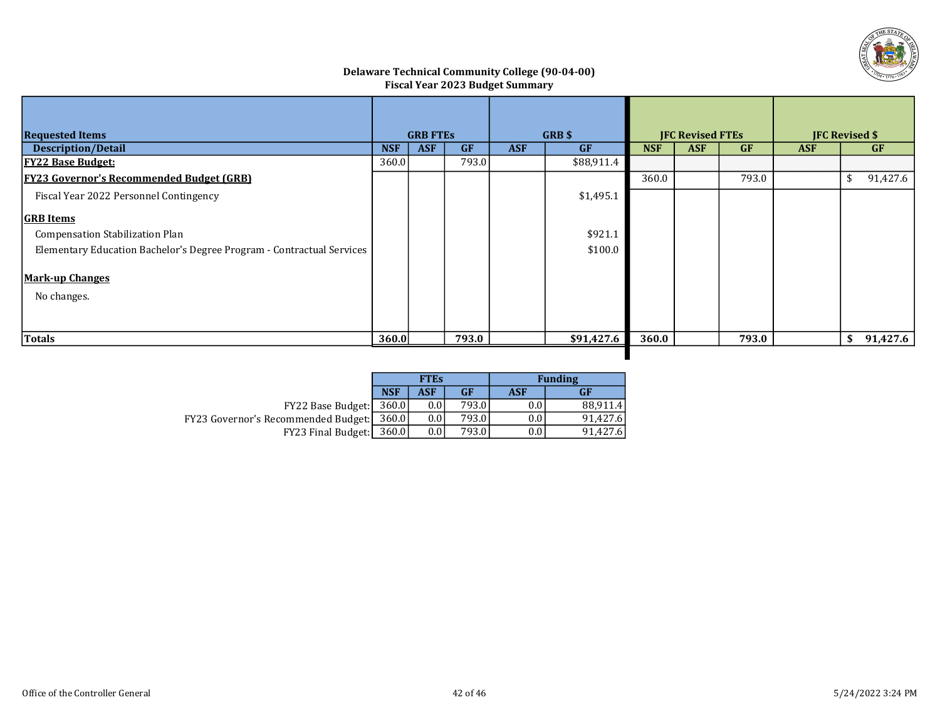

#### Delaware Technical Community College (90-04-00) Fiscal Year 2023 Budget Summary

| <b>Requested Items</b>                                                | <b>GRB FTES</b> |            |           | <b>GRB</b> \$ |            | <b>IFC Revised FTEs</b> |            |           | <b>IFC Revised \$</b> |    |           |
|-----------------------------------------------------------------------|-----------------|------------|-----------|---------------|------------|-------------------------|------------|-----------|-----------------------|----|-----------|
| <b>Description/Detail</b>                                             | <b>NSF</b>      | <b>ASF</b> | <b>GF</b> | <b>ASF</b>    | <b>GF</b>  | <b>NSF</b>              | <b>ASF</b> | <b>GF</b> | <b>ASF</b>            |    | <b>GF</b> |
| <b>FY22 Base Budget:</b>                                              | 360.0           |            | 793.0     |               | \$88,911.4 |                         |            |           |                       |    |           |
| <b>FY23 Governor's Recommended Budget (GRB)</b>                       |                 |            |           |               |            | 360.0                   |            | 793.0     |                       | \$ | 91,427.6  |
| Fiscal Year 2022 Personnel Contingency                                |                 |            |           |               | \$1,495.1  |                         |            |           |                       |    |           |
| <b>GRB</b> Items                                                      |                 |            |           |               |            |                         |            |           |                       |    |           |
| Compensation Stabilization Plan                                       |                 |            |           |               | \$921.1    |                         |            |           |                       |    |           |
| Elementary Education Bachelor's Degree Program - Contractual Services |                 |            |           |               | \$100.0    |                         |            |           |                       |    |           |
| <b>Mark-up Changes</b>                                                |                 |            |           |               |            |                         |            |           |                       |    |           |
| No changes.                                                           |                 |            |           |               |            |                         |            |           |                       |    |           |
|                                                                       |                 |            |           |               |            |                         |            |           |                       |    |           |
| Totals                                                                | 360.0           |            | 793.0     |               | \$91,427.6 | 360.0                   |            | 793.0     |                       | \$ | 91,427.6  |

ı

|                                                  |            | <b>FTES</b> |       |            | <b>Funding</b> |  |  |
|--------------------------------------------------|------------|-------------|-------|------------|----------------|--|--|
|                                                  | <b>NSF</b> | <b>ASF</b>  | GF    | <b>ASF</b> | GF             |  |  |
| $FY22$ Base Budget: $ 360.0 $                    |            | 0.0         | 793.0 | 0.0        | 88.911.4       |  |  |
| <b>FY23 Governor's Recommended Budget:</b> 360.0 |            | 0.0         | 793.0 | 0.0        | 91.427.6       |  |  |
| FY23 Final Budget:                               | 360.0      | 0.0         | 793.0 | 0.0        | 91.427.6       |  |  |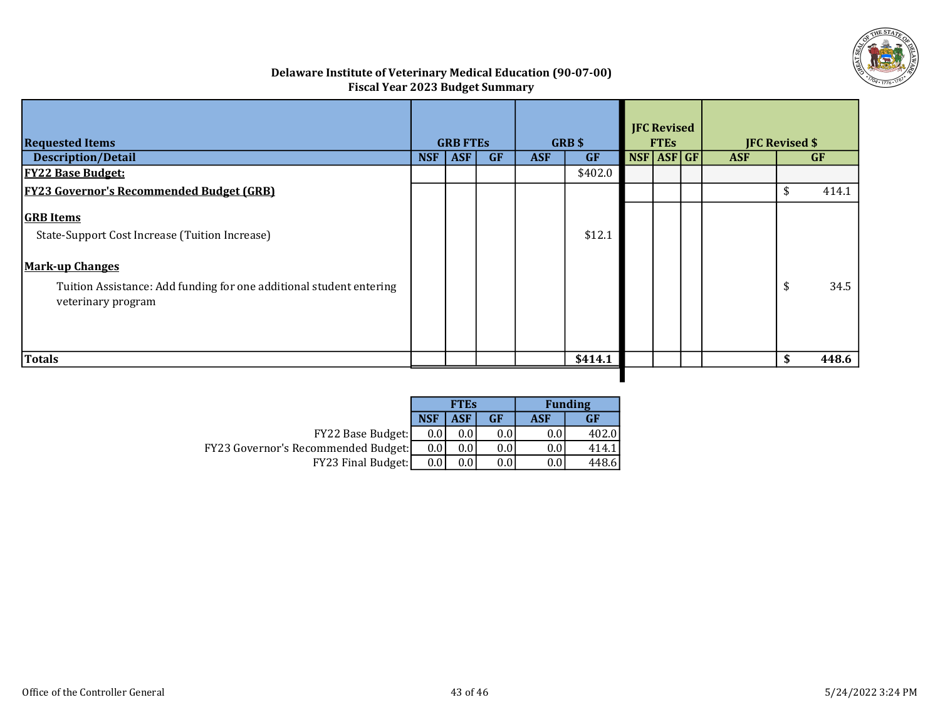

# Delaware Institute of Veterinary Medical Education (90-07-00) Fiscal Year 2023 Budget Summary

| <b>Requested Items</b>                                                                                                                                                                    |            | <b>GRB FTES</b> |           |            | <b>GRB \$</b> |            | <b>JFC Revised</b><br><b>FTES</b> | <b>JFC Revised \$</b> |             |
|-------------------------------------------------------------------------------------------------------------------------------------------------------------------------------------------|------------|-----------------|-----------|------------|---------------|------------|-----------------------------------|-----------------------|-------------|
| <b>Description/Detail</b>                                                                                                                                                                 | <b>NSF</b> | <b>ASF</b>      | <b>GF</b> | <b>ASF</b> | <b>GF</b>     | NSF ASF GF |                                   | <b>ASF</b>            | <b>GF</b>   |
| <b>FY22 Base Budget:</b>                                                                                                                                                                  |            |                 |           |            | \$402.0       |            |                                   |                       |             |
| <b>FY23 Governor's Recommended Budget (GRB)</b>                                                                                                                                           |            |                 |           |            |               |            |                                   |                       | \$<br>414.1 |
| <b>GRB</b> Items<br>State-Support Cost Increase (Tuition Increase)<br><b>Mark-up Changes</b><br>Tuition Assistance: Add funding for one additional student entering<br>veterinary program |            |                 |           |            | \$12.1        |            |                                   |                       | \$<br>34.5  |
| <b>Totals</b>                                                                                                                                                                             |            |                 |           |            | \$414.1       |            |                                   |                       | \$<br>448.6 |
|                                                                                                                                                                                           |            |                 |           |            |               |            |                                   |                       |             |

|                                            |            | <b>FTES</b> |                  | <b>Funding</b> |        |  |  |
|--------------------------------------------|------------|-------------|------------------|----------------|--------|--|--|
|                                            | <b>NSF</b> | ASF         | GF               | ASF            | GF     |  |  |
| <b>FY22 Base Budget:</b>                   | 0.01       | 0.0         | 0.0 <sub>1</sub> | 0.0            | 402.01 |  |  |
| <b>FY23 Governor's Recommended Budget:</b> | 0.0        | 0.0         | $0.0\,$          | 0.0            | 414.   |  |  |
| <b>FY23 Final Budget:</b>                  | 0.0        | 0.0         | $0.0\,$          | 0.0            | 448.6  |  |  |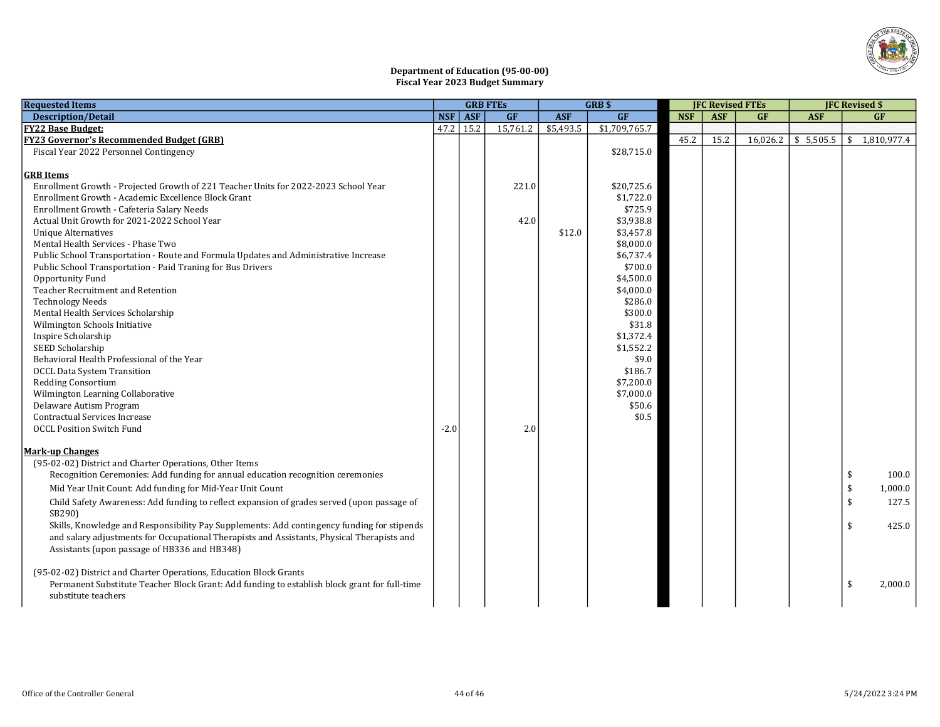

#### Department of Education (95-00-00) Fiscal Year 2023 Budget Summary

| <b>Requested Items</b>                                                                       |            | <b>GRB FTES</b> |           | <b>GRBS</b> |                        | <b>IFC Revised FTEs</b> |            |    |                       | <b>IFC Revised \$</b>     |  |
|----------------------------------------------------------------------------------------------|------------|-----------------|-----------|-------------|------------------------|-------------------------|------------|----|-----------------------|---------------------------|--|
| <b>Description/Detail</b>                                                                    | <b>NSF</b> | <b>ASF</b>      | <b>GF</b> | <b>ASF</b>  | GF                     | <b>NSF</b>              | <b>ASF</b> | GF | <b>ASF</b>            | <b>GF</b>                 |  |
| <b>FY22 Base Budget:</b>                                                                     | 47.2       | 15.2            | 15,761.2  | \$5,493.5   | \$1,709,765.7          |                         |            |    |                       |                           |  |
| FY23 Governor's Recommended Budget (GRB)                                                     |            |                 |           |             |                        | 45.2                    | 15.2       |    | $16,026.2$ \$ 5,505.5 | $\frac{1}{2}$ 1,810,977.4 |  |
| Fiscal Year 2022 Personnel Contingency                                                       |            |                 |           |             | \$28,715.0             |                         |            |    |                       |                           |  |
|                                                                                              |            |                 |           |             |                        |                         |            |    |                       |                           |  |
| <b>GRB</b> Items                                                                             |            |                 |           |             |                        |                         |            |    |                       |                           |  |
| Enrollment Growth - Projected Growth of 221 Teacher Units for 2022-2023 School Year          |            |                 | 221.0     |             | \$20,725.6             |                         |            |    |                       |                           |  |
| Enrollment Growth - Academic Excellence Block Grant                                          |            |                 |           |             | \$1,722.0              |                         |            |    |                       |                           |  |
| Enrollment Growth - Cafeteria Salary Needs                                                   |            |                 |           |             | \$725.9                |                         |            |    |                       |                           |  |
| Actual Unit Growth for 2021-2022 School Year                                                 |            |                 | 42.0      |             | \$3,938.8              |                         |            |    |                       |                           |  |
| <b>Unique Alternatives</b>                                                                   |            |                 |           | \$12.0      | \$3,457.8              |                         |            |    |                       |                           |  |
| Mental Health Services - Phase Two                                                           |            |                 |           |             | \$8,000.0              |                         |            |    |                       |                           |  |
| Public School Transportation - Route and Formula Updates and Administrative Increase         |            |                 |           |             | \$6,737.4              |                         |            |    |                       |                           |  |
| Public School Transportation - Paid Traning for Bus Drivers                                  |            |                 |           |             | \$700.0                |                         |            |    |                       |                           |  |
| Opportunity Fund                                                                             |            |                 |           |             | \$4,500.0              |                         |            |    |                       |                           |  |
| Teacher Recruitment and Retention                                                            |            |                 |           |             | \$4,000.0              |                         |            |    |                       |                           |  |
| <b>Technology Needs</b>                                                                      |            |                 |           |             | \$286.0                |                         |            |    |                       |                           |  |
| Mental Health Services Scholarship                                                           |            |                 |           |             | \$300.0<br>\$31.8      |                         |            |    |                       |                           |  |
| Wilmington Schools Initiative                                                                |            |                 |           |             |                        |                         |            |    |                       |                           |  |
| Inspire Scholarship<br>SEED Scholarship                                                      |            |                 |           |             | \$1,372.4<br>\$1,552.2 |                         |            |    |                       |                           |  |
| Behavioral Health Professional of the Year                                                   |            |                 |           |             | \$9.0                  |                         |            |    |                       |                           |  |
| <b>OCCL Data System Transition</b>                                                           |            |                 |           |             | \$186.7                |                         |            |    |                       |                           |  |
| <b>Redding Consortium</b>                                                                    |            |                 |           |             | \$7,200.0              |                         |            |    |                       |                           |  |
| Wilmington Learning Collaborative                                                            |            |                 |           |             | \$7,000.0              |                         |            |    |                       |                           |  |
| Delaware Autism Program                                                                      |            |                 |           |             | \$50.6                 |                         |            |    |                       |                           |  |
| Contractual Services Increase                                                                |            |                 |           |             | \$0.5                  |                         |            |    |                       |                           |  |
| <b>OCCL Position Switch Fund</b>                                                             | $-2.0$     |                 | 2.0       |             |                        |                         |            |    |                       |                           |  |
|                                                                                              |            |                 |           |             |                        |                         |            |    |                       |                           |  |
| <b>Mark-up Changes</b>                                                                       |            |                 |           |             |                        |                         |            |    |                       |                           |  |
| (95-02-02) District and Charter Operations, Other Items                                      |            |                 |           |             |                        |                         |            |    |                       |                           |  |
| Recognition Ceremonies: Add funding for annual education recognition ceremonies              |            |                 |           |             |                        |                         |            |    |                       | \$<br>100.0               |  |
| Mid Year Unit Count: Add funding for Mid-Year Unit Count                                     |            |                 |           |             |                        |                         |            |    |                       | \$<br>1,000.0             |  |
| Child Safety Awareness: Add funding to reflect expansion of grades served (upon passage of   |            |                 |           |             |                        |                         |            |    |                       | 127.5<br>\$               |  |
| SB290)                                                                                       |            |                 |           |             |                        |                         |            |    |                       |                           |  |
| Skills, Knowledge and Responsibility Pay Supplements: Add contingency funding for stipends   |            |                 |           |             |                        |                         |            |    |                       | 425.0<br>\$               |  |
| and salary adjustments for Occupational Therapists and Assistants, Physical Therapists and   |            |                 |           |             |                        |                         |            |    |                       |                           |  |
| Assistants (upon passage of HB336 and HB348)                                                 |            |                 |           |             |                        |                         |            |    |                       |                           |  |
|                                                                                              |            |                 |           |             |                        |                         |            |    |                       |                           |  |
| (95-02-02) District and Charter Operations, Education Block Grants                           |            |                 |           |             |                        |                         |            |    |                       |                           |  |
| Permanent Substitute Teacher Block Grant: Add funding to establish block grant for full-time |            |                 |           |             |                        |                         |            |    |                       | \$<br>2,000.0             |  |
| substitute teachers                                                                          |            |                 |           |             |                        |                         |            |    |                       |                           |  |
|                                                                                              |            |                 |           |             |                        |                         |            |    |                       |                           |  |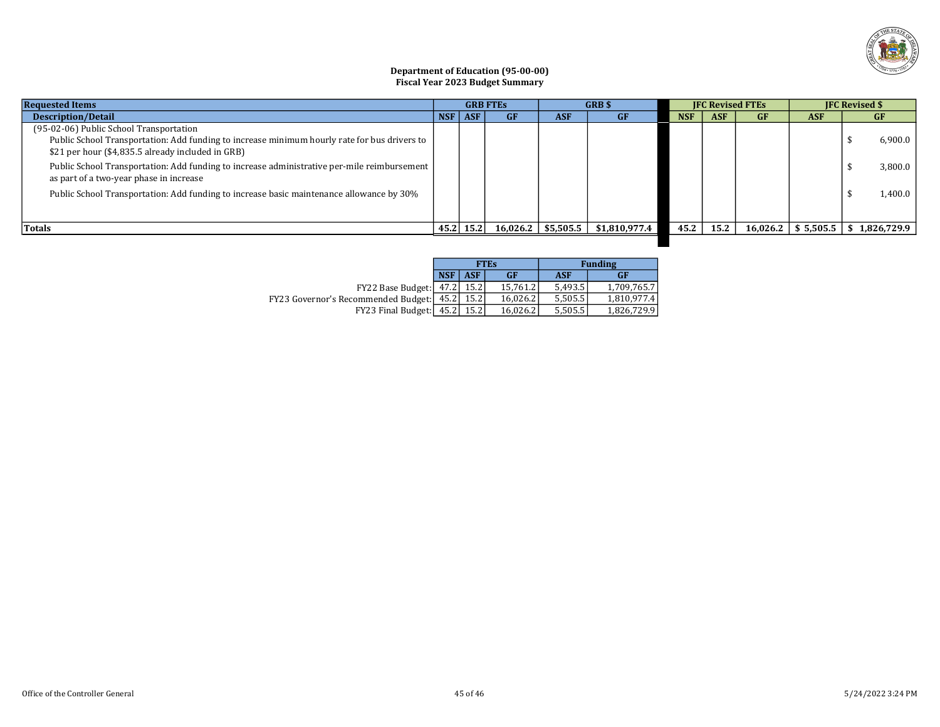

#### Department of Education (95-00-00) Fiscal Year 2023 Budget Summary

| <b>Requested Items</b>                                                                                                                                                                       | <b>GRB FTES</b> |               | <b>GRB</b> \$ |            | <b>IFC Revised FTEs</b>                |            |            | <b>IFC Revised \$</b> |            |                                        |
|----------------------------------------------------------------------------------------------------------------------------------------------------------------------------------------------|-----------------|---------------|---------------|------------|----------------------------------------|------------|------------|-----------------------|------------|----------------------------------------|
| <b>Description/Detail</b>                                                                                                                                                                    | $NSF$ $ASF$     |               | GF            | <b>ASF</b> | <b>GF</b>                              | <b>NSF</b> | <b>ASF</b> | <b>GF</b>             | <b>ASF</b> | <b>GF</b>                              |
| (95-02-06) Public School Transportation<br>Public School Transportation: Add funding to increase minimum hourly rate for bus drivers to<br>\$21 per hour (\$4,835.5 already included in GRB) |                 |               |               |            |                                        |            |            |                       |            | 6,900.0                                |
| Public School Transportation: Add funding to increase administrative per-mile reimbursement<br>as part of a two-year phase in increase                                                       |                 |               |               |            |                                        |            |            |                       |            | 3,800.0                                |
| Public School Transportation: Add funding to increase basic maintenance allowance by 30%                                                                                                     |                 |               |               |            |                                        |            |            |                       |            | 1,400.0                                |
| Totals                                                                                                                                                                                       |                 | $45.2$   15.2 |               |            | $16,026.2$   \$5,505.5   \$1,810,977.4 | 45.2       | 15.2       |                       |            | $16,026.2$   \$5,505.5   \$1,826,729.9 |
|                                                                                                                                                                                              |                 |               |               |            |                                        |            |            |                       |            |                                        |

|                                            |            |      | <b>FTEs</b> |            | <b>Funding</b> |
|--------------------------------------------|------------|------|-------------|------------|----------------|
|                                            | <b>NSF</b> | ASF  | <b>GF</b>   | <b>ASF</b> | <b>GF</b>      |
| FY22 Base Budget:   47.2   15.2            |            |      | 15.761.2    | 5.493.5    | 1.709.765.7    |
| FY23 Governor's Recommended Budget: [45.2] |            | 15.2 | 16.026.2    | 5.505.5    | 1,810,977.4    |
| FY23 Final Budget: 45.2                    |            | 15.2 | 16.026.2    | 5,505.5    | 1,826,729.9    |